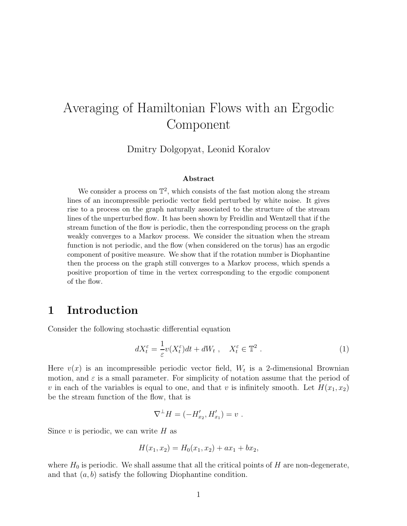# Averaging of Hamiltonian Flows with an Ergodic Component

Dmitry Dolgopyat, Leonid Koralov

#### Abstract

We consider a process on  $\mathbb{T}^2$ , which consists of the fast motion along the stream lines of an incompressible periodic vector field perturbed by white noise. It gives rise to a process on the graph naturally associated to the structure of the stream lines of the unperturbed flow. It has been shown by Freidlin and Wentzell that if the stream function of the flow is periodic, then the corresponding process on the graph weakly converges to a Markov process. We consider the situation when the stream function is not periodic, and the flow (when considered on the torus) has an ergodic component of positive measure. We show that if the rotation number is Diophantine then the process on the graph still converges to a Markov process, which spends a positive proportion of time in the vertex corresponding to the ergodic component of the flow.

#### 1 Introduction

Consider the following stochastic differential equation

$$
dX_t^{\varepsilon} = \frac{1}{\varepsilon} v(X_t^{\varepsilon}) dt + dW_t , \quad X_t^{\varepsilon} \in \mathbb{T}^2 .
$$
 (1)

Here  $v(x)$  is an incompressible periodic vector field,  $W_t$  is a 2-dimensional Brownian motion, and  $\varepsilon$  is a small parameter. For simplicity of notation assume that the period of v in each of the variables is equal to one, and that v is infinitely smooth. Let  $H(x_1, x_2)$ be the stream function of the flow, that is

$$
\nabla^{\perp} H = (-H'_{x_2}, H'_{x_1}) = v.
$$

Since  $v$  is periodic, we can write  $H$  as

$$
H(x_1, x_2) = H_0(x_1, x_2) + ax_1 + bx_2,
$$

where  $H_0$  is periodic. We shall assume that all the critical points of H are non-degenerate, and that  $(a, b)$  satisfy the following Diophantine condition.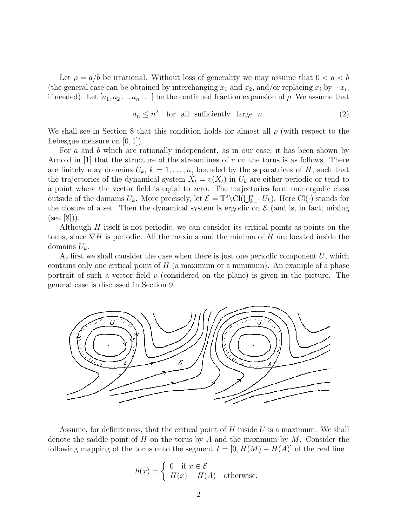Let  $\rho = a/b$  be irrational. Without loss of generality we may assume that  $0 < a < b$ (the general case can be obtained by interchanging  $x_1$  and  $x_2$ , and/or replacing  $x_i$  by  $-x_i$ , if needed). Let  $[a_1, a_2 \ldots a_n \ldots]$  be the continued fraction expansion of  $\rho$ . We assume that

$$
a_n \le n^2 \quad \text{for all sufficiently large } n. \tag{2}
$$

We shall see in Section 8 that this condition holds for almost all  $\rho$  (with respect to the Lebesgue measure on  $(0, 1)$ .

For a and b which are rationally independent, as in our case, it has been shown by Arnold in [1] that the structure of the streamlines of v on the torus is as follows. There are finitely may domains  $U_k$ ,  $k = 1, \ldots, n$ , bounded by the separatrices of H, such that the trajectories of the dynamical system  $\dot{X}_t = v(X_t)$  in  $U_k$  are either periodic or tend to a point where the vector field is equal to zero. The trajectories form one ergodic class outside of the domains  $U_k$ . More precisely, let  $\mathcal{E} = \mathbb{T}^2 \setminus \text{Cl}(\bigcup_{k=1}^n U_k)$ . Here  $\text{Cl}(\cdot)$  stands for the closure of a set. Then the dynamical system is ergodic on  $\mathcal E$  (and is, in fact, mixing  $(see |8|).$ 

Although  $H$  itself is not periodic, we can consider its critical points as points on the torus, since  $\nabla H$  is periodic. All the maxima and the minima of H are located inside the domains  $U_k$ .

At first we shall consider the case when there is just one periodic component  $U$ , which contains only one critical point of  $H$  (a maximum or a minimum). An example of a phase portrait of such a vector field  $v$  (considered on the plane) is given in the picture. The general case is discussed in Section 9.



Assume, for definiteness, that the critical point of  $H$  inside U is a maximum. We shall denote the saddle point of H on the torus by A and the maximum by  $M$ . Consider the following mapping of the torus onto the segment  $I = [0, H(M) - H(A)]$  of the real line

$$
h(x) = \begin{cases} 0 & \text{if } x \in \mathcal{E} \\ H(x) - H(A) & \text{otherwise.} \end{cases}
$$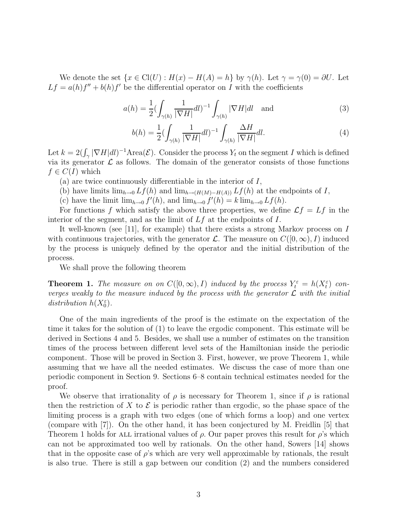We denote the set  $\{x \in \mathrm{Cl}(U) : H(x) - H(A) = h\}$  by  $\gamma(h)$ . Let  $\gamma = \gamma(0) = \partial U$ . Let  $Lf = a(h)f'' + b(h)f'$  be the differential operator on I with the coefficients

$$
a(h) = \frac{1}{2} \left( \int_{\gamma(h)} \frac{1}{|\nabla H|} dl \right)^{-1} \int_{\gamma(h)} |\nabla H| dl \quad \text{and} \tag{3}
$$

$$
b(h) = \frac{1}{2} \left( \int_{\gamma(h)} \frac{1}{|\nabla H|} dl \right)^{-1} \int_{\gamma(h)} \frac{\Delta H}{|\nabla H|} dl.
$$
 (4)

Let  $k = 2(\int_{\gamma} |\nabla H| dl)^{-1}$ Area $(\mathcal{E})$ . Consider the process  $Y_t$  on the segment I which is defined via its generator  $\mathcal L$  as follows. The domain of the generator consists of those functions  $f \in C(I)$  which

(a) are twice continuously differentiable in the interior of I,

- (b) have limits  $\lim_{h\to 0} Lf(h)$  and  $\lim_{h\to (H(M)-H(A))} Lf(h)$  at the endpoints of I,
- (c) have the limit  $\lim_{h\to 0} f'(h)$ , and  $\lim_{h\to 0} f'(h) = k \lim_{h\to 0} Lf(h)$ .

For functions f which satisfy the above three properties, we define  $\mathcal{L}f = Lf$  in the interior of the segment, and as the limit of  $Lf$  at the endpoints of  $I$ .

It well-known (see [11], for example) that there exists a strong Markov process on I with continuous trajectories, with the generator L. The measure on  $C([0,\infty), I)$  induced by the process is uniquely defined by the operator and the initial distribution of the process.

We shall prove the following theorem

**Theorem 1.** The measure on on  $C([0,\infty), I)$  induced by the process  $Y_t^{\varepsilon} = h(X_t^{\varepsilon})$  converges weakly to the measure induced by the process with the generator  $\mathcal L$  with the initial distribution  $h(X_0^{\varepsilon})$ .

One of the main ingredients of the proof is the estimate on the expectation of the time it takes for the solution of (1) to leave the ergodic component. This estimate will be derived in Sections 4 and 5. Besides, we shall use a number of estimates on the transition times of the process between different level sets of the Hamiltonian inside the periodic component. Those will be proved in Section 3. First, however, we prove Theorem 1, while assuming that we have all the needed estimates. We discuss the case of more than one periodic component in Section 9. Sections 6–8 contain technical estimates needed for the proof.

We observe that irrationality of  $\rho$  is necessary for Theorem 1, since if  $\rho$  is rational then the restriction of X to  $\mathcal E$  is periodic rather than ergodic, so the phase space of the limiting process is a graph with two edges (one of which forms a loop) and one vertex (compare with [7]). On the other hand, it has been conjectured by M. Freidlin [5] that Theorem 1 holds for ALL irrational values of  $\rho$ . Our paper proves this result for  $\rho$ 's which can not be approximated too well by rationals. On the other hand, Sowers [14] shows that in the opposite case of  $\rho$ 's which are very well approximable by rationals, the result is also true. There is still a gap between our condition (2) and the numbers considered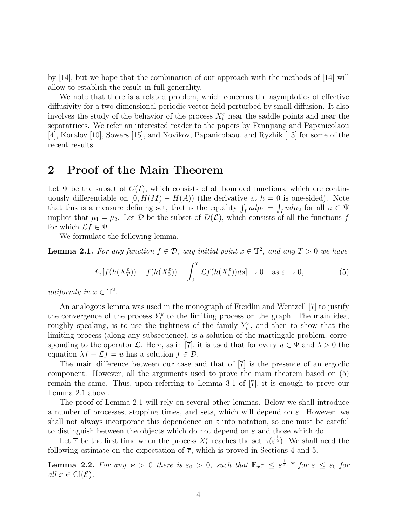by [14], but we hope that the combination of our approach with the methods of [14] will allow to establish the result in full generality.

We note that there is a related problem, which concerns the asymptotics of effective diffusivity for a two-dimensional periodic vector field perturbed by small diffusion. It also involves the study of the behavior of the process  $X_t^{\varepsilon}$  near the saddle points and near the separatrices. We refer an interested reader to the papers by Fannjiang and Papanicolaou [4], Koralov [10], Sowers [15], and Novikov, Papanicolaou, and Ryzhik [13] for some of the recent results.

#### 2 Proof of the Main Theorem

Let  $\Psi$  be the subset of  $C(I)$ , which consists of all bounded functions, which are continuously differentiable on  $[0, H(M) - H(A))$  (the derivative at  $h = 0$  is one-sided). Note that this is a measure defining set, that is the equality  $\int_I u d\mu_1 = \int_I u d\mu_2$  for all  $u \in \Psi$ implies that  $\mu_1 = \mu_2$ . Let D be the subset of  $D(\mathcal{L})$ , which consists of all the functions f for which  $\mathcal{L}f \in \Psi$ .

We formulate the following lemma.

**Lemma 2.1.** For any function  $f \in \mathcal{D}$ , any initial point  $x \in \mathbb{T}^2$ , and any  $T > 0$  we have

$$
\mathbb{E}_x[f(h(X_T^{\varepsilon})) - f(h(X_0^{\varepsilon})) - \int_0^T \mathcal{L}f(h(X_s^{\varepsilon}))ds] \to 0 \quad \text{as } \varepsilon \to 0,
$$
 (5)

uniformly in  $x \in \mathbb{T}^2$ .

An analogous lemma was used in the monograph of Freidlin and Wentzell [7] to justify the convergence of the process  $Y_t^{\varepsilon}$  to the limiting process on the graph. The main idea, roughly speaking, is to use the tightness of the family  $Y_t^{\varepsilon}$ , and then to show that the limiting process (along any subsequence), is a solution of the martingale problem, corresponding to the operator L. Here, as in [7], it is used that for every  $u \in \Psi$  and  $\lambda > 0$  the equation  $\lambda f - \mathcal{L}f = u$  has a solution  $f \in \mathcal{D}$ .

The main difference between our case and that of [7] is the presence of an ergodic component. However, all the arguments used to prove the main theorem based on (5) remain the same. Thus, upon referring to Lemma 3.1 of [7], it is enough to prove our Lemma 2.1 above.

The proof of Lemma 2.1 will rely on several other lemmas. Below we shall introduce a number of processes, stopping times, and sets, which will depend on  $\varepsilon$ . However, we shall not always incorporate this dependence on  $\varepsilon$  into notation, so one must be careful to distinguish between the objects which do not depend on  $\varepsilon$  and those which do.

Let  $\overline{\tau}$  be the first time when the process  $X_t^{\varepsilon}$  reaches the set  $\gamma(\varepsilon^{\frac{1}{2}})$ . We shall need the following estimate on the expectation of  $\overline{\tau}$ , which is proved in Sections 4 and 5.

**Lemma 2.2.** For any  $\varkappa > 0$  there is  $\varepsilon_0 > 0$ , such that  $\mathbb{E}_x \overline{\tau} \leq \varepsilon^{\frac{1}{2} - \varkappa}$  for  $\varepsilon \leq \varepsilon_0$  for all  $x \in \text{Cl}(\mathcal{E})$ .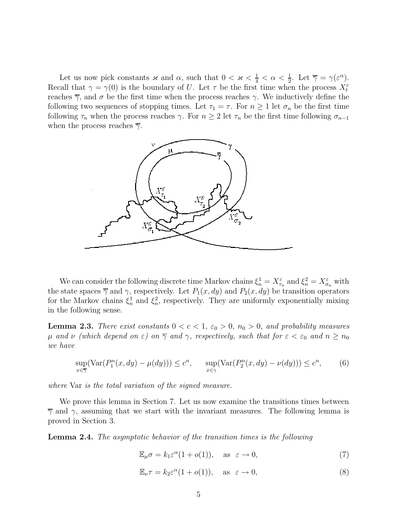Let us now pick constants  $\varkappa$  and  $\alpha$ , such that  $0 < \varkappa < \frac{1}{4} < \alpha < \frac{1}{2}$ . Let  $\overline{\gamma} = \gamma(\varepsilon^{\alpha})$ . Recall that  $\gamma = \gamma(0)$  is the boundary of U. Let  $\tau$  be the first time when the process  $X_t^{\varepsilon}$ reaches  $\overline{\gamma}$ , and  $\sigma$  be the first time when the process reaches  $\gamma$ . We inductively define the following two sequences of stopping times. Let  $\tau_1 = \tau$ . For  $n \geq 1$  let  $\sigma_n$  be the first time following  $\tau_n$  when the process reaches  $\gamma$ . For  $n \geq 2$  let  $\tau_n$  be the first time following  $\sigma_{n-1}$ when the process reaches  $\overline{\gamma}$ .



We can consider the following discrete time Markov chains  $\xi_n^1 = X_{\tau_n}^{\varepsilon}$  and  $\xi_n^2 = X_{\sigma_n}^{\varepsilon}$  with the state spaces  $\overline{\gamma}$  and  $\gamma$ , respectively. Let  $P_1(x, dy)$  and  $P_2(x, dy)$  be transition operators for the Markov chains  $\xi_n^1$  and  $\xi_n^2$ , respectively. They are uniformly exponentially mixing in the following sense.

**Lemma 2.3.** There exist constants  $0 < c < 1$ ,  $\varepsilon_0 > 0$ ,  $n_0 > 0$ , and probability measures  $\mu$  and  $\nu$  (which depend on  $\varepsilon$ ) on  $\overline{\gamma}$  and  $\gamma$ , respectively, such that for  $\varepsilon < \varepsilon_0$  and  $n \ge n_0$ we have

$$
\sup_{x \in \overline{\gamma}} (\text{Var}(P_1^n(x, dy) - \mu(dy))) \le c^n, \qquad \sup_{x \in \gamma} (\text{Var}(P_2^n(x, dy) - \nu(dy))) \le c^n, \tag{6}
$$

where Var is the total variation of the signed measure.

We prove this lemma in Section 7. Let us now examine the transitions times between  $\overline{\gamma}$  and  $\gamma$ , assuming that we start with the invariant measures. The following lemma is proved in Section 3.

Lemma 2.4. The asymptotic behavior of the transition times is the following

$$
\mathbb{E}_{\mu}\sigma = k_1 \varepsilon^{\alpha} (1 + o(1)), \quad \text{as} \ \varepsilon \to 0,
$$
 (7)

$$
\mathbb{E}_{\nu}\tau = k_2 \varepsilon^{\alpha} (1 + o(1)), \quad \text{as } \varepsilon \to 0,
$$
 (8)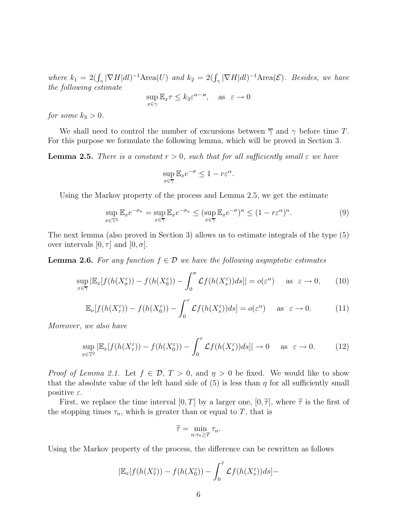where  $k_1 = 2(\int_{\gamma} |\nabla H| dl)^{-1}$ Area $(U)$  and  $k_2 = 2(\int_{\gamma} |\nabla H| dl)^{-1}$ Area $(\mathcal{E})$ . Besides, we have the following estimate α−κ

$$
\sup_{x \in \gamma} \mathbb{E}_x \tau \le k_3 \varepsilon^{\alpha - \varkappa}, \quad \text{as} \ \ \varepsilon \to 0
$$

for some  $k_3 > 0$ .

We shall need to control the number of excursions between  $\overline{\gamma}$  and  $\gamma$  before time T. For this purpose we formulate the following lemma, which will be proved in Section 3.

**Lemma 2.5.** There is a constant  $r > 0$ , such that for all sufficiently small  $\varepsilon$  we have

$$
\sup_{x \in \overline{\gamma}} \mathbb{E}_x e^{-\sigma} \le 1 - r\varepsilon^{\alpha}.
$$

Using the Markov property of the process and Lemma 2.5, we get the estimate

$$
\sup_{x \in \mathbb{T}^2} \mathbb{E}_x e^{-\sigma_n} = \sup_{x \in \overline{\gamma}} \mathbb{E}_x e^{-\sigma_n} \le (\sup_{x \in \overline{\gamma}} \mathbb{E}_x e^{-\sigma})^n \le (1 - r\varepsilon^\alpha)^n. \tag{9}
$$

The next lemma (also proved in Section 3) allows us to estimate integrals of the type (5) over intervals  $[0, \tau]$  and  $[0, \sigma]$ .

**Lemma 2.6.** For any function  $f \in \mathcal{D}$  we have the following asymptotic estimates

$$
\sup_{x \in \overline{\gamma}} |\mathbb{E}_x[f(h(X^\varepsilon_\sigma)) - f(h(X^\varepsilon_0)) - \int_0^\sigma \mathcal{L}f(h(X^\varepsilon_s))ds]| = o(\varepsilon^\alpha) \quad \text{as } \varepsilon \to 0,
$$
 (10)

$$
\mathbb{E}_{\nu}[f(h(X_{\tau}^{\varepsilon})) - f(h(X_{0}^{\varepsilon})) - \int_{0}^{\tau} \mathcal{L}f(h(X_{s}^{\varepsilon}))ds] = o(\varepsilon^{\alpha}) \quad \text{as } \varepsilon \to 0.
$$
 (11)

Moreover, we also have

$$
\sup_{x \in \mathbb{T}^2} |\mathbb{E}_x[f(h(X^\varepsilon_\tau)) - f(h(X^\varepsilon_0)) - \int_0^\tau \mathcal{L}f(h(X^\varepsilon_s))ds]| \to 0 \quad \text{as } \varepsilon \to 0. \tag{12}
$$

*Proof of Lemma 2.1.* Let  $f \in \mathcal{D}$ ,  $T > 0$ , and  $\eta > 0$  be fixed. We would like to show that the absolute value of the left hand side of  $(5)$  is less than  $\eta$  for all sufficiently small positive  $\varepsilon$ .

First, we replace the time interval  $[0, T]$  by a larger one,  $[0, \tilde{\tau}]$ , where  $\tilde{\tau}$  is the first of the stopping times  $\tau_n$ , which is greater than or equal to T, that is

$$
\widetilde{\tau} = \min_{n:\tau_n \geq T} \tau_n.
$$

Using the Markov property of the process, the difference can be rewritten as follows

$$
|\mathbb{E}_x[f(h(X_{\tilde{\tau}}^{\varepsilon})) - f(h(X_0^{\varepsilon})) - \int_0^{\tilde{\tau}} \mathcal{L}f(h(X_s^{\varepsilon}))ds] -
$$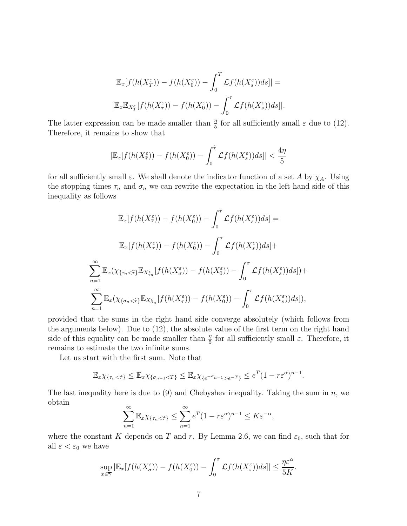$$
\mathbb{E}_x[f(h(X_T^{\varepsilon})) - f(h(X_0^{\varepsilon})) - \int_0^T \mathcal{L}f(h(X_s^{\varepsilon}))ds] =
$$
  

$$
|\mathbb{E}_x \mathbb{E}_{X_T^{\varepsilon}}[f(h(X_T^{\varepsilon})) - f(h(X_0^{\varepsilon})) - \int_0^{\tau} \mathcal{L}f(h(X_s^{\varepsilon}))ds]|.
$$

The latter expression can be made smaller than  $\frac{\eta}{5}$  for all sufficiently small  $\varepsilon$  due to (12). Therefore, it remains to show that

$$
|\mathbb{E}_x[f(h(X_{\widetilde{\tau}}^{\varepsilon})) - f(h(X_0^{\varepsilon})) - \int_0^{\widetilde{\tau}} \mathcal{L}f(h(X_s^{\varepsilon}))ds]| < \frac{4\eta}{5}
$$

for all sufficiently small  $\varepsilon$ . We shall denote the indicator function of a set A by  $\chi_A$ . Using the stopping times  $\tau_n$  and  $\sigma_n$  we can rewrite the expectation in the left hand side of this inequality as follows

$$
\mathbb{E}_x[f(h(X_{\tilde{\tau}}^{\varepsilon})) - f(h(X_0^{\varepsilon})) - \int_0^{\tilde{\tau}} \mathcal{L}f(h(X_s^{\varepsilon}))ds] =
$$
  

$$
\mathbb{E}_x[f(h(X_{\tau}^{\varepsilon})) - f(h(X_0^{\varepsilon})) - \int_0^{\tau} \mathcal{L}f(h(X_s^{\varepsilon}))ds] +
$$
  

$$
\sum_{n=1}^{\infty} \mathbb{E}_x(\chi_{\{\tau_n < \tilde{\tau}\}} \mathbb{E}_{X_{\tau_n}^{\varepsilon}}[f(h(X_{\sigma}^{\varepsilon})) - f(h(X_0^{\varepsilon})) - \int_0^{\sigma} \mathcal{L}f(h(X_s^{\varepsilon}))ds]) +
$$
  

$$
\sum_{n=1}^{\infty} \mathbb{E}_x(\chi_{\{\sigma_n < \tilde{\tau}\}} \mathbb{E}_{X_{\sigma_n}^{\varepsilon}}[f(h(X_{\tau}^{\varepsilon})) - f(h(X_0^{\varepsilon})) - \int_0^{\tau} \mathcal{L}f(h(X_s^{\varepsilon}))ds]),
$$

provided that the sums in the right hand side converge absolutely (which follows from the arguments below). Due to (12), the absolute value of the first term on the right hand side of this equality can be made smaller than  $\frac{\eta}{5}$  for all sufficiently small  $\varepsilon$ . Therefore, it remains to estimate the two infinite sums.

Let us start with the first sum. Note that

$$
\mathbb{E}_x \chi_{\{\tau_n < \widetilde{\tau}\}} \leq \mathbb{E}_x \chi_{\{\sigma_{n-1} < T\}} \leq \mathbb{E}_x \chi_{\{e^{-\sigma_{n-1}} > e^{-T}\}} \leq e^T (1 - r\varepsilon^{\alpha})^{n-1}.
$$

The last inequality here is due to  $(9)$  and Chebyshev inequality. Taking the sum in n, we obtain

$$
\sum_{n=1}^{\infty} \mathbb{E}_x \chi_{\{\tau_n < \tilde{\tau}\}} \le \sum_{n=1}^{\infty} e^T (1 - r\varepsilon^{\alpha})^{n-1} \le K\varepsilon^{-\alpha},
$$

where the constant K depends on T and r. By Lemma 2.6, we can find  $\varepsilon_0$ , such that for all  $\varepsilon < \varepsilon_0$  we have

$$
\sup_{x \in \overline{\gamma}} |\mathbb{E}_x[f(h(X^\varepsilon_\sigma)) - f(h(X^\varepsilon_0)) - \int_0^\sigma \mathcal{L}f(h(X^\varepsilon_s))ds]| \le \frac{\eta \varepsilon^\alpha}{5K}
$$

.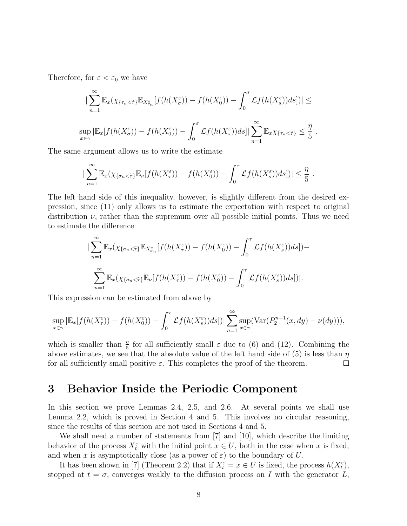Therefore, for  $\varepsilon < \varepsilon_0$  we have

$$
\sum_{n=1}^{\infty} \mathbb{E}_x(\chi_{\{\tau_n < \tilde{\tau}\}} \mathbb{E}_{X_{\tau_n}^\varepsilon} [f(h(X_\sigma^\varepsilon)) - f(h(X_0^\varepsilon)) - \int_0^\sigma \mathcal{L}f(h(X_s^\varepsilon))ds])| \leq
$$
\n
$$
\sup_{x \in \overline{\gamma}} |\mathbb{E}_x[f(h(X_\sigma^\varepsilon)) - f(h(X_0^\varepsilon)) - \int_0^\sigma \mathcal{L}f(h(X_s^\varepsilon))ds]| \sum_{n=1}^{\infty} \mathbb{E}_x \chi_{\{\tau_n < \tilde{\tau}\}} \leq \frac{\eta}{5}.
$$

The same argument allows us to write the estimate

$$
\left|\sum_{n=1}^{\infty} \mathbb{E}_x(\chi_{\{\sigma_n < \tilde{\tau}\}} \mathbb{E}_\nu[f(h(X_\tau^\varepsilon)) - f(h(X_0^\varepsilon)) - \int_0^\tau \mathcal{L}f(h(X_s^\varepsilon))ds]\right)\right| \leq \frac{\eta}{5}.
$$

The left hand side of this inequality, however, is slightly different from the desired expression, since (11) only allows us to estimate the expectation with respect to original distribution  $\nu$ , rather than the supremum over all possible initial points. Thus we need to estimate the difference

$$
\sum_{n=1}^{\infty} \mathbb{E}_x(\chi_{\{\sigma_n < \tilde{\tau}\}} \mathbb{E}_{X_{\sigma_n}^{\varepsilon}}[f(h(X_{\tau}^{\varepsilon})) - f(h(X_0^{\varepsilon})) - \int_0^{\tau} \mathcal{L}f(h(X_s^{\varepsilon}))ds] ) -
$$

$$
\sum_{n=1}^{\infty} \mathbb{E}_x(\chi_{\{\sigma_n < \tilde{\tau}\}} \mathbb{E}_\nu[f(h(X_{\tau}^{\varepsilon})) - f(h(X_0^{\varepsilon})) - \int_0^{\tau} \mathcal{L}f(h(X_s^{\varepsilon}))ds] )|.
$$

This expression can be estimated from above by

$$
\sup_{x \in \gamma} |\mathbb{E}_x[f(h(X^\varepsilon_\tau)) - f(h(X^\varepsilon_0)) - \int_0^\tau \mathcal{L}f(h(X^\varepsilon_s))ds]| \sum_{n=1}^\infty \sup_{x \in \gamma} (\text{Var}(P_2^{n-1}(x, dy) - \nu(dy))),
$$

which is smaller than  $\frac{\eta}{5}$  for all sufficiently small  $\varepsilon$  due to (6) and (12). Combining the above estimates, we see that the absolute value of the left hand side of (5) is less than  $\eta$ for all sufficiently small positive  $\varepsilon$ . This completes the proof of the theorem.  $\Box$ 

#### 3 Behavior Inside the Periodic Component

In this section we prove Lemmas 2.4, 2.5, and 2.6. At several points we shall use Lemma 2.2, which is proved in Section 4 and 5. This involves no circular reasoning, since the results of this section are not used in Sections 4 and 5.

We shall need a number of statements from [7] and [10], which describe the limiting behavior of the process  $X_t^{\varepsilon}$  with the initial point  $x \in U$ , both in the case when x is fixed, and when x is asymptotically close (as a power of  $\varepsilon$ ) to the boundary of U.

It has been shown in [7] (Theorem 2.2) that if  $X_t^{\varepsilon} = x \in U$  is fixed, the process  $h(X_t^{\varepsilon})$ , stopped at  $t = \sigma$ , converges weakly to the diffusion process on I with the generator L,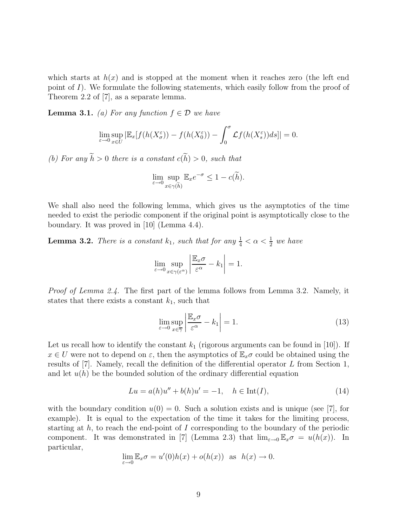which starts at  $h(x)$  and is stopped at the moment when it reaches zero (the left end point of I). We formulate the following statements, which easily follow from the proof of Theorem 2.2 of [7], as a separate lemma.

**Lemma 3.1.** (a) For any function  $f \in \mathcal{D}$  we have

$$
\lim_{\varepsilon \to 0} \sup_{x \in U} |\mathbb{E}_x[f(h(X_\sigma^\varepsilon)) - f(h(X_0^\varepsilon)) - \int_0^\sigma \mathcal{L}f(h(X_s^\varepsilon))ds]| = 0.
$$

(b) For any  $\widetilde{h} > 0$  there is a constant  $c(\widetilde{h}) > 0$ , such that

$$
\lim_{\varepsilon \to 0} \sup_{x \in \gamma(\widetilde{h})} \mathbb{E}_x e^{-\sigma} \le 1 - c(\widetilde{h}).
$$

We shall also need the following lemma, which gives us the asymptotics of the time needed to exist the periodic component if the original point is asymptotically close to the boundary. It was proved in [10] (Lemma 4.4).

**Lemma 3.2.** There is a constant  $k_1$ , such that for any  $\frac{1}{4} < \alpha < \frac{1}{2}$  we have

$$
\lim_{\varepsilon \to 0} \sup_{x \in \gamma(\varepsilon^{\alpha})} \left| \frac{\mathbb{E}_x \sigma}{\varepsilon^{\alpha}} - k_1 \right| = 1.
$$

*Proof of Lemma 2.4.* The first part of the lemma follows from Lemma 3.2. Namely, it states that there exists a constant  $k_1$ , such that

$$
\lim_{\varepsilon \to 0} \sup_{x \in \overline{\gamma}} \left| \frac{\mathbb{E}_x \sigma}{\varepsilon^{\alpha}} - k_1 \right| = 1. \tag{13}
$$

Let us recall how to identify the constant  $k_1$  (rigorous arguments can be found in [10]). If  $x \in U$  were not to depend on  $\varepsilon$ , then the asymptotics of  $\mathbb{E}_x \sigma$  could be obtained using the results of [7]. Namely, recall the definition of the differential operator L from Section 1, and let  $u(h)$  be the bounded solution of the ordinary differential equation

$$
Lu = a(h)u'' + b(h)u' = -1, \quad h \in \text{Int}(I),
$$
\n(14)

with the boundary condition  $u(0) = 0$ . Such a solution exists and is unique (see [7], for example). It is equal to the expectation of the time it takes for the limiting process, starting at  $h$ , to reach the end-point of I corresponding to the boundary of the periodic component. It was demonstrated in [7] (Lemma 2.3) that  $\lim_{\varepsilon\to 0} \mathbb{E}_x \sigma = u(h(x))$ . In particular,

$$
\lim_{\varepsilon \to 0} \mathbb{E}_x \sigma = u'(0)h(x) + o(h(x)) \text{ as } h(x) \to 0.
$$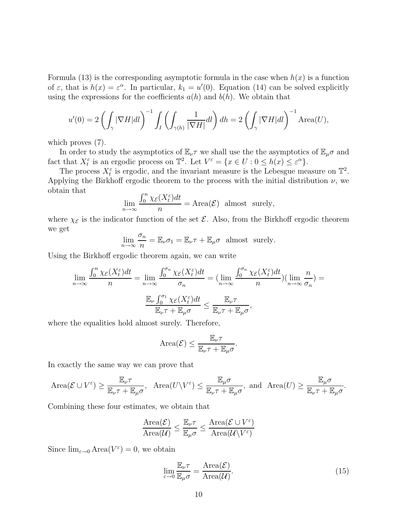Formula (13) is the corresponding asymptotic formula in the case when  $h(x)$  is a function of  $\varepsilon$ , that is  $h(x) = \varepsilon^{\alpha}$ . In particular,  $k_1 = u'(0)$ . Equation (14) can be solved explicitly using the expressions for the coefficients  $a(h)$  and  $b(h)$ . We obtain that

$$
u'(0) = 2\left(\int_{\gamma} |\nabla H|dl\right)^{-1} \int_{I} \left(\int_{\gamma(h)} \frac{1}{|\nabla H|} dl\right) dh = 2\left(\int_{\gamma} |\nabla H|dl\right)^{-1} \text{Area}(U),
$$

which proves  $(7)$ .

In order to study the asymptotics of  $\mathbb{E}_{\nu}\tau$  we shall use the the asymptotics of  $\mathbb{E}_{\mu}\sigma$  and fact that  $X_t^{\varepsilon}$  is an ergodic process on  $\mathbb{T}^2$ . Let  $V^{\varepsilon} = \{x \in U : 0 \leq h(x) \leq \varepsilon^{\alpha}\}.$ 

The process  $X_t^{\varepsilon}$  is ergodic, and the invariant measure is the Lebesgue measure on  $\mathbb{T}^2$ . Applying the Birkhoff ergodic theorem to the process with the initial distribution  $\nu$ , we obtain that

$$
\lim_{n \to \infty} \frac{\int_0^n \chi_{\mathcal{E}}(X_t^{\varepsilon}) dt}{n} = \text{Area}(\mathcal{E}) \text{ almost surely,}
$$

where  $\chi_{\mathcal{E}}$  is the indicator function of the set  $\mathcal{E}$ . Also, from the Birkhoff ergodic theorem we get

$$
\lim_{n \to \infty} \frac{\sigma_n}{n} = \mathbb{E}_{\nu} \sigma_1 = \mathbb{E}_{\nu} \tau + \mathbb{E}_{\mu} \sigma \text{ almost surely.}
$$

Using the Birkhoff ergodic theorem again, we can write

$$
\lim_{n \to \infty} \frac{\int_0^n \chi_{\mathcal{E}}(X_t^{\varepsilon}) dt}{n} = \lim_{n \to \infty} \frac{\int_0^{\sigma_n} \chi_{\mathcal{E}}(X_t^{\varepsilon}) dt}{\sigma_n} = \lim_{n \to \infty} \frac{\int_0^{\sigma_n} \chi_{\mathcal{E}}(X_t^{\varepsilon}) dt}{n} \times \lim_{n \to \infty} \frac{n}{\sigma_n} = \frac{\mathbb{E}_{\nu} \int_0^{\sigma_1} \chi_{\mathcal{E}}(X_t^{\varepsilon}) dt}{\mathbb{E}_{\nu} \tau + \mathbb{E}_{\mu} \sigma} = \frac{\mathbb{E}_{\nu} \tau}{\mathbb{E}_{\nu} \tau + \mathbb{E}_{\mu} \sigma},
$$

where the equalities hold almost surely. Therefore,

Area(
$$
\mathcal{E}
$$
)  $\leq \frac{\mathbb{E}_{\nu} \tau}{\mathbb{E}_{\nu} \tau + \mathbb{E}_{\mu} \sigma}$ .

In exactly the same way we can prove that

$$
\text{Area}(\mathcal{E} \cup V^{\varepsilon}) \ge \frac{\mathbb{E}_{\nu} \tau}{\mathbb{E}_{\nu} \tau + \mathbb{E}_{\mu} \sigma}, \quad \text{Area}(U \setminus V^{\varepsilon}) \le \frac{\mathbb{E}_{\mu} \sigma}{\mathbb{E}_{\nu} \tau + \mathbb{E}_{\mu} \sigma}, \text{ and } \text{ Area}(U) \ge \frac{\mathbb{E}_{\mu} \sigma}{\mathbb{E}_{\nu} \tau + \mathbb{E}_{\mu} \sigma}.
$$

Combining these four estimates, we obtain that

$$
\frac{\text{Area}(\mathcal{E})}{\text{Area}(\mathcal{U})} \leq \frac{\mathbb{E}_{\nu}\tau}{\mathbb{E}_{\mu}\sigma} \leq \frac{\text{Area}(\mathcal{E} \cup V^{\varepsilon})}{\text{Area}(\mathcal{U}\setminus V^{\varepsilon})}
$$

Since  $\lim_{\varepsilon \to 0} \text{Area}(V^{\varepsilon}) = 0$ , we obtain

$$
\lim_{\varepsilon \to 0} \frac{\mathbb{E}_{\nu} \tau}{\mathbb{E}_{\mu} \sigma} = \frac{\text{Area}(\mathcal{E})}{\text{Area}(\mathcal{U})}.
$$
\n(15)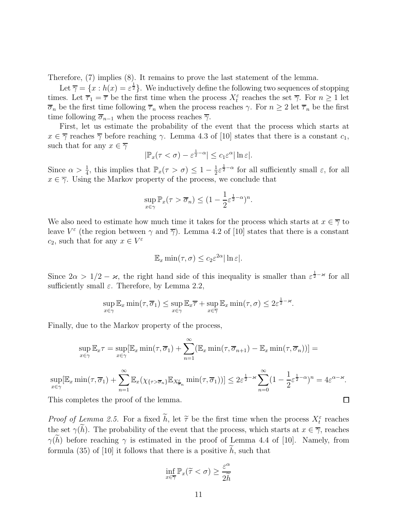Therefore, (7) implies (8). It remains to prove the last statement of the lemma.

Let  $\overline{\gamma} = \{x : h(x) = \varepsilon^{\frac{1}{2}}\}$ . We inductively define the following two sequences of stopping times. Let  $\overline{\tau}_1 = \overline{\tau}$  be the first time when the process  $X_t^{\varepsilon}$  reaches the set  $\overline{\gamma}$ . For  $n \geq 1$  let  $\overline{\sigma}_n$  be the first time following  $\overline{\tau}_n$  when the process reaches  $\gamma$ . For  $n \geq 2$  let  $\overline{\tau}_n$  be the first time following  $\overline{\sigma}_{n-1}$  when the process reaches  $\overline{\gamma}$ .

First, let us estimate the probability of the event that the process which starts at  $x \in \overline{\gamma}$  reaches  $\overline{\gamma}$  before reaching  $\gamma$ . Lemma 4.3 of [10] states that there is a constant  $c_1$ , such that for any  $x \in \overline{\gamma}$ 

$$
|\mathbb{P}_x(\tau < \sigma) - \varepsilon^{\frac{1}{2} - \alpha}| \leq c_1 \varepsilon^{\alpha} |\ln \varepsilon|.
$$

Since  $\alpha > \frac{1}{4}$ , this implies that  $\mathbb{P}_x(\tau > \sigma) \leq 1 - \frac{1}{2}$  $\frac{1}{2}\varepsilon^{\frac{1}{2}-\alpha}$  for all sufficiently small  $\varepsilon$ , for all  $x \in \overline{\gamma}$ . Using the Markov property of the process, we conclude that

$$
\sup_{x \in \gamma} \mathbb{P}_x(\tau > \overline{\sigma}_n) \le (1 - \frac{1}{2} \varepsilon^{\frac{1}{2} - \alpha})^n.
$$

We also need to estimate how much time it takes for the process which starts at  $x \in \overline{\gamma}$  to leave  $V^{\varepsilon}$  (the region between  $\gamma$  and  $\overline{\gamma}$ ). Lemma 4.2 of [10] states that there is a constant  $c_2$ , such that for any  $x \in V^{\varepsilon}$ 

$$
\mathbb{E}_x \min(\tau, \sigma) \le c_2 \varepsilon^{2\alpha} |\ln \varepsilon|.
$$

Since  $2\alpha > 1/2 - \varkappa$ , the right hand side of this inequality is smaller than  $\varepsilon^{\frac{1}{2} - \varkappa}$  for all sufficiently small  $\varepsilon$ . Therefore, by Lemma 2.2,

$$
\sup_{x \in \gamma} \mathbb{E}_x \min(\tau, \overline{\sigma}_1) \le \sup_{x \in \gamma} \mathbb{E}_x \overline{\tau} + \sup_{x \in \overline{\gamma}} \mathbb{E}_x \min(\tau, \sigma) \le 2\varepsilon^{\frac{1}{2} - \varkappa}.
$$

Finally, due to the Markov property of the process,

$$
\sup_{x \in \gamma} \mathbb{E}_x \tau = \sup_{x \in \gamma} [\mathbb{E}_x \min(\tau, \overline{\sigma}_1) + \sum_{n=1}^{\infty} (\mathbb{E}_x \min(\tau, \overline{\sigma}_{n+1}) - \mathbb{E}_x \min(\tau, \overline{\sigma}_n))] =
$$
  
\n
$$
\sup_{x \in \gamma} [\mathbb{E}_x \min(\tau, \overline{\sigma}_1) + \sum_{n=1}^{\infty} \mathbb{E}_x (\chi_{\{\tau > \overline{\sigma}_n\}} \mathbb{E}_{X_{\overline{\sigma}_n}^{\varepsilon}} \min(\tau, \overline{\sigma}_1))] \le 2\varepsilon^{\frac{1}{2} - \varkappa} \sum_{n=0}^{\infty} (1 - \frac{1}{2} \varepsilon^{\frac{1}{2} - \alpha})^n = 4\varepsilon^{\alpha - \varkappa}.
$$
  
This completes the proof of the lemma.

This completes the proof of the lemma.

 $\boldsymbol{x}$ 

*Proof of Lemma 2.5.* For a fixed  $\hat{h}$ , let  $\tilde{\tau}$  be the first time when the process  $X_{\epsilon}^{\varepsilon}$  reaches the set  $\gamma(h)$ . The probability of the event that the process, which starts at  $x \in \overline{\gamma}$ , reaches  $\gamma(\tilde{h})$  before reaching  $\gamma$  is estimated in the proof of Lemma 4.4 of [10]. Namely, from formula (35) of [10] it follows that there is a positive  $\widetilde{h}$ , such that

$$
\inf_{x \in \overline{\gamma}} \mathbb{P}_x(\widetilde{\tau} < \sigma) \ge \frac{\varepsilon^{\alpha}}{2\widetilde{h}}
$$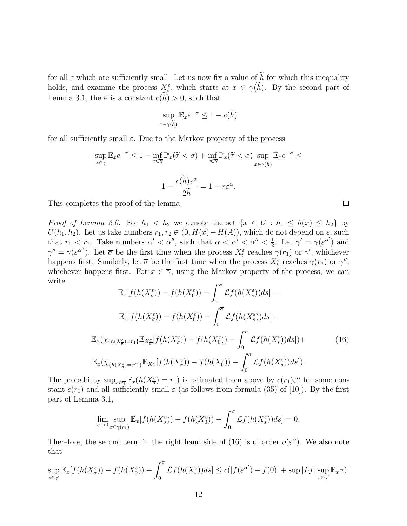for all  $\varepsilon$  which are sufficiently small. Let us now fix a value of  $\widetilde{h}$  for which this inequality holds, and examine the process  $\chi_t^{\varepsilon}$ , which starts at  $x \in \gamma(h)$ . By the second part of Lemma 3.1, there is a constant  $c(\tilde{h}) > 0$ , such that

$$
\sup_{x \in \gamma(\widetilde{h})} \mathbb{E}_x e^{-\sigma} \le 1 - c(\widetilde{h})
$$

for all sufficiently small  $\varepsilon$ . Due to the Markov property of the process

$$
\sup_{x \in \overline{\gamma}} \mathbb{E}_x e^{-\sigma} \le 1 - \inf_{x \in \overline{\gamma}} \mathbb{P}_x(\tilde{\tau} < \sigma) + \inf_{x \in \overline{\gamma}} \mathbb{P}_x(\tilde{\tau} < \sigma) \sup_{x \in \gamma(\tilde{h})} \mathbb{E}_x e^{-\sigma} \le
$$
\n
$$
1 - \frac{c(\tilde{h}) \varepsilon^{\alpha}}{2\tilde{h}} = 1 - r\varepsilon^{\alpha}.
$$

This completes the proof of the lemma.

*Proof of Lemma 2.6.* For  $h_1 < h_2$  we denote the set  $\{x \in U : h_1 \leq h(x) \leq h_2\}$  by  $U(h_1, h_2)$ . Let us take numbers  $r_1, r_2 \in (0, H(x) - H(A))$ , which do not depend on  $\varepsilon$ , such that  $r_1 < r_2$ . Take numbers  $\alpha' < \alpha''$ , such that  $\alpha < \alpha' < \alpha'' < \frac{1}{2}$  $\frac{1}{2}$ . Let  $\gamma' = \gamma(\varepsilon^{\alpha'})$  and  $\gamma'' = \gamma(\varepsilon^{\alpha''})$ . Let  $\overline{\sigma}$  be the first time when the process  $X_t^{\varepsilon}$  reaches  $\gamma(r_1)$  or  $\gamma'$ , whichever happens first. Similarly, let  $\overline{\overline{\sigma}}$  be the first time when the process  $X_t^{\varepsilon}$  reaches  $\gamma(r_2)$  or  $\gamma''$ , whichever happens first. For  $x \in \overline{\gamma}$ , using the Markov property of the process, we can write

$$
\mathbb{E}_{x}[f(h(X_{\sigma}^{\varepsilon})) - f(h(X_{0}^{\varepsilon})) - \int_{0}^{\sigma} \mathcal{L}f(h(X_{s}^{\varepsilon}))ds] =
$$
\n
$$
\mathbb{E}_{x}[f(h(X_{\sigma}^{\varepsilon})) - f(h(X_{0}^{\varepsilon})) - \int_{0}^{\sigma} \mathcal{L}f(h(X_{s}^{\varepsilon}))ds] +
$$
\n
$$
\mathbb{E}_{x}(\chi_{\{h(X_{\sigma}^{\varepsilon}) = r_{1}\}} \mathbb{E}_{X_{\sigma}^{\varepsilon}}[f(h(X_{\sigma}^{\varepsilon})) - f(h(X_{0}^{\varepsilon})) - \int_{0}^{\sigma} \mathcal{L}f(h(X_{s}^{\varepsilon}))ds] +
$$
\n
$$
\mathbb{E}_{x}(\chi_{\{h(X_{\sigma}^{\varepsilon}) = \varepsilon^{\alpha'}\}} \mathbb{E}_{X_{\sigma}^{\varepsilon}}[f(h(X_{\sigma}^{\varepsilon})) - f(h(X_{0}^{\varepsilon})) - \int_{0}^{\sigma} \mathcal{L}f(h(X_{s}^{\varepsilon}))ds].
$$
\n(16)

The probability  $\sup_{x \in \overline{\gamma}} \mathbb{P}_x(h(X_{\overline{\sigma}}^{\varepsilon}) = r_1)$  is estimated from above by  $c(r_1) \varepsilon^{\alpha}$  for some constant  $c(r_1)$  and all sufficiently small  $\varepsilon$  (as follows from formula (35) of [10]). By the first part of Lemma 3.1,

$$
\lim_{\varepsilon \to 0} \sup_{x \in \gamma(r_1)} \mathbb{E}_x[f(h(X_\sigma^\varepsilon)) - f(h(X_0^\varepsilon)) - \int_0^\sigma \mathcal{L}f(h(X_s^\varepsilon))ds] = 0.
$$

Therefore, the second term in the right hand side of (16) is of order  $o(\varepsilon^{\alpha})$ . We also note that

$$
\sup_{x \in \gamma'} \mathbb{E}_x[f(h(X_\sigma^\varepsilon)) - f(h(X_0^\varepsilon)) - \int_0^\sigma \mathcal{L}f(h(X_s^\varepsilon))ds] \le c(|f(\varepsilon^{\alpha'}) - f(0)| + \sup|Lf| \sup_{x \in \gamma'} \mathbb{E}_x \sigma).
$$

 $\Box$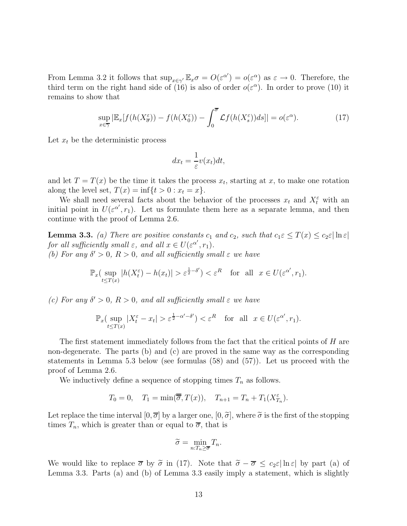From Lemma 3.2 it follows that  $\sup_{x \in \gamma'} \mathbb{E}_x \sigma = O(\varepsilon^{\alpha'}) = o(\varepsilon^{\alpha})$  as  $\varepsilon \to 0$ . Therefore, the third term on the right hand side of (16) is also of order  $o(\varepsilon^{\alpha})$ . In order to prove (10) it remains to show that

$$
\sup_{x \in \overline{\gamma}} |\mathbb{E}_x[f(h(X_{\overline{\sigma}}^{\varepsilon})) - f(h(X_0^{\varepsilon})) - \int_0^{\overline{\sigma}} \mathcal{L}f(h(X_s^{\varepsilon}))ds]| = o(\varepsilon^{\alpha}). \tag{17}
$$

Let  $x_t$  be the deterministic process

$$
dx_t = \frac{1}{\varepsilon}v(x_t)dt,
$$

and let  $T = T(x)$  be the time it takes the process  $x_t$ , starting at x, to make one rotation along the level set,  $T(x) = \inf\{t > 0 : x_t = x\}.$ 

We shall need several facts about the behavior of the processes  $x_t$  and  $X_t^{\varepsilon}$  with an initial point in  $U(\varepsilon^{\alpha'}, r_1)$ . Let us formulate them here as a separate lemma, and then continue with the proof of Lemma 2.6.

**Lemma 3.3.** (a) There are positive constants  $c_1$  and  $c_2$ , such that  $c_1 \varepsilon \leq T(x) \leq c_2 \varepsilon |\ln \varepsilon|$ for all sufficiently small  $\varepsilon$ , and all  $x \in U(\varepsilon^{\alpha'}, r_1)$ . (b) For any  $\delta' > 0$ ,  $R > 0$ , and all sufficiently small  $\varepsilon$  we have

$$
\mathbb{P}_x(\sup_{t \le T(x)} |h(X_t^{\varepsilon}) - h(x_t)| > \varepsilon^{\frac{1}{2} - \delta'}) < \varepsilon^R \quad \text{for all} \ \ x \in U(\varepsilon^{\alpha'}, r_1).
$$

(c) For any  $\delta' > 0$ ,  $R > 0$ , and all sufficiently small  $\varepsilon$  we have

$$
\mathbb{P}_x(\sup_{t \le T(x)} |X_t^{\varepsilon} - x_t| > \varepsilon^{\frac{1}{2} - \alpha' - \delta'}) < \varepsilon^R \quad \text{for all} \ \ x \in U(\varepsilon^{\alpha'}, r_1).
$$

The first statement immediately follows from the fact that the critical points of H are non-degenerate. The parts (b) and (c) are proved in the same way as the corresponding statements in Lemma 5.3 below (see formulas (58) and (57)). Let us proceed with the proof of Lemma 2.6.

We inductively define a sequence of stopping times  $T_n$  as follows.

$$
T_0 = 0
$$
,  $T_1 = \min(\overline{\overline{\sigma}}, T(x))$ ,  $T_{n+1} = T_n + T_1(X_{T_n}^{\varepsilon})$ .

Let replace the time interval  $[0, \overline{\sigma}]$  by a larger one,  $[0, \widetilde{\sigma}]$ , where  $\widetilde{\sigma}$  is the first of the stopping times  $T_n$ , which is greater than or equal to  $\overline{\sigma}$ , that is

$$
\widetilde{\sigma} = \min_{n: T_n \ge \overline{\sigma}} T_n.
$$

We would like to replace  $\bar{\sigma}$  by  $\tilde{\sigma}$  in (17). Note that  $\tilde{\sigma} - \bar{\sigma} \leq c_2 \epsilon |\ln \epsilon|$  by part (a) of Lemma 3.3. Parts (a) and (b) of Lemma 3.3 easily imply a statement, which is slightly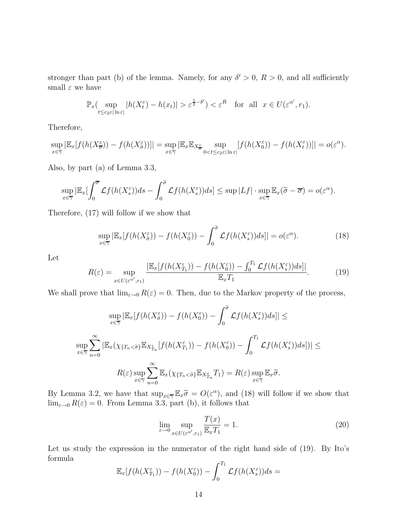stronger than part (b) of the lemma. Namely, for any  $\delta' > 0$ ,  $R > 0$ , and all sufficiently small  $\varepsilon$  we have

$$
\mathbb{P}_x(\sup_{t \le c_2 \varepsilon |\ln \varepsilon|} |h(X_t^{\varepsilon}) - h(x_t)| > \varepsilon^{\frac{1}{2} - \delta'} \le \varepsilon^R \quad \text{for all} \ \ x \in U(\varepsilon^{\alpha'}, r_1).
$$

Therefore,

$$
\sup_{x \in \overline{\gamma}} |\mathbb{E}_x[f(h(X_{\overline{\sigma}}^{\varepsilon})) - f(h(X_{\overline{\sigma}}^{\varepsilon}))]| = \sup_{x \in \overline{\gamma}} |\mathbb{E}_x \mathbb{E}_{X_{\overline{\sigma}}^{\varepsilon}} \sup_{0 < t \leq c_2 \varepsilon |\ln \varepsilon|} [f(h(X_0^{\varepsilon})) - f(h(X_t^{\varepsilon}))]| = o(\varepsilon^{\alpha}).
$$

Also, by part (a) of Lemma 3.3,

$$
\sup_{x \in \overline{\gamma}} |\mathbb{E}_x[ \int_0^{\overline{\sigma}} \mathcal{L}f(h(X_s^{\varepsilon})) ds - \int_0^{\widetilde{\sigma}} \mathcal{L}f(h(X_s^{\varepsilon})) ds] \leq \sup |Lf| \cdot \sup_{x \in \overline{\gamma}} \mathbb{E}_x(\widetilde{\sigma} - \overline{\sigma}) = o(\varepsilon^{\alpha}).
$$

Therefore, (17) will follow if we show that

$$
\sup_{x \in \overline{\gamma}} |\mathbb{E}_x[f(h(X^\varepsilon_{\tilde{\sigma}})) - f(h(X^\varepsilon_0)) - \int_0^{\tilde{\sigma}} \mathcal{L}f(h(X^\varepsilon_s))ds]| = o(\varepsilon^{\alpha}). \tag{18}
$$

Let

$$
R(\varepsilon) = \sup_{x \in U(\varepsilon^{\alpha'}, r_1)} \frac{|\mathbb{E}_x[f(h(X_{T_1}^{\varepsilon})) - f(h(X_0^{\varepsilon})) - \int_0^{T_1} \mathcal{L}f(h(X_s^{\varepsilon}))ds]|}{\mathbb{E}_x T_1}.
$$
 (19)

We shall prove that  $\lim_{\varepsilon\to 0} R(\varepsilon) = 0$ . Then, due to the Markov property of the process,

$$
\sup_{x \in \overline{\gamma}} |\mathbb{E}_x[f(h(X_{\tilde{\sigma}}^{\varepsilon})) - f(h(X_0^{\varepsilon})) - \int_0^{\tilde{\sigma}} \mathcal{L}f(h(X_s^{\varepsilon}))ds]| \le
$$
  

$$
\sup_{x \in \overline{\gamma}} \sum_{n=0}^{\infty} |\mathbb{E}_x(\chi_{\{T_n < \tilde{\sigma}\}} \mathbb{E}_{X_{T_n}^{\varepsilon}}[f(h(X_{T_1}^{\varepsilon})) - f(h(X_0^{\varepsilon})) - \int_0^{T_1} \mathcal{L}f(h(X_s^{\varepsilon}))ds]| \le
$$
  

$$
R(\varepsilon) \sup_{x \in \overline{\gamma}} \sum_{n=0}^{\infty} \mathbb{E}_x(\chi_{\{T_n < \tilde{\sigma}\}} \mathbb{E}_{X_{T_n}^{\varepsilon}} T_1) = R(\varepsilon) \sup_{x \in \overline{\gamma}} \mathbb{E}_x \tilde{\sigma}.
$$

By Lemma 3.2, we have that  $\sup_{x \in \overline{\gamma}} \mathbb{E}_x \tilde{\sigma} = O(\varepsilon^{\alpha})$ , and (18) will follow if we show that  $\lim_{\varepsilon\to 0} R(\varepsilon) = 0$ . From Lemma 3.3, part (b), it follows that

$$
\lim_{\varepsilon \to 0} \sup_{x \in U(\varepsilon^{\alpha'}, r_1)} \frac{T(x)}{\mathbb{E}_x T_1} = 1.
$$
\n(20)

Let us study the expression in the numerator of the right hand side of (19). By Ito's formula

$$
\mathbb{E}_x[f(h(X_{T_1}^{\varepsilon})) - f(h(X_0^{\varepsilon})) - \int_0^{T_1} \mathcal{L}f(h(X_s^{\varepsilon}))ds =
$$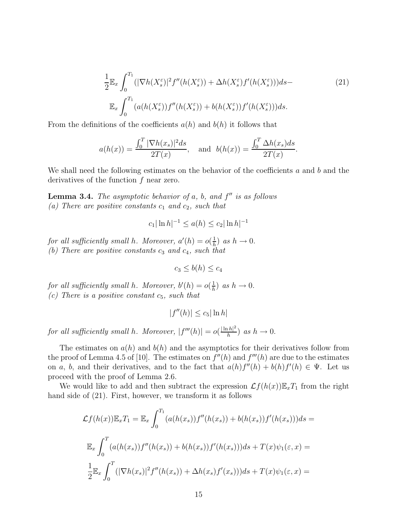$$
\frac{1}{2} \mathbb{E}_x \int_0^{T_1} (|\nabla h(X_s^{\varepsilon})|^2 f''(h(X_s^{\varepsilon})) + \Delta h(X_s^{\varepsilon}) f'(h(X_s^{\varepsilon}))) ds -
$$
\n
$$
\mathbb{E}_x \int_0^{T_1} (a(h(X_s^{\varepsilon})) f''(h(X_s^{\varepsilon})) + b(h(X_s^{\varepsilon})) f'(h(X_s^{\varepsilon}))) ds.
$$
\n(21)

From the definitions of the coefficients  $a(h)$  and  $b(h)$  it follows that

$$
a(h(x)) = \frac{\int_0^T |\nabla h(x_s)|^2 ds}{2T(x)}, \quad \text{and} \quad b(h(x)) = \frac{\int_0^T \Delta h(x_s) ds}{2T(x)}.
$$

We shall need the following estimates on the behavior of the coefficients  $a$  and  $b$  and the derivatives of the function f near zero.

**Lemma 3.4.** The asymptotic behavior of  $a$ ,  $b$ , and  $f''$  is as follows (a) There are positive constants  $c_1$  and  $c_2$ , such that

$$
c_1|\ln h|^{-1} \le a(h) \le c_2|\ln h|^{-1}
$$

for all sufficiently small h. Moreover,  $a'(h) = o(\frac{1}{h})$  $\frac{1}{h}$ ) as  $h \to 0$ . (b) There are positive constants  $c_3$  and  $c_4$ , such that

$$
c_3 \leq b(h) \leq c_4
$$

for all sufficiently small h. Moreover,  $b'(h) = o(\frac{1}{h})$  $\frac{1}{h}$ ) as  $h \to 0$ . (c) There is a positive constant  $c_5$ , such that

$$
|f''(h)| \le c_5 |\ln h|
$$

for all sufficiently small h. Moreover,  $|f'''(h)| = o(\frac{|\ln h|^2}{h})$  $\frac{ln\vert n\vert^2}{h}$  as  $h\to 0$ .

The estimates on  $a(h)$  and  $b(h)$  and the asymptotics for their derivatives follow from the proof of Lemma 4.5 of [10]. The estimates on  $f''(h)$  and  $f'''(h)$  are due to the estimates on a, b, and their derivatives, and to the fact that  $a(h)f''(h) + b(h)f'(h) \in \Psi$ . Let us proceed with the proof of Lemma 2.6.

We would like to add and then subtract the expression  $\mathcal{L}f(h(x))\mathbb{E}_xT_1$  from the right hand side of  $(21)$ . First, however, we transform it as follows

$$
\mathcal{L}f(h(x))\mathbb{E}_x T_1 = \mathbb{E}_x \int_0^{T_1} (a(h(x_s))f''(h(x_s)) + b(h(x_s))f'(h(x_s)))ds =
$$
  

$$
\mathbb{E}_x \int_0^T (a(h(x_s))f''(h(x_s)) + b(h(x_s))f'(h(x_s)))ds + T(x)\psi_1(\varepsilon, x) =
$$
  

$$
\frac{1}{2}\mathbb{E}_x \int_0^T (|\nabla h(x_s)|^2 f''(h(x_s)) + \Delta h(x_s)f'(x_s)))ds + T(x)\psi_1(\varepsilon, x) =
$$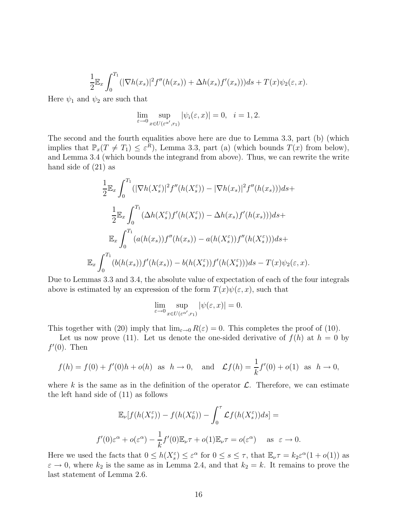$$
\frac{1}{2}\mathbb{E}_x\int_0^{T_1}(|\nabla h(x_s)|^2f''(h(x_s))+\Delta h(x_s)f'(x_s))ds+T(x)\psi_2(\varepsilon,x).
$$

Here  $\psi_1$  and  $\psi_2$  are such that

$$
\lim_{\varepsilon \to 0} \sup_{x \in U(\varepsilon^{\alpha'}, r_1)} |\psi_i(\varepsilon, x)| = 0, \quad i = 1, 2.
$$

The second and the fourth equalities above here are due to Lemma 3.3, part (b) (which implies that  $\mathbb{P}_x(T \neq T_1) \leq \varepsilon^R$ , Lemma 3.3, part (a) (which bounds  $T(x)$  from below), and Lemma 3.4 (which bounds the integrand from above). Thus, we can rewrite the write hand side of (21) as

$$
\frac{1}{2} \mathbb{E}_x \int_0^{T_1} (|\nabla h(X_s^{\varepsilon})|^2 f''(h(X_s^{\varepsilon})) - |\nabla h(x_s)|^2 f''(h(x_s))) ds +
$$
  

$$
\frac{1}{2} \mathbb{E}_x \int_0^{T_1} (\Delta h(X_s^{\varepsilon}) f'(h(X_s^{\varepsilon})) - \Delta h(x_s) f'(h(x_s))) ds +
$$
  

$$
\mathbb{E}_x \int_0^{T_1} (a(h(x_s)) f''(h(x_s)) - a(h(X_s^{\varepsilon})) f''(h(X_s^{\varepsilon}))) ds +
$$
  

$$
\mathbb{E}_x \int_0^{T_1} (b(h(x_s)) f'(h(x_s)) - b(h(X_s^{\varepsilon})) f'(h(X_s^{\varepsilon}))) ds - T(x) \psi_2(\varepsilon, x).
$$

Due to Lemmas 3.3 and 3.4, the absolute value of expectation of each of the four integrals above is estimated by an expression of the form  $T(x)\psi(\varepsilon, x)$ , such that

$$
\lim_{\varepsilon \to 0} \sup_{x \in U(\varepsilon^{\alpha'}, r_1)} |\psi(\varepsilon, x)| = 0.
$$

This together with (20) imply that  $\lim_{\varepsilon \to 0} R(\varepsilon) = 0$ . This completes the proof of (10).

Let us now prove (11). Let us denote the one-sided derivative of  $f(h)$  at  $h = 0$  by  $f'(0)$ . Then

$$
f(h) = f(0) + f'(0)h + o(h)
$$
 as  $h \to 0$ , and  $\mathcal{L}f(h) = \frac{1}{k}f'(0) + o(1)$  as  $h \to 0$ ,

where k is the same as in the definition of the operator  $\mathcal{L}$ . Therefore, we can estimate the left hand side of (11) as follows

$$
\mathbb{E}_{\nu}[f(h(X_{\tau}^{\varepsilon})) - f(h(X_0^{\varepsilon})) - \int_0^{\tau} \mathcal{L}f(h(X_s^{\varepsilon}))ds] =
$$
  

$$
f'(0)\varepsilon^{\alpha} + o(\varepsilon^{\alpha}) - \frac{1}{k}f'(0)\mathbb{E}_{\nu}\tau + o(1)\mathbb{E}_{\nu}\tau = o(\varepsilon^{\alpha}) \quad \text{as } \varepsilon \to 0.
$$

Here we used the facts that  $0 \le h(X_s^{\varepsilon}) \le \varepsilon^{\alpha}$  for  $0 \le s \le \tau$ , that  $\mathbb{E}_{\nu} \tau = k_2 \varepsilon^{\alpha} (1 + o(1))$  as  $\varepsilon \to 0$ , where  $k_2$  is the same as in Lemma 2.4, and that  $k_2 = k$ . It remains to prove the last statement of Lemma 2.6.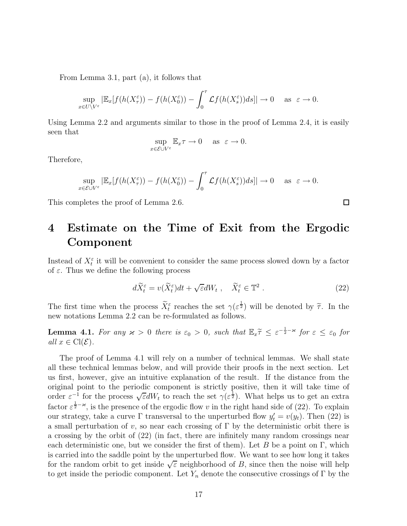From Lemma 3.1, part (a), it follows that

$$
\sup_{x \in U \setminus V^{\varepsilon}} |\mathbb{E}_x[f(h(X_{\tau}^{\varepsilon})) - f(h(X_0^{\varepsilon})) - \int_0^{\tau} \mathcal{L}f(h(X_s^{\varepsilon}))ds]| \to 0 \quad \text{as } \varepsilon \to 0.
$$

Using Lemma 2.2 and arguments similar to those in the proof of Lemma 2.4, it is easily seen that

$$
\sup_{x \in \mathcal{E} \cup V^{\varepsilon}} \mathbb{E}_x \tau \to 0 \quad \text{as} \ \varepsilon \to 0.
$$

Therefore,

$$
\sup_{x \in \mathcal{E} \cup V^{\varepsilon}} |\mathbb{E}_x[f(h(X_{\tau}^{\varepsilon})) - f(h(X_0^{\varepsilon})) - \int_0^{\tau} \mathcal{L}f(h(X_s^{\varepsilon})) ds]| \to 0 \quad \text{as } \varepsilon \to 0.
$$

This completes the proof of Lemma 2.6.

### 4 Estimate on the Time of Exit from the Ergodic Component

Instead of  $X_t^{\varepsilon}$  it will be convenient to consider the same process slowed down by a factor of  $\varepsilon$ . Thus we define the following process

$$
d\widetilde{X}_t^{\varepsilon} = v(\widetilde{X}_t^{\varepsilon})dt + \sqrt{\varepsilon}dW_t , \quad \widetilde{X}_t^{\varepsilon} \in \mathbb{T}^2 . \tag{22}
$$

The first time when the process  $\widetilde{X}_{t}^{\varepsilon}$  reaches the set  $\gamma(\varepsilon^{\frac{1}{2}})$  will be denoted by  $\widetilde{\tau}$ . In the new notations Lemma 2.2 can be re-formulated as follows.

**Lemma 4.1.** For any  $\varkappa > 0$  there is  $\varepsilon_0 > 0$ , such that  $\mathbb{E}_x \tilde{\tau} \leq \varepsilon^{-\frac{1}{2} - \varkappa}$  for  $\varepsilon \leq \varepsilon_0$  for all  $x \in \text{Cl}(\mathcal{E})$ .

The proof of Lemma 4.1 will rely on a number of technical lemmas. We shall state all these technical lemmas below, and will provide their proofs in the next section. Let us first, however, give an intuitive explanation of the result. If the distance from the original point to the periodic component is strictly positive, then it will take time of order  $\varepsilon^{-1}$  for the process  $\sqrt{\varepsilon}dW_t$  to reach the set  $\gamma(\varepsilon^{\frac{1}{2}})$ . What helps us to get an extra factor  $\varepsilon^{\frac{1}{2}-\varkappa}$ , is the presence of the ergodic flow v in the right hand side of (22). To explain our strategy, take a curve  $\Gamma$  transversal to the unperturbed flow  $y_t' = v(y_t)$ . Then (22) is a small perturbation of v, so near each crossing of  $\Gamma$  by the deterministic orbit there is a crossing by the orbit of (22) (in fact, there are infinitely many random crossings near each deterministic one, but we consider the first of them). Let B be a point on  $\Gamma$ , which is carried into the saddle point by the unperturbed flow. We want to see how long it takes for the random orbit to get inside  $\sqrt{\varepsilon}$  neighborhood of B, since then the noise will help to get inside the periodic component. Let  $Y_n$  denote the consecutive crossings of  $\Gamma$  by the

 $\Box$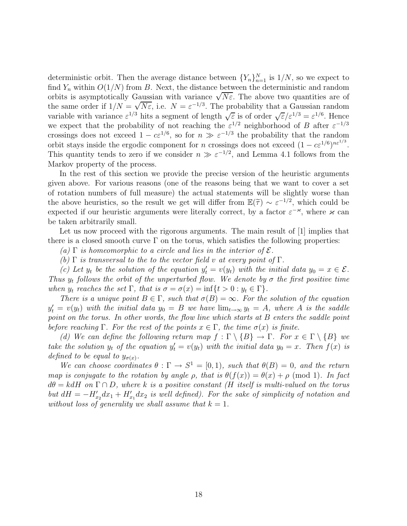deterministic orbit. Then the average distance between  $\{Y_n\}_{n=1}^N$  is  $1/N$ , so we expect to find  $Y_n$  within  $O(1/N)$  from B. Next, the distance between the deterministic and random orbits is asymptotically Gaussian with variance  $\sqrt{N\epsilon}$ . The above two quantities are of the same order if  $1/N = \sqrt{N\varepsilon}$ , i.e.  $N = \varepsilon^{-1/3}$ . The probability that a Gaussian random variable with variance  $\varepsilon^{1/3}$  hits a segment of length  $\sqrt{\varepsilon}$  is of order  $\sqrt{\varepsilon}/\varepsilon^{1/3} = \varepsilon^{1/6}$ . Hence we expect that the probability of not reaching the  $\varepsilon^{1/2}$  neighborhood of B after  $\varepsilon^{-1/3}$ crossings does not exceed  $1 - c \epsilon^{1/6}$ , so for  $n \gg \epsilon^{-1/3}$  the probability that the random orbit stays inside the ergodic component for n crossings does not exceed  $(1 - c\varepsilon^{1/6})^{n\varepsilon^{1/3}}$ . This quantity tends to zero if we consider  $n \gg \varepsilon^{-1/2}$ , and Lemma 4.1 follows from the Markov property of the process.

In the rest of this section we provide the precise version of the heuristic arguments given above. For various reasons (one of the reasons being that we want to cover a set of rotation numbers of full measure) the actual statements will be slightly worse than the above heuristics, so the result we get will differ from  $\mathbb{E}(\tilde{\tau}) \sim \varepsilon^{-1/2}$ , which could be<br>expected if sure have it is aggregate group literally expected by a factor  $\tau$ <sup>x</sup> where  $\tau$  and expected if our heuristic arguments were literally correct, by a factor  $\varepsilon^{-\varkappa}$ , where  $\varkappa$  can be taken arbitrarily small.

Let us now proceed with the rigorous arguments. The main result of [1] implies that there is a closed smooth curve  $\Gamma$  on the torus, which satisfies the following properties:

(a)  $\Gamma$  is homeomorphic to a circle and lies in the interior of  $\mathcal{E}$ .

(b)  $\Gamma$  is transversal to the to the vector field v at every point of  $\Gamma$ .

(c) Let  $y_t$  be the solution of the equation  $y'_t = v(y_t)$  with the initial data  $y_0 = x \in \mathcal{E}$ . Thus  $y_t$  follows the orbit of the unperturbed flow. We denote by  $\sigma$  the first positive time when  $y_t$  reaches the set  $\Gamma$ , that is  $\sigma = \sigma(x) = \inf\{t > 0 : y_t \in \Gamma\}.$ 

There is a unique point  $B \in \Gamma$ , such that  $\sigma(B) = \infty$ . For the solution of the equation  $y_t' = v(y_t)$  with the initial data  $y_0 = B$  we have  $\lim_{t\to\infty} y_t = A$ , where A is the saddle point on the torus. In other words, the flow line which starts at B enters the saddle point before reaching  $\Gamma$ . For the rest of the points  $x \in \Gamma$ , the time  $\sigma(x)$  is finite.

(d) We can define the following return map  $f : \Gamma \setminus \{B\} \to \Gamma$ . For  $x \in \Gamma \setminus \{B\}$  we take the solution  $y_t$  of the equation  $y'_t = v(y_t)$  with the initial data  $y_0 = x$ . Then  $f(x)$  is defined to be equal to  $y_{\sigma(x)}$ .

We can choose coordinates  $\theta : \Gamma \to S^1 = [0, 1)$ , such that  $\theta(B) = 0$ , and the return map is conjugate to the rotation by angle  $\rho$ , that is  $\theta(f(x)) = \theta(x) + \rho \pmod{1}$ . In fact  $d\theta = k dH$  on  $\Gamma \cap D$ , where k is a positive constant (H itself is multi-valued on the torus but  $dH = -H'_{x_2}dx_1 + H'_{x_1}dx_2$  is well defined). For the sake of simplicity of notation and without loss of generality we shall assume that  $k = 1$ .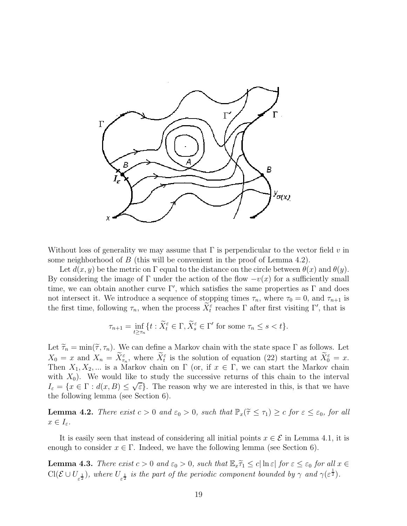

Without loss of generality we may assume that  $\Gamma$  is perpendicular to the vector field v in some neighborhood of  $B$  (this will be convenient in the proof of Lemma 4.2).

Let  $d(x, y)$  be the metric on Γ equal to the distance on the circle between  $\theta(x)$  and  $\theta(y)$ . By considering the image of Γ under the action of the flow  $-v(x)$  for a sufficiently small time, we can obtain another curve  $\Gamma'$ , which satisfies the same properties as  $\Gamma$  and does not intersect it. We introduce a sequence of stopping times  $\tau_n$ , where  $\tau_0 = 0$ , and  $\tau_{n+1}$  is the first time, following  $\tau_n$ , when the process  $\bar{X}_t^{\varepsilon}$  reaches  $\Gamma$  after first visiting  $\Gamma'$ , that is

$$
\tau_{n+1} = \inf_{t \ge \tau_n} \{ t : \widetilde{X}_t^{\varepsilon} \in \Gamma, \widetilde{X}_s^{\varepsilon} \in \Gamma' \text{ for some } \tau_n \le s < t \}.
$$

Let  $\widetilde{\tau}_n = \min(\widetilde{\tau}, \tau_n)$ . We can define a Markov chain with the state space  $\Gamma$  as follows. Let  $X_0 = x$  and  $X_n = \bar{X}_{\tau_n}^{\varepsilon}$ , where  $\bar{X}_{t}^{\varepsilon}$  is the solution of equation (22) starting at  $\bar{X}_{0}^{\varepsilon} = x$ . Then  $X_1, X_2, \dots$  is a Markov chain on  $\Gamma$  (or, if  $x \in \Gamma$ , we can start the Markov chain with  $X_0$ ). We would like to study the successive returns of this chain to the interval  $I_{\varepsilon} = \{x \in \Gamma : d(x, B) \leq \sqrt{\varepsilon}\}.$  The reason why we are interested in this, is that we have the following lemma (see Section 6).

**Lemma 4.2.** There exist  $c > 0$  and  $\varepsilon_0 > 0$ , such that  $\mathbb{P}_x(\tilde{\tau} \leq \tau_1) \geq c$  for  $\varepsilon \leq \varepsilon_0$ , for all  $x \in I_{\varepsilon}.$ 

It is easily seen that instead of considering all initial points  $x \in \mathcal{E}$  in Lemma 4.1, it is enough to consider  $x \in \Gamma$ . Indeed, we have the following lemma (see Section 6).

**Lemma 4.3.** There exist  $c > 0$  and  $\varepsilon_0 > 0$ , such that  $\mathbb{E}_x \widetilde{\tau}_1 \leq c |\ln \varepsilon|$  for  $\varepsilon \leq \varepsilon_0$  for all  $x \in$  $Cl(\mathcal{E} \cup U_{\varepsilon^{\frac{1}{2}}})$ , where  $U_{\varepsilon^{\frac{1}{2}}}$  is the part of the periodic component bounded by  $\gamma$  and  $\gamma(\varepsilon^{\frac{1}{2}})$ .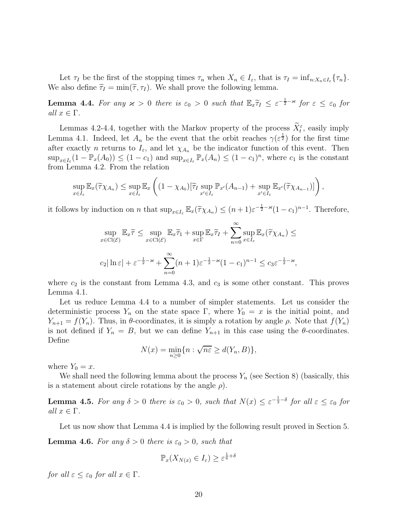Let  $\tau_I$  be the first of the stopping times  $\tau_n$  when  $X_n \in I_\varepsilon$ , that is  $\tau_I = \inf_{n:X_n \in I_\varepsilon} {\tau_n}$ . We also define  $\widetilde{\tau}_I = \min(\widetilde{\tau}, \tau_I)$ . We shall prove the following lemma.

**Lemma 4.4.** For any  $\varkappa > 0$  there is  $\varepsilon_0 > 0$  such that  $\mathbb{E}_x \widetilde{\tau}_I \leq \varepsilon^{-\frac{1}{2} - \varkappa}$  for  $\varepsilon \leq \varepsilon_0$  for all  $x \in \Gamma$ .

Lemmas 4.2-4.4, together with the Markov property of the process  $X_t^{\varepsilon}$ , easily imply Lemma 4.1. Indeed, let  $A_n$  be the event that the orbit reaches  $\gamma(\varepsilon^{\frac{1}{2}})$  for the first time after exactly n returns to  $I_{\varepsilon}$ , and let  $\chi_{A_n}$  be the indicator function of this event. Then  $\sup_{x\in I_{\varepsilon}}(1-\mathbb{P}_x(A_0))\leq (1-c_1)$  and  $\sup_{x\in I_{\varepsilon}}\mathbb{P}_x(A_n)\leq (1-c_1)^n$ , where  $c_1$  is the constant from Lemma 4.2. From the relation

$$
\sup_{x \in I_{\varepsilon}} \mathbb{E}_x(\widetilde{\tau}\chi_{A_n}) \leq \sup_{x \in I_{\varepsilon}} \mathbb{E}_x\left( (1 - \chi_{A_0})[\widetilde{\tau}_I \sup_{x' \in I_{\varepsilon}} \mathbb{P}_{x'}(A_{n-1}) + \sup_{x' \in I_{\varepsilon}} \mathbb{E}_{x'}(\widetilde{\tau}\chi_{A_{n-1}})] \right),
$$

it follows by induction on *n* that  $\sup_{x \in I_{\varepsilon}} \mathbb{E}_x(\tilde{\tau} \chi_{A_n}) \leq (n+1)\varepsilon^{-\frac{1}{2}-\varkappa}(1-c_1)^{n-1}$ . Therefore,

$$
\sup_{x \in \text{Cl}(\mathcal{E})} \mathbb{E}_x \widetilde{\tau} \le \sup_{x \in \text{Cl}(\mathcal{E})} \mathbb{E}_x \widetilde{\tau}_1 + \sup_{x \in \Gamma} \mathbb{E}_x \widetilde{\tau}_1 + \sum_{n=0}^{\infty} \sup_{x \in I_{\varepsilon}} \mathbb{E}_x(\widetilde{\tau} \chi_{A_n}) \le
$$
  

$$
c_2 |\ln \varepsilon| + \varepsilon^{-\frac{1}{2} - \varkappa} + \sum_{n=0}^{\infty} (n+1) \varepsilon^{-\frac{1}{2} - \varkappa} (1 - c_1)^{n-1} \le c_3 \varepsilon^{-\frac{1}{2} - \varkappa},
$$

where  $c_2$  is the constant from Lemma 4.3, and  $c_3$  is some other constant. This proves Lemma 4.1.

Let us reduce Lemma 4.4 to a number of simpler statements. Let us consider the deterministic process  $Y_n$  on the state space  $\Gamma$ , where  $Y_0 = x$  is the initial point, and  $Y_{n+1} = f(Y_n)$ . Thus, in  $\theta$ -coordinates, it is simply a rotation by angle  $\rho$ . Note that  $f(Y_n)$ is not defined if  $Y_n = B$ , but we can define  $Y_{n+1}$  in this case using the  $\theta$ -coordinates. Define

$$
N(x) = \min_{n \ge 0} \{ n : \sqrt{n\varepsilon} \ge d(Y_n, B) \},
$$

where  $Y_0 = x$ .

We shall need the following lemma about the process  $Y_n$  (see Section 8) (basically, this is a statement about circle rotations by the angle  $\rho$ ).

**Lemma 4.5.** For any  $\delta > 0$  there is  $\varepsilon_0 > 0$ , such that  $N(x) \leq \varepsilon^{-\frac{1}{3} - \delta}$  for all  $\varepsilon \leq \varepsilon_0$  for all  $x \in \Gamma$ .

Let us now show that Lemma 4.4 is implied by the following result proved in Section 5.

**Lemma 4.6.** For any  $\delta > 0$  there is  $\varepsilon_0 > 0$ , such that

$$
\mathbb{P}_x(X_{N(x)} \in I_\varepsilon) \geq \varepsilon^{\frac{1}{6} + \delta}
$$

for all  $\varepsilon \leq \varepsilon_0$  for all  $x \in \Gamma$ .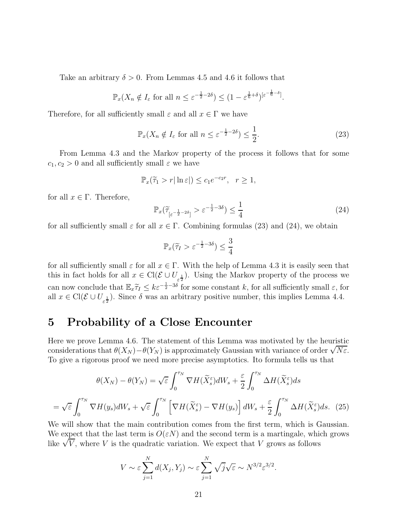Take an arbitrary  $\delta > 0$ . From Lemmas 4.5 and 4.6 it follows that

$$
\mathbb{P}_x(X_n \notin I_{\varepsilon} \text{ for all } n \le \varepsilon^{-\frac{1}{2}-2\delta}) \le (1-\varepsilon^{\frac{1}{6}+\delta})^{[\varepsilon^{-\frac{1}{6}-\delta}]}.
$$

Therefore, for all sufficiently small  $\varepsilon$  and all  $x \in \Gamma$  we have

$$
\mathbb{P}_x(X_n \notin I_\varepsilon \text{ for all } n \le \varepsilon^{-\frac{1}{2}-2\delta}) \le \frac{1}{2}.\tag{23}
$$

From Lemma 4.3 and the Markov property of the process it follows that for some  $c_1, c_2 > 0$  and all sufficiently small  $\varepsilon$  we have

$$
\mathbb{P}_x(\widetilde{\tau}_1 > r | \ln \varepsilon|) \le c_1 e^{-c_2 r}, \quad r \ge 1,
$$

for all  $x \in \Gamma$ . Therefore,

$$
\mathbb{P}_x(\widetilde{\tau}_{\left[\varepsilon^{-\frac{1}{2}-2\delta}\right]} > \varepsilon^{-\frac{1}{2}-3\delta}) \le \frac{1}{4} \tag{24}
$$

for all sufficiently small  $\varepsilon$  for all  $x \in \Gamma$ . Combining formulas (23) and (24), we obtain

$$
\mathbb{P}_x(\widetilde{\tau}_I > \varepsilon^{-\frac{1}{2} - 3\delta}) \le \frac{3}{4}
$$

for all sufficiently small  $\varepsilon$  for all  $x \in \Gamma$ . With the help of Lemma 4.3 it is easily seen that this in fact holds for all  $x \in \text{Cl}(\mathcal{E} \cup U_{\varepsilon^{\frac{1}{2}}})$ . Using the Markov property of the process we can now conclude that  $\mathbb{E}_x \widetilde{\tau}_I \leq k \varepsilon^{-\frac{1}{2}-3\delta}$  for some constant k, for all sufficiently small  $\varepsilon$ , for all  $x \in \text{Cl}(\mathcal{E} \cup U_{\epsilon^{\frac{1}{2}}})$ . Since  $\delta$  was an arbitrary positive number, this implies Lemma 4.4.

#### 5 Probability of a Close Encounter

Here we prove Lemma 4.6. The statement of this Lemma was motivated by the heuristic considerations that  $\theta(X_N) - \theta(Y_N)$  is approximately Gaussian with variance of order  $\sqrt{N \varepsilon}$ . To give a rigorous proof we need more precise asymptotics. Ito formula tells us that

$$
\theta(X_N) - \theta(Y_N) = \sqrt{\varepsilon} \int_0^{\tau_N} \nabla H(\widetilde{X}_s^\varepsilon) dW_s + \frac{\varepsilon}{2} \int_0^{\tau_N} \Delta H(\widetilde{X}_s^\varepsilon) ds
$$

$$
= \sqrt{\varepsilon} \int_0^{\tau_N} \nabla H(y_s) dW_s + \sqrt{\varepsilon} \int_0^{\tau_N} \left[ \nabla H(\widetilde{X}_s^\varepsilon) - \nabla H(y_s) \right] dW_s + \frac{\varepsilon}{2} \int_0^{\tau_N} \Delta H(\widetilde{X}_s^\varepsilon) ds. \tag{25}
$$

We will show that the main contribution comes from the first term, which is Gaussian. We expect that the last term is  $O(\varepsilon N)$  and the second term is a martingale, which grows like  $\sqrt{V}$ , where V is the quadratic variation. We expect that V grows as follows

$$
V \sim \varepsilon \sum_{j=1}^{N} d(X_j, Y_j) \sim \varepsilon \sum_{j=1}^{N} \sqrt{j} \sqrt{\varepsilon} \sim N^{3/2} \varepsilon^{3/2}.
$$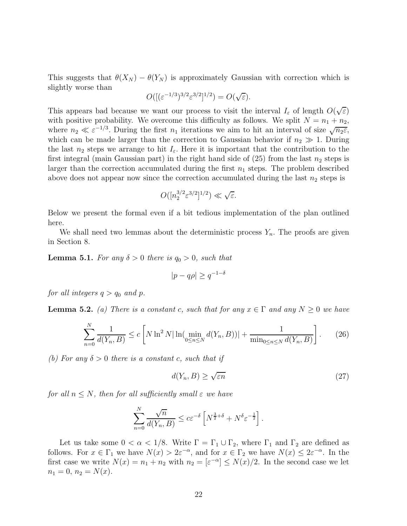This suggests that  $\theta(X_N) - \theta(Y_N)$  is approximately Gaussian with correction which is slightly worse than

$$
O([({\varepsilon}^{-1/3})^{3/2} {\varepsilon}^{3/2}]^{1/2}) = O(\sqrt{\varepsilon}).
$$

This appears bad because we want our process to visit the interval  $I_{\varepsilon}$  of length  $O(\sqrt{\varepsilon})$ with positive probability. We overcome this difficulty as follows. We split  $N = n_1 + n_2$ , where  $n_2 \ll \varepsilon^{-1/3}$ . During the first  $n_1$  iterations we aim to hit an interval of size  $\sqrt{n_2\varepsilon}$ , which can be made larger than the correction to Gaussian behavior if  $n_2 \gg 1$ . During the last  $n_2$  steps we arrange to hit  $I_{\varepsilon}$ . Here it is important that the contribution to the first integral (main Gaussian part) in the right hand side of  $(25)$  from the last  $n_2$  steps is larger than the correction accumulated during the first  $n_1$  steps. The problem described above does not appear now since the correction accumulated during the last  $n_2$  steps is

$$
O([n_2^{3/2}\varepsilon^{3/2}]^{1/2}) \ll \sqrt{\varepsilon}.
$$

Below we present the formal even if a bit tedious implementation of the plan outlined here.

We shall need two lemmas about the deterministic process  $Y_n$ . The proofs are given in Section 8.

**Lemma 5.1.** For any  $\delta > 0$  there is  $q_0 > 0$ , such that

$$
|p - q\rho| \ge q^{-1-\delta}
$$

for all integers  $q > q_0$  and p.

**Lemma 5.2.** (a) There is a constant c, such that for any  $x \in \Gamma$  and any  $N \geq 0$  we have

$$
\sum_{n=0}^{N} \frac{1}{d(Y_n, B)} \le c \left[ N \ln^2 N |\ln(\min_{0 \le n \le N} d(Y_n, B))| + \frac{1}{\min_{0 \le n \le N} d(Y_n, B)} \right].
$$
 (26)

(b) For any  $\delta > 0$  there is a constant c, such that if

$$
d(Y_n, B) \ge \sqrt{\varepsilon n} \tag{27}
$$

for all  $n \leq N$ , then for all sufficiently small  $\varepsilon$  we have

$$
\sum_{n=0}^{N} \frac{\sqrt{n}}{d(Y_n, B)} \le c \varepsilon^{-\delta} \left[ N^{\frac{3}{2} + \delta} + N^{\delta} \varepsilon^{-\frac{1}{2}} \right].
$$

Let us take some  $0 < \alpha < 1/8$ . Write  $\Gamma = \Gamma_1 \cup \Gamma_2$ , where  $\Gamma_1$  and  $\Gamma_2$  are defined as follows. For  $x \in \Gamma_1$  we have  $N(x) > 2\varepsilon^{-\alpha}$ , and for  $x \in \Gamma_2$  we have  $N(x) \leq 2\varepsilon^{-\alpha}$ . In the first case we write  $N(x) = n_1 + n_2$  with  $n_2 = \lfloor \varepsilon^{-\alpha} \rfloor \le N(x)/2$ . In the second case we let  $n_1 = 0, n_2 = N(x).$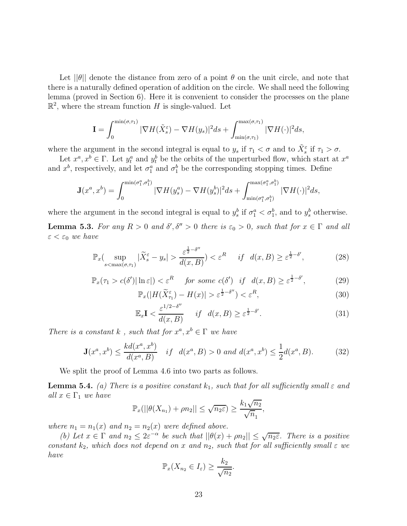Let  $||\theta||$  denote the distance from zero of a point  $\theta$  on the unit circle, and note that there is a naturally defined operation of addition on the circle. We shall need the following lemma (proved in Section 6). Here it is convenient to consider the processes on the plane  $\mathbb{R}^2$ , where the stream function H is single-valued. Let

$$
\mathbf{I} = \int_0^{\min(\sigma,\tau_1)} |\nabla H(\tilde{X}_s^{\varepsilon}) - \nabla H(y_s)|^2 ds + \int_{\min(\sigma,\tau_1)}^{\max(\sigma,\tau_1)} |\nabla H(\cdot)|^2 ds,
$$

where the argument in the second integral is equal to  $y_s$  if  $\tau_1 < \sigma$  and to  $\tilde{X}_s^{\varepsilon}$  if  $\tau_1 > \sigma$ .

Let  $x^a, x^b \in \Gamma$ . Let  $y_t^a$  and  $y_t^b$  be the orbits of the unperturbed flow, which start at  $x^a$ and  $x^b$ , respectively, and let  $\sigma_1^a$  and  $\sigma_1^b$  be the corresponding stopping times. Define

$$
\mathbf{J}(x^a, x^b) = \int_0^{\min(\sigma_1^a, \sigma_1^b)} |\nabla H(y^a_s) - \nabla H(y^b_s)|^2 ds + \int_{\min(\sigma_1^a, \sigma_1^b)}^{\max(\sigma_1^a, \sigma_1^b)} |\nabla H(\cdot)|^2 ds,
$$

where the argument in the second integral is equal to  $y_s^b$  if  $\sigma_1^a < \sigma_1^b$ , and to  $y_s^b$  otherwise.

**Lemma 5.3.** For any  $R > 0$  and  $\delta', \delta'' > 0$  there is  $\varepsilon_0 > 0$ , such that for  $x \in \Gamma$  and all  $\varepsilon < \varepsilon_0$  we have

$$
\mathbb{P}_x\left(\sup_{s<\max(\sigma,\tau_1)}|\widetilde{X}_s^{\varepsilon}-y_s|>\frac{\varepsilon^{\frac{1}{2}-\delta''}}{d(x,B)}\right)<\varepsilon^R \quad \text{if} \quad d(x,B)\geq\varepsilon^{\frac{1}{2}-\delta'},\tag{28}
$$

$$
\mathbb{P}_x(\tau_1 > c(\delta')|\ln \varepsilon|) < \varepsilon^R \quad \text{for some } c(\delta') \text{ if } d(x, B) \ge \varepsilon^{\frac{1}{2} - \delta'}, \tag{29}
$$

$$
\mathbb{P}_x(|H(\widetilde{X}_{\tau_1}^{\varepsilon}) - H(x)| > \varepsilon^{\frac{1}{2} - \delta''}) < \varepsilon^R,\tag{30}
$$

$$
\mathbb{E}_x \mathbf{I} < \frac{\varepsilon^{1/2 - \delta''}}{d(x, B)} \quad \text{if} \quad d(x, B) \ge \varepsilon^{\frac{1}{2} - \delta'}.\tag{31}
$$

There is a constant k, such that for  $x^a, x^b \in \Gamma$  we have

$$
\mathbf{J}(x^a, x^b) \le \frac{kd(x^a, x^b)}{d(x^a, B)} \quad \text{if} \quad d(x^a, B) > 0 \text{ and } d(x^a, x^b) \le \frac{1}{2}d(x^a, B). \tag{32}
$$

We split the proof of Lemma 4.6 into two parts as follows.

**Lemma 5.4.** (a) There is a positive constant  $k_1$ , such that for all sufficiently small  $\varepsilon$  and all  $x \in \Gamma_1$  we have

$$
\mathbb{P}_x(||\theta(X_{n_1}) + \rho n_2|| \leq \sqrt{n_2 \varepsilon} \geq \frac{k_1 \sqrt{n_2}}{\sqrt{n_1}},
$$

where  $n_1 = n_1(x)$  and  $n_2 = n_2(x)$  were defined above.

(b) Let  $x \in \Gamma$  and  $n_2 \leq 2\varepsilon^{-\alpha}$  be such that  $||\theta(x) + \rho n_2|| \leq \sqrt{n_2\varepsilon}$ . There is a positive constant  $k_2$ , which does not depend on x and  $n_2$ , such that for all sufficiently small  $\varepsilon$  we have

$$
\mathbb{P}_x(X_{n_2} \in I_{\varepsilon}) \geq \frac{k_2}{\sqrt{n_2}}.
$$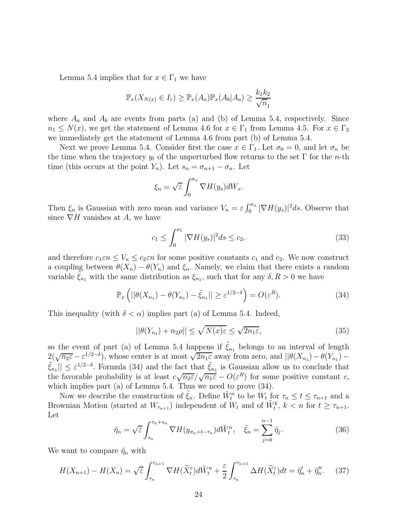Lemma 5.4 implies that for  $x \in \Gamma_1$  we have

$$
\mathbb{P}_x(X_{N(x)} \in I_\varepsilon) \ge \mathbb{P}_x(A_a) \mathbb{P}_x(A_b|A_a) \ge \frac{k_1 k_2}{\sqrt{n_1}}
$$

where  $A_a$  and  $A_b$  are events from parts (a) and (b) of Lemma 5.4, respectively. Since  $n_1 \leq N(x)$ , we get the statement of Lemma 4.6 for  $x \in \Gamma_1$  from Lemma 4.5. For  $x \in \Gamma_2$ we immediately get the statement of Lemma 4.6 from part (b) of Lemma 5.4.

Next we prove Lemma 5.4. Consider first the case  $x \in \Gamma_1$ . Let  $\sigma_0 = 0$ , and let  $\sigma_n$  be the time when the trajectory  $y_t$  of the unperturbed flow returns to the set  $\Gamma$  for the *n*-th time (this occurs at the point  $Y_n$ ). Let  $s_n = \sigma_{n+1} - \sigma_n$ . Let

$$
\xi_n = \sqrt{\varepsilon} \int_0^{\sigma_n} \nabla H(y_s) dW_s.
$$

Then  $\xi_n$  is Gaussian with zero mean and variance  $V_n = \varepsilon \int_0^{\sigma_n} |\nabla H(y_s)|^2 ds$ . Observe that since  $\nabla H$  vanishes at A, we have

$$
c_1 \le \int_0^{\sigma_1} |\nabla H(y_s)|^2 ds \le c_2,
$$
\n(33)

and therefore  $c_1 \varepsilon n \leq V_n \leq c_2 \varepsilon n$  for some positive constants  $c_1$  and  $c_2$ . We now construct a coupling between  $\theta(X_n) - \theta(Y_n)$  and  $\xi_n$ . Namely, we claim that there exists a random variable  $\tilde{\xi}_{n_1}$  with the same distribution as  $\xi_{n_1}$ , such that for any  $\delta, R > 0$  we have

$$
\mathbb{P}_x\left(||\theta(X_{n_1}) - \theta(Y_{n_1}) - \tilde{\xi}_{n_1}|| \ge \varepsilon^{1/2 - \delta}\right) = O(\varepsilon^R). \tag{34}
$$

This inequality (with  $\delta < \alpha$ ) implies part (a) of Lemma 5.4. Indeed,

$$
||\theta(Y_{n_1}) + n_2 \rho|| \le \sqrt{N(x)\varepsilon} \le \sqrt{2n_1\varepsilon},\tag{35}
$$

so the event of part (a) of Lemma 5.4 happens if  $\tilde{\xi}_{n_1}$  belongs to an interval of length  $2(\sqrt{n_2 \varepsilon} - \varepsilon^{1/2-\delta})$ , whose center is at most  $\sqrt{2n_1 \varepsilon}$  away from zero, and  $||\theta(X_{n_1}) - \theta(Y_{n_1}) |\tilde{\xi}_{n_1}|| \leq \varepsilon^{1/2-\delta}$ . Formula (34) and the fact that  $\tilde{\xi}_{n_1}$  is Gaussian allow us to conclude that the favorable probability is at least  $c\sqrt{n_2\varepsilon}/\sqrt{n_1\varepsilon} - O(\varepsilon^R)$  for some positive constant c, which implies part (a) of Lemma 5.4. Thus we need to prove (34).

Now we describe the construction of  $\tilde{\xi}_n$ . Define  $\tilde{W}_t^n$  to be  $W_t$  for  $\tau_n \le t \le \tau_{n+1}$  and a Brownian Motion (started at  $W_{\tau_{n+1}}$ ) independent of  $W_t$  and of  $\tilde{W}_t^k$ ,  $k < n$  for  $t \geq \tau_{n+1}$ . Let

$$
\tilde{\eta}_n = \sqrt{\varepsilon} \int_{\tau_n}^{\tau_n + s_n} \nabla H(y_{\sigma_n + t - \tau_n}) d\tilde{W}_t^n, \quad \tilde{\xi}_n = \sum_{j=0}^{n-1} \tilde{\eta}_j.
$$
\n(36)

We want to compare  $\tilde{\eta}_n$  with

$$
H(X_{n+1}) - H(X_n) = \sqrt{\varepsilon} \int_{\tau_n}^{\tau_{n+1}} \nabla H(\widetilde{X}_t^{\varepsilon}) d\widetilde{W}_t^n + \frac{\varepsilon}{2} \int_{\tau_n}^{\tau_{n+1}} \Delta H(\widetilde{X}_t^{\varepsilon}) dt = \widetilde{\eta}_n' + \widetilde{\eta}_n''.
$$
 (37)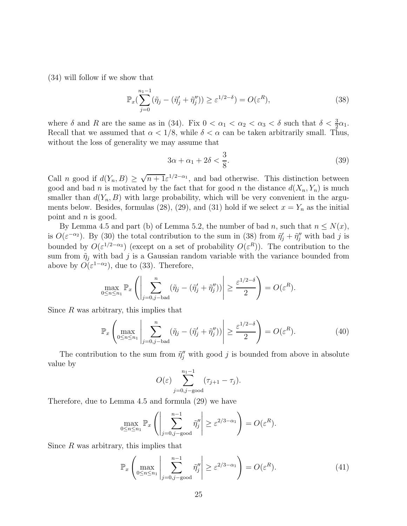(34) will follow if we show that

$$
\mathbb{P}_x\left(\sum_{j=0}^{n_1-1} (\tilde{\eta}_j - (\tilde{\eta}_j' + \tilde{\eta}_j'')) \ge \varepsilon^{1/2-\delta}\right) = O(\varepsilon^R),\tag{38}
$$

where  $\delta$  and  $R$  are the same as in (34). Fix  $0 < \alpha_1 < \alpha_2 < \alpha_3 < \delta$  such that  $\delta < \frac{3}{2}\alpha_1$ . Recall that we assumed that  $\alpha < 1/8$ , while  $\delta < \alpha$  can be taken arbitrarily small. Thus, without the loss of generality we may assume that

$$
3\alpha + \alpha_1 + 2\delta < \frac{3}{8}.\tag{39}
$$

Call *n* good if  $d(Y_n, B) \ge \sqrt{n+1} \varepsilon^{1/2-\alpha_1}$ , and bad otherwise. This distinction between good and bad n is motivated by the fact that for good n the distance  $d(X_n, Y_n)$  is much smaller than  $d(Y_n, B)$  with large probability, which will be very convenient in the arguments below. Besides, formulas (28), (29), and (31) hold if we select  $x = Y_n$  as the initial point and n is good.

By Lemma 4.5 and part (b) of Lemma 5.2, the number of bad n, such that  $n \leq N(x)$ , is  $O(\varepsilon^{-\alpha_2})$ . By (30) the total contribution to the sum in (38) from  $\tilde{\eta}'_j + \tilde{\eta}''_j$  with bad j is bounded by  $O(\varepsilon^{1/2-\alpha_3})$  (except on a set of probability  $O(\varepsilon^R)$ ). The contribution to the sum from  $\tilde{\eta}_j$  with bad j is a Gaussian random variable with the variance bounded from above by  $O(\varepsilon^{1-\alpha_2})$ , due to (33). Therefore,

$$
\max_{0 \le n \le n_1} \mathbb{P}_x \left( \left| \sum_{j=0,j-\text{bad}}^n (\tilde{\eta}_j - (\tilde{\eta}'_j + \tilde{\eta}''_j)) \right| \ge \frac{\varepsilon^{1/2-\delta}}{2} \right) = O(\varepsilon^R).
$$

Since  $R$  was arbitrary, this implies that

$$
\mathbb{P}_x \left( \max_{0 \le n \le n_1} \left| \sum_{j=0,j-\text{bad}}^n (\tilde{\eta}_j - (\tilde{\eta}_j' + \tilde{\eta}_j'')) \right| \ge \frac{\varepsilon^{1/2-\delta}}{2} \right) = O(\varepsilon^R). \tag{40}
$$

The contribution to the sum from  $\tilde{\eta}''_j$  with good j is bounded from above in absolute value by

$$
O(\varepsilon) \sum_{j=0,j-\text{good}}^{n_1-1} (\tau_{j+1} - \tau_j).
$$

Therefore, due to Lemma 4.5 and formula (29) we have

$$
\max_{0 \le n \le n_1} \mathbb{P}_x \left( \left| \sum_{j=0, j-\text{good}}^{n-1} \tilde{\eta}_j'' \right| \ge \varepsilon^{2/3 - \alpha_1} \right) = O(\varepsilon^R).
$$

Since  $R$  was arbitrary, this implies that

$$
\mathbb{P}_x \left( \max_{0 \le n \le n_1} \left| \sum_{j=0, j-\text{good}}^{n-1} \tilde{\eta}_j'' \right| \ge \varepsilon^{2/3 - \alpha_1} \right) = O(\varepsilon^R). \tag{41}
$$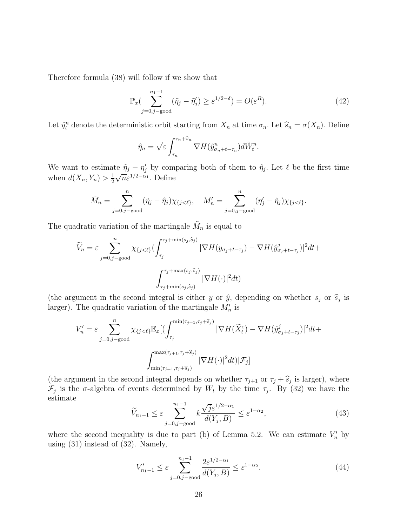Therefore formula (38) will follow if we show that

$$
\mathbb{P}_x\left(\sum_{j=0,j-\text{good}}^{n_1-1} (\tilde{\eta}_j - \tilde{\eta}'_j) \ge \varepsilon^{1/2-\delta}\right) = O(\varepsilon^R). \tag{42}
$$

Let  $\hat{y}_t^n$  denote the deterministic orbit starting from  $X_n$  at time  $\sigma_n$ . Let  $\hat{s}_n = \sigma(X_n)$ . Define

$$
\hat{\eta}_n = \sqrt{\varepsilon} \int_{\tau_n}^{\tau_n + \hat{s}_n} \nabla H(\hat{y}_{\sigma_n + t - \tau_n}^n) d\tilde{W}_t^n.
$$

We want to estimate  $\tilde{\eta}_j - \eta'_j$  by comparing both of them to  $\hat{\eta}_j$ . Let  $\ell$  be the first time when  $d(X_n, Y_n) > \frac{1}{2}$ 2  $\sqrt{n}\varepsilon^{1/2-\alpha_1}$ . Define

$$
\tilde{M}_n = \sum_{j=0,j-\text{good}}^n (\tilde{\eta}_j - \hat{\eta}_j) \chi_{\{j < \ell\}}, \quad M'_n = \sum_{j=0,j-\text{good}}^n (\eta'_j - \hat{\eta}_j) \chi_{\{j < \ell\}}.
$$

The quadratic variation of the martingale  $\tilde{M}_n$  is equal to

$$
\widetilde{V}_n = \varepsilon \sum_{j=0, j-\text{good}}^n \chi_{\{j < \ell\}} \left( \int_{\tau_j}^{\tau_j + \min(s_j, \widehat{s}_j)} |\nabla H(y_{\sigma_j + t - \tau_j}) - \nabla H(\widehat{y}_{\sigma_j + t - \tau_j})|^2 dt + \int_{\tau_j + \min(s_j, \widehat{s}_j)}^{\tau_j + \max(s_j, \widehat{s}_j)} |\nabla H(\cdot)|^2 dt \right)
$$

(the argument in the second integral is either y or  $\hat{y}$ , depending on whether  $s_j$  or  $\hat{s}_j$  is larger). The quadratic variation of the martingale  $M'_n$  is

$$
V'_{n} = \varepsilon \sum_{j=0,j-\text{good}}^{n} \chi_{\{j<\ell\}} \mathbb{E}_{x} [(\int_{\tau_{j}}^{\min(\tau_{j+1},\tau_{j}+\widehat{s}_{j})} |\nabla H(\widetilde{X}_{t}^{\varepsilon}) - \nabla H(\hat{y}_{\sigma_{j}+t-\tau_{j}}^{j})|^{2} dt + \int_{\min(\tau_{j+1},\tau_{j}+\widehat{s}_{j})}^{\max(\tau_{j+1},\tau_{j}+\widehat{s}_{j})} |\nabla H(\cdot)|^{2} dt | \mathcal{F}_{j}]
$$

(the argument in the second integral depends on whether  $\tau_{j+1}$  or  $\tau_j + \hat{s}_j$  is larger), where  $\mathcal{F}_j$  is the  $\sigma$ -algebra of events determined by  $W_t$  by the time  $\tau_j$ . By (32) we have the estimate

$$
\widetilde{V}_{n_1-1} \le \varepsilon \sum_{j=0,j-\text{good}}^{n_1-1} k \frac{\sqrt{j} \varepsilon^{1/2-\alpha_1}}{d(Y_j, B)} \le \varepsilon^{1-\alpha_2},\tag{43}
$$

where the second inequality is due to part (b) of Lemma 5.2. We can estimate  $V'_n$  by using (31) instead of (32). Namely,

$$
V'_{n_1-1} \le \varepsilon \sum_{j=0,j-\text{good}}^{n_1-1} \frac{2\varepsilon^{1/2-\alpha_1}}{d(Y_j, B)} \le \varepsilon^{1-\alpha_2}.\tag{44}
$$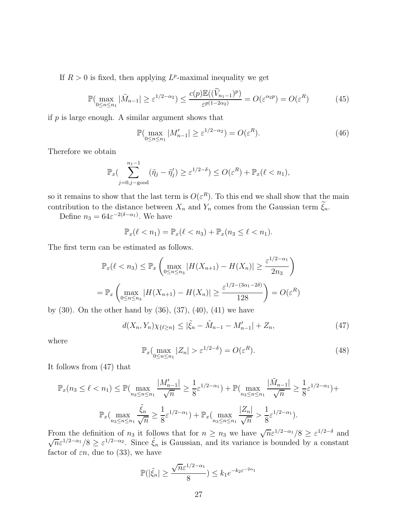If  $R > 0$  is fixed, then applying  $L^p$ -maximal inequality we get

$$
\mathbb{P}(\max_{0 \le n \le n_1} |\tilde{M}_{n-1}| \ge \varepsilon^{1/2 - \alpha_2}) \le \frac{c(p)\mathbb{E}((\tilde{V}_{n_1-1})^p)}{\varepsilon^{p(1-2\alpha_2)}} = O(\varepsilon^{\alpha_2 p}) = O(\varepsilon^R)
$$
(45)

if  $p$  is large enough. A similar argument shows that

$$
\mathbb{P}(\max_{0 \le n \le n_1} |M'_{n-1}| \ge \varepsilon^{1/2 - \alpha_2}) = O(\varepsilon^R). \tag{46}
$$

Therefore we obtain

$$
\mathbb{P}_x\left(\sum_{j=0,j-\text{good}}^{n_1-1} (\tilde{\eta}_j - \tilde{\eta}'_j) \geq \varepsilon^{1/2-\delta}\right) \leq O(\varepsilon^R) + \mathbb{P}_x(\ell < n_1),
$$

so it remains to show that the last term is  $O(\varepsilon^R)$ . To this end we shall show that the main contribution to the distance between  $X_n$  and  $Y_n$  comes from the Gaussian term  $\widetilde{\xi}_n$ .

Define  $n_3 = 64\varepsilon^{-2(\delta-\alpha_1)}$ . We have

$$
\mathbb{P}_x(\ell < n_1) = \mathbb{P}_x(\ell < n_3) + \mathbb{P}_x(n_3 \leq \ell < n_1).
$$

The first term can be estimated as follows.

$$
\mathbb{P}_x(\ell < n_3) \le \mathbb{P}_x \left( \max_{0 \le n \le n_3} |H(X_{n+1}) - H(X_n)| \ge \frac{\varepsilon^{1/2 - \alpha_1}}{2n_3} \right)
$$
\n
$$
= \mathbb{P}_x \left( \max_{0 \le n \le n_3} |H(X_{n+1}) - H(X_n)| \ge \frac{\varepsilon^{1/2 - (3\alpha_1 - 2\delta)}}{128} \right) = O(\varepsilon^R)
$$

by (30). On the other hand by (36), (37), (40), (41) we have

$$
d(X_n, Y_n)\chi_{\{\ell \ge n\}} \le |\tilde{\xi}_n - \tilde{M}_{n-1} - M'_{n-1}| + Z_n, \tag{47}
$$

where

$$
\mathbb{P}_x\left(\max_{0\leq n\leq n_1}|Z_n|>\varepsilon^{1/2-\delta}\right)=O(\varepsilon^R). \tag{48}
$$

It follows from (47) that

$$
\mathbb{P}_x(n_3 \le \ell < n_1) \le \mathbb{P}(\max_{n_3 \le n \le n_1} \frac{|M'_{n-1}|}{\sqrt{n}}) \ge \frac{1}{8} \varepsilon^{1/2 - \alpha_1}) + \mathbb{P}(\max_{n_3 \le n \le n_1} \frac{|\tilde{M}_{n-1}|}{\sqrt{n}}) \ge \frac{1}{8} \varepsilon^{1/2 - \alpha_1}) + \mathbb{P}_x(\max_{n_3 \le n \le n_1} \frac{\tilde{\xi}_n}{\sqrt{n}}) = \frac{1}{8} \varepsilon^{1/2 - \alpha_1} + \mathbb{P}_x(\max_{n_3 \le n \le n_1} \frac{|Z_n|}{\sqrt{n}}) = \frac{1}{8} \varepsilon^{1/2 - \alpha_1}.
$$

From the definition of  $n_3$  it follows that for  $n \geq n_3$  we have  $\sqrt{n} \varepsilon^{1/2-\alpha_1}/8 \geq \varepsilon^{1/2-\delta}$  and  $\sqrt{n}\varepsilon^{1/2-\alpha_1}/8 \geq \varepsilon^{1/2-\alpha_2}$ . Since  $\tilde{\xi}_n$  is Gaussian, and its variance is bounded by a constant factor of  $\varepsilon n$ , due to (33), we have

$$
\mathbb{P}(|\tilde{\xi}_n| \ge \frac{\sqrt{n}\varepsilon^{1/2-\alpha_1}}{8}) \le k_1 e^{-k_2 \varepsilon^{-2\alpha_1}}
$$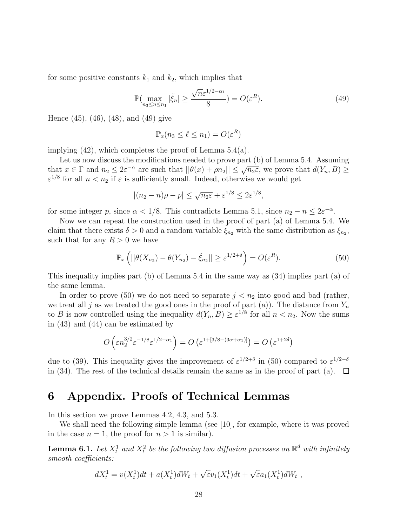for some positive constants  $k_1$  and  $k_2$ , which implies that

$$
\mathbb{P}(\max_{n_3 \le n \le n_1} |\tilde{\xi}_n| \ge \frac{\sqrt{n}\varepsilon^{1/2 - \alpha_1}}{8}) = O(\varepsilon^R). \tag{49}
$$

Hence (45), (46), (48), and (49) give

$$
\mathbb{P}_x(n_3 \leq \ell \leq n_1) = O(\varepsilon^R)
$$

implying (42), which completes the proof of Lemma 5.4(a).

Let us now discuss the modifications needed to prove part (b) of Lemma 5.4. Assuming that  $x \in \Gamma$  and  $n_2 \leq 2\varepsilon^{-\alpha}$  are such that  $||\theta(x) + \rho n_2|| \leq \sqrt{n_2\varepsilon}$ , we prove that  $d(Y_n, B) \geq$  $\varepsilon^{1/8}$  for all  $n < n_2$  if  $\varepsilon$  is sufficiently small. Indeed, otherwise we would get

$$
|(n_2 - n)\rho - p| \le \sqrt{n_2 \varepsilon} + \varepsilon^{1/8} \le 2\varepsilon^{1/8},
$$

for some integer p, since  $\alpha < 1/8$ . This contradicts Lemma 5.1, since  $n_2 - n \leq 2\varepsilon^{-\alpha}$ .

Now we can repeat the construction used in the proof of part (a) of Lemma 5.4. We claim that there exists  $\delta > 0$  and a random variable  $\tilde{\xi}_{n_2}$  with the same distribution as  $\xi_{n_2}$ , such that for any  $R > 0$  we have

$$
\mathbb{P}_x\left(||\theta(X_{n_2}) - \theta(Y_{n_2}) - \tilde{\xi}_{n_2}|| \ge \varepsilon^{1/2+\delta}\right) = O(\varepsilon^R). \tag{50}
$$

This inequality implies part (b) of Lemma 5.4 in the same way as (34) implies part (a) of the same lemma.

In order to prove (50) we do not need to separate  $j < n_2$  into good and bad (rather, we treat all j as we treated the good ones in the proof of part (a)). The distance from  $Y_n$ to B is now controlled using the inequality  $d(Y_n, B) \geq \varepsilon^{1/8}$  for all  $n < n_2$ . Now the sums in (43) and (44) can be estimated by

$$
O\left(\varepsilon n_2^{3/2}\varepsilon^{-1/8}\varepsilon^{1/2-\alpha_1}\right) = O\left(\varepsilon^{1+[3/8-(3\alpha+\alpha_1)]}\right) = O\left(\varepsilon^{1+2\delta}\right)
$$

due to (39). This inequality gives the improvement of  $\varepsilon^{1/2+\delta}$  in (50) compared to  $\varepsilon^{1/2-\delta}$ in (34). The rest of the technical details remain the same as in the proof of part (a).  $\Box$ 

### 6 Appendix. Proofs of Technical Lemmas

In this section we prove Lemmas 4.2, 4.3, and 5.3.

We shall need the following simple lemma (see [10], for example, where it was proved in the case  $n = 1$ , the proof for  $n > 1$  is similar).

**Lemma 6.1.** Let  $X_t^1$  and  $X_t^2$  be the following two diffusion processes on  $\mathbb{R}^d$  with infinitely smooth coefficients:

$$
dX_t^1 = v(X_t^1)dt + a(X_t^1)dW_t + \sqrt{\varepsilon}v_1(X_t^1)dt + \sqrt{\varepsilon}a_1(X_t^1)dW_t,
$$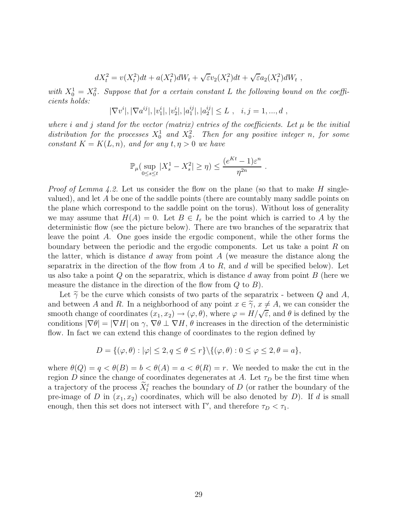$$
dX_t^2 = v(X_t^2)dt + a(X_t^2)dW_t + \sqrt{\varepsilon}v_2(X_t^2)dt + \sqrt{\varepsilon}a_2(X_t^2)dW_t,
$$

with  $X_0^1 = X_0^2$ . Suppose that for a certain constant L the following bound on the coefficients holds:

$$
|\nabla v^i|, |\nabla a^{ij}|, |v_1^i|, |v_2^i|, |a_1^{ij}|, |a_2^{ij}| \le L , i, j = 1, ..., d ,
$$

where i and j stand for the vector (matrix) entries of the coefficients. Let  $\mu$  be the initial distribution for the processes  $X_0^1$  and  $X_0^2$ . Then for any positive integer n, for some constant  $K = K(L, n)$ , and for any  $t, \eta > 0$  we have

$$
\mathbb{P}_{\mu}(\sup_{0\leq s\leq t}|X_s^1 - X_s^2| \geq \eta) \leq \frac{(e^{Kt}-1)\varepsilon^n}{\eta^{2n}}.
$$

*Proof of Lemma 4.2.* Let us consider the flow on the plane (so that to make H singlevalued), and let  $A$  be one of the saddle points (there are countably many saddle points on the plane which correspond to the saddle point on the torus). Without loss of generality we may assume that  $H(A) = 0$ . Let  $B \in I_{\varepsilon}$  be the point which is carried to A by the deterministic flow (see the picture below). There are two branches of the separatrix that leave the point A. One goes inside the ergodic component, while the other forms the boundary between the periodic and the ergodic components. Let us take a point  $R$  on the latter, which is distance  $d$  away from point  $A$  (we measure the distance along the separatrix in the direction of the flow from  $A$  to  $R$ , and  $d$  will be specified below). Let us also take a point  $Q$  on the separatrix, which is distance  $d$  away from point  $B$  (here we measure the distance in the direction of the flow from  $Q$  to  $B$ ).

Let  $\widetilde{\gamma}$  be the curve which consists of two parts of the separatrix - between Q and A, and between A and R. In a neighborhood of any point  $x \in \tilde{\gamma}$ ,  $x \neq A$ , we can consider the smooth change of coordinates  $(x_1, x_2) \rightarrow (\varphi, \theta)$ , where  $\varphi = H/\sqrt{\varepsilon}$ , and  $\theta$  is defined by the conditions  $|\nabla \theta| = |\nabla H|$  on  $\gamma$ ,  $\nabla \theta \perp \nabla H$ ,  $\theta$  increases in the direction of the deterministic flow. In fact we can extend this change of coordinates to the region defined by

$$
D = \{(\varphi, \theta) : |\varphi| \le 2, q \le \theta \le r\} \setminus \{(\varphi, \theta) : 0 \le \varphi \le 2, \theta = a\},\
$$

where  $\theta(Q) = q < \theta(B) = b < \theta(A) = a < \theta(R) = r$ . We needed to make the cut in the region D since the change of coordinates degenerates at A. Let  $\tau_D$  be the first time when a trajectory of the process  $X_t^{\varepsilon}$  reaches the boundary of D (or rather the boundary of the pre-image of D in  $(x_1, x_2)$  coordinates, which will be also denoted by D). If d is small enough, then this set does not intersect with  $\Gamma'$ , and therefore  $\tau_D < \tau_1$ .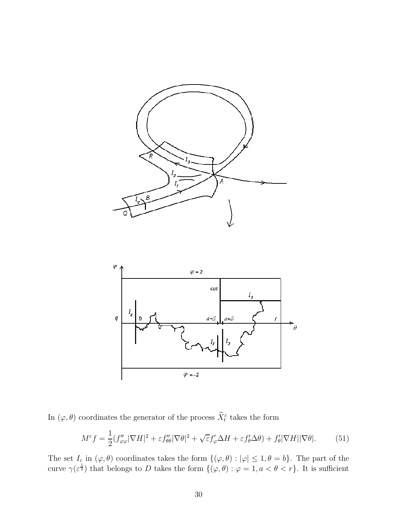



In  $(\varphi, \theta)$  coordinates the generator of the process  $\tilde{X}_t^{\varepsilon}$  takes the form

$$
M^{\varepsilon} f = \frac{1}{2} (f''_{\varphi\varphi}|\nabla H|^2 + \varepsilon f''_{\theta\theta}|\nabla \theta|^2 + \sqrt{\varepsilon} f'_{\varphi} \Delta H + \varepsilon f'_{\theta} \Delta \theta) + f'_{\theta} |\nabla H| |\nabla \theta|. \tag{51}
$$

The set  $I_{\varepsilon}$  in  $(\varphi, \theta)$  coordinates takes the form  $\{(\varphi, \theta) : |\varphi| \leq 1, \theta = b\}$ . The part of the curve  $\gamma(\varepsilon^{\frac{1}{2}})$  that belongs to D takes the form  $\{(\varphi,\theta): \varphi=1, a < \theta < r\}$ . It is sufficient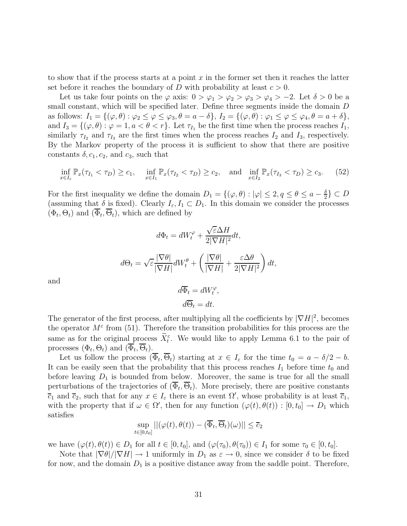to show that if the process starts at a point  $x$  in the former set then it reaches the latter set before it reaches the boundary of D with probability at least  $c > 0$ .

Let us take four points on the  $\varphi$  axis:  $0 > \varphi_1 > \varphi_2 > \varphi_3 > \varphi_4 > -2$ . Let  $\delta > 0$  be a small constant, which will be specified later. Define three segments inside the domain  $D$ as follows:  $I_1 = \{(\varphi, \theta) : \varphi_2 \leq \varphi \leq \varphi_3, \theta = a - \delta\}, I_2 = \{(\varphi, \theta) : \varphi_1 \leq \varphi \leq \varphi_4, \theta = a + \delta\},\$ and  $I_3 = \{(\varphi, \theta) : \varphi = 1, a < \theta < r\}$ . Let  $\tau_{I_1}$  be the first time when the process reaches  $I_1$ , similarly  $\tau_{I_2}$  and  $\tau_{I_3}$  are the first times when the process reaches  $I_2$  and  $I_3$ , respectively. By the Markov property of the process it is sufficient to show that there are positive constants  $\delta$ ,  $c_1$ ,  $c_2$ , and  $c_3$ , such that

$$
\inf_{x \in I_{\varepsilon}} \mathbb{P}_x(\tau_{I_1} < \tau_D) \ge c_1, \quad \inf_{x \in I_1} \mathbb{P}_x(\tau_{I_2} < \tau_D) \ge c_2, \quad \text{and} \quad \inf_{x \in I_2} \mathbb{P}_x(\tau_{I_3} < \tau_D) \ge c_3. \tag{52}
$$

For the first inequality we define the domain  $D_1 = \{(\varphi, \theta) : |\varphi| \leq 2, q \leq \theta \leq a - \frac{\delta}{2}\}$  $\frac{\delta}{2}$   $\subset D$ (assuming that  $\delta$  is fixed). Clearly  $I_{\varepsilon}, I_1 \subset D_1$ . In this domain we consider the processes  $(\Phi_t, \Theta_t)$  and  $(\Phi_t, \Theta_t)$ , which are defined by

$$
d\Phi_t = dW_t^{\varphi} + \frac{\sqrt{\varepsilon}\Delta H}{2|\nabla H|^2}dt,
$$
  

$$
d\Theta_t = \sqrt{\varepsilon}\frac{|\nabla \theta|}{|\nabla H|}dW_t^{\theta} + \left(\frac{|\nabla \theta|}{|\nabla H|} + \frac{\varepsilon \Delta \theta}{2|\nabla H|^2}\right)dt,
$$

and

$$
d\overline{\Phi}_t = dW_t^{\varphi},
$$
  

$$
d\overline{\Theta}_t = dt.
$$

The generator of the first process, after multiplying all the coefficients by  $|\nabla H|^2$ , becomes the operator  $M^{\varepsilon}$  from (51). Therefore the transition probabilities for this process are the same as for the original process  $\overline{X_t^{\varepsilon}}$ . We would like to apply Lemma 6.1 to the pair of processes  $(\Phi_t, \Theta_t)$  and  $(\Phi_t, \Theta_t)$ .

Let us follow the process  $(\Phi_t, \Theta_t)$  starting at  $x \in I_\varepsilon$  for the time  $t_0 = a - \delta/2 - b$ . It can be easily seen that the probability that this process reaches  $I_1$  before time  $t_0$  and before leaving  $D_1$  is bounded from below. Moreover, the same is true for all the small perturbations of the trajectories of  $(\Phi_t, \Theta_t)$ . More precisely, there are positive constants  $\overline{c}_1$  and  $\overline{c}_2$ , such that for any  $x \in I_\varepsilon$  there is an event  $\Omega'$ , whose probability is at least  $\overline{c}_1$ , with the property that if  $\omega \in \Omega'$ , then for any function  $(\varphi(t), \theta(t)) : [0, t_0] \to D_1$  which satisfies

$$
\sup_{t \in [0, t_0]} ||(\varphi(t), \theta(t)) - (\overline{\Phi}_t, \overline{\Theta}_t)(\omega)|| \le \overline{c}_2
$$

we have  $(\varphi(t), \theta(t)) \in D_1$  for all  $t \in [0, t_0]$ , and  $(\varphi(\tau_0), \theta(\tau_0)) \in I_1$  for some  $\tau_0 \in [0, t_0]$ .

Note that  $|\nabla \theta|/|\nabla H| \to 1$  uniformly in  $D_1$  as  $\varepsilon \to 0$ , since we consider  $\delta$  to be fixed for now, and the domain  $D_1$  is a positive distance away from the saddle point. Therefore,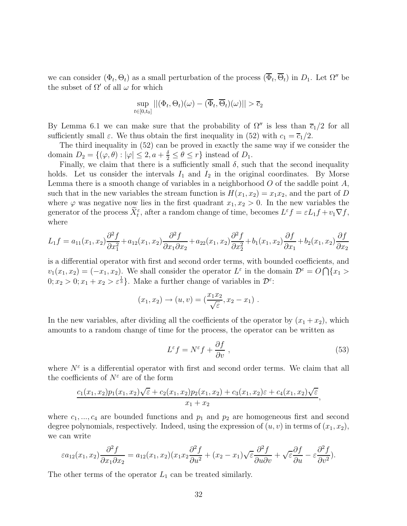we can consider  $(\Phi_t, \Theta_t)$  as a small perturbation of the process  $(\overline{\Phi}_t, \overline{\Theta}_t)$  in  $D_1$ . Let  $\Omega''$  be the subset of  $\Omega'$  of all  $\omega$  for which

$$
\sup_{t\in[0,t_0]}||(\Phi_t,\Theta_t)(\omega)-(\overline{\Phi}_t,\overline{\Theta}_t)(\omega)||>\overline{c}_2
$$

By Lemma 6.1 we can make sure that the probability of  $\Omega''$  is less than  $\overline{c_1}/2$  for all sufficiently small  $\varepsilon$ . We thus obtain the first inequality in (52) with  $c_1 = \overline{c_1}/2$ .

The third inequality in (52) can be proved in exactly the same way if we consider the domain  $D_2 = \{(\varphi, \theta) : |\varphi| \leq 2, a + \frac{\delta}{2} \leq \theta \leq r\}$  instead of  $D_1$ .

Finally, we claim that there is a sufficiently small  $\delta$ , such that the second inequality holds. Let us consider the intervals  $I_1$  and  $I_2$  in the original coordinates. By Morse Lemma there is a smooth change of variables in a neighborhood  $O$  of the saddle point  $A$ , such that in the new variables the stream function is  $H(x_1, x_2) = x_1x_2$ , and the part of D where  $\varphi$  was negative now lies in the first quadrant  $x_1, x_2 > 0$ . In the new variables the generator of the process  $\tilde{X}_{t}^{\varepsilon}$ , after a random change of time, becomes  $L^{\varepsilon} f = \varepsilon L_1 f + v_1 \nabla f$ , where

$$
L_1 f = a_{11}(x_1, x_2) \frac{\partial^2 f}{\partial x_1^2} + a_{12}(x_1, x_2) \frac{\partial^2 f}{\partial x_1 \partial x_2} + a_{22}(x_1, x_2) \frac{\partial^2 f}{\partial x_2^2} + b_1(x_1, x_2) \frac{\partial f}{\partial x_1} + b_2(x_1, x_2) \frac{\partial f}{\partial x_2}
$$

is a differential operator with first and second order terms, with bounded coefficients, and  $v_1(x_1, x_2) = (-x_1, x_2)$ . We shall consider the operator  $L^{\varepsilon}$  in the domain  $\mathcal{D}^{\varepsilon} = O \bigcap \{x_1 >$  $0; x_2 > 0; x_1 + x_2 > \varepsilon^{\frac{1}{3}}$ . Make a further change of variables in  $\mathcal{D}^{\varepsilon}$ :

$$
(x_1, x_2) \rightarrow (u, v) = (\frac{x_1 x_2}{\sqrt{\varepsilon}}, x_2 - x_1).
$$

In the new variables, after dividing all the coefficients of the operator by  $(x_1 + x_2)$ , which amounts to a random change of time for the process, the operator can be written as

$$
L^{\varepsilon} f = N^{\varepsilon} f + \frac{\partial f}{\partial v} , \qquad (53)
$$

where  $N^{\varepsilon}$  is a differential operator with first and second order terms. We claim that all the coefficients of  $N^{\varepsilon}$  are of the form

$$
\frac{c_1(x_1,x_2)p_1(x_1,x_2)\sqrt{\varepsilon}+c_2(x_1,x_2)p_2(x_1,x_2)+c_3(x_1,x_2)\varepsilon+c_4(x_1,x_2)\sqrt{\varepsilon}}{x_1+x_2},
$$

where  $c_1, ..., c_4$  are bounded functions and  $p_1$  and  $p_2$  are homogeneous first and second degree polynomials, respectively. Indeed, using the expression of  $(u, v)$  in terms of  $(x_1, x_2)$ , we can write

$$
\varepsilon a_{12}(x_1, x_2) \frac{\partial^2 f}{\partial x_1 \partial x_2} = a_{12}(x_1, x_2)(x_1 x_2 \frac{\partial^2 f}{\partial u^2} + (x_2 - x_1) \sqrt{\varepsilon} \frac{\partial^2 f}{\partial u \partial v} + \sqrt{\varepsilon} \frac{\partial f}{\partial u} - \varepsilon \frac{\partial^2 f}{\partial v^2}).
$$

The other terms of the operator  $L_1$  can be treated similarly.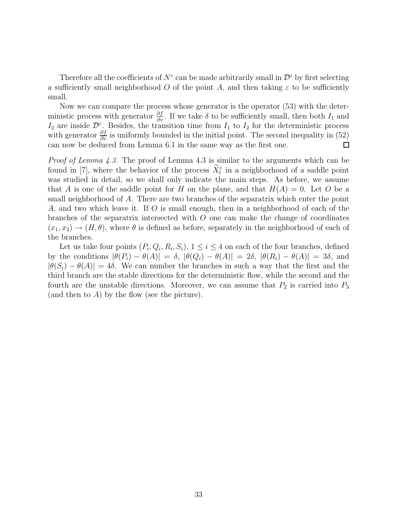Therefore all the coefficients of  $N^{\varepsilon}$  can be made arbitrarily small in  $\mathcal{D}^{\varepsilon}$  by first selecting a sufficiently small neighborhood O of the point A, and then taking  $\varepsilon$  to be sufficiently small.

Now we can compare the process whose generator is the operator (53) with the deterministic process with generator  $\frac{\partial f}{\partial v}$ . If we take  $\delta$  to be sufficiently small, then both  $I_1$  and  $I_2$  are inside  $\mathcal{D}^{\varepsilon}$ . Besides, the transition time from  $I_1$  to  $I_2$  for the deterministic process with generator  $\frac{\partial f}{\partial v}$  is uniformly bounded in the initial point. The second inequality in (52) can now be deduced from Lemma 6.1 in the same way as the first one. 口

Proof of Lemma 4.3. The proof of Lemma 4.3 is similar to the arguments which can be found in [7], where the behavior of the process  $\bar{X}_{t}^{\varepsilon}$  in a neighborhood of a saddle point was studied in detail, so we shall only indicate the main steps. As before, we assume that A is one of the saddle point for H on the plane, and that  $H(A) = 0$ . Let O be a small neighborhood of A. There are two branches of the separatrix which enter the point A, and two which leave it. If O is small enough, then in a neighborhood of each of the branches of the separatrix intersected with  $O$  one can make the change of coordinates  $(x_1, x_2) \rightarrow (H, \theta)$ , where  $\theta$  is defined as before, separately in the neighborhood of each of the branches.

Let us take four points  $(P_i, Q_i, R_i, S_i)$ ,  $1 \leq i \leq 4$  on each of the four branches, defined by the conditions  $|\theta(P_i) - \theta(A)| = \delta$ ,  $|\theta(Q_i) - \theta(A)| = 2\delta$ ,  $|\theta(R_i) - \theta(A)| = 3\delta$ , and  $|\theta(S_i) - \theta(A)| = 4\delta$ . We can number the branches in such a way that the first and the third branch are the stable directions for the deterministic flow, while the second and the fourth are the unstable directions. Moreover, we can assume that  $P_2$  is carried into  $P_3$ (and then to  $A$ ) by the flow (see the picture).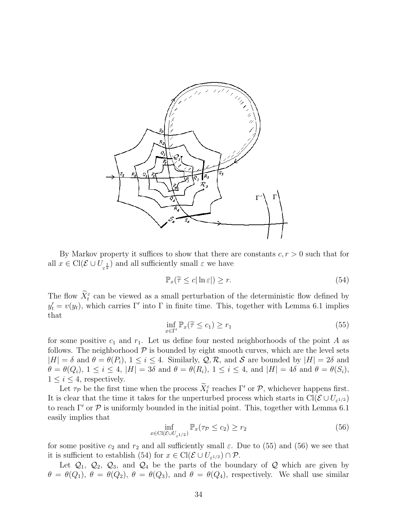

By Markov property it suffices to show that there are constants  $c, r > 0$  such that for all  $x \in \text{Cl}(\mathcal{E} \cup U_{\varepsilon^{\frac{1}{2}}})$  and all sufficiently small  $\varepsilon$  we have

$$
\mathbb{P}_x(\widetilde{\tau} \le c |\ln \varepsilon|) \ge r. \tag{54}
$$

The flow  $X_t^{\varepsilon}$  can be viewed as a small perturbation of the deterministic flow defined by  $y_t' = v(y_t)$ , which carries Γ' into Γ in finite time. This, together with Lemma 6.1 implies that

$$
\inf_{x \in \Gamma'} \mathbb{P}_x(\widetilde{\tau} \le c_1) \ge r_1 \tag{55}
$$

for some positive  $c_1$  and  $r_1$ . Let us define four nested neighborhoods of the point A as follows. The neighborhood  $P$  is bounded by eight smooth curves, which are the level sets  $|H| = \delta$  and  $\theta = \theta(P_i)$ ,  $1 \leq i \leq 4$ . Similarly,  $\mathcal{Q}, \mathcal{R}$ , and  $\mathcal{S}$  are bounded by  $|H| = 2\delta$  and  $\theta = \theta(Q_i)$ ,  $1 \leq i \leq 4$ ,  $|H| = 3\delta$  and  $\theta = \theta(R_i)$ ,  $1 \leq i \leq 4$ , and  $|H| = 4\delta$  and  $\theta = \theta(S_i)$ ,  $1 \leq i \leq 4$ , respectively.

Let  $\tau_P$  be the first time when the process  $\overline{X}_t^{\varepsilon}$  reaches  $\Gamma'$  or  $\mathcal{P}$ , whichever happens first. It is clear that the time it takes for the unperturbed process which starts in  $Cl(\mathcal{E} \cup U_{\varepsilon^{1/2}})$ to reach  $\Gamma'$  or  $\mathcal P$  is uniformly bounded in the initial point. This, together with Lemma 6.1 easily implies that

$$
\inf_{x \in \text{Cl}(\mathcal{E} \cup U_{\varepsilon^{1/2}})} \mathbb{P}_x(\tau_{\mathcal{P}} \le c_2) \ge r_2 \tag{56}
$$

for some positive  $c_2$  and  $r_2$  and all sufficiently small  $\varepsilon$ . Due to (55) and (56) we see that it is sufficient to establish (54) for  $x \in \text{Cl}(\mathcal{E} \cup U_{\varepsilon^{1/2}}) \cap \mathcal{P}$ .

Let  $\mathcal{Q}_1$ ,  $\mathcal{Q}_2$ ,  $\mathcal{Q}_3$ , and  $\mathcal{Q}_4$  be the parts of the boundary of  $\mathcal Q$  which are given by  $\theta = \theta(Q_1)$ ,  $\theta = \theta(Q_2)$ ,  $\theta = \theta(Q_3)$ , and  $\theta = \theta(Q_4)$ , respectively. We shall use similar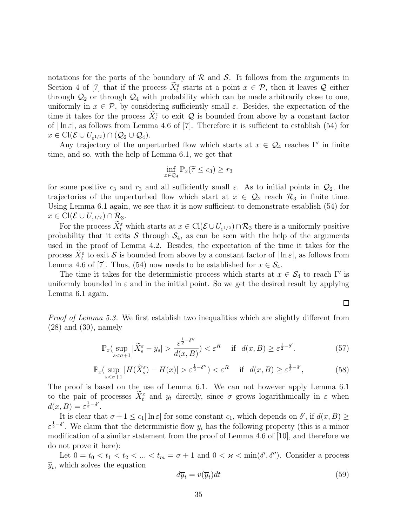notations for the parts of the boundary of  $R$  and  $S$ . It follows from the arguments in Section 4 of [7] that if the process  $X_t^{\varepsilon}$  starts at a point  $x \in \mathcal{P}$ , then it leaves Q either through  $\mathcal{Q}_2$  or through  $\mathcal{Q}_4$  with probability which can be made arbitrarily close to one, uniformly in  $x \in \mathcal{P}$ , by considering sufficiently small  $\varepsilon$ . Besides, the expectation of the time it takes for the process  $X_t^{\varepsilon}$  to exit Q is bounded from above by a constant factor of  $|\ln \varepsilon|$ , as follows from Lemma 4.6 of [7]. Therefore it is sufficient to establish (54) for  $x \in \text{Cl}(\mathcal{E} \cup U_{\varepsilon^{1/2}}) \cap (\mathcal{Q}_2 \cup \mathcal{Q}_4).$ 

Any trajectory of the unperturbed flow which starts at  $x \in \mathcal{Q}_4$  reaches Γ' in finite time, and so, with the help of Lemma 6.1, we get that

$$
\inf_{x \in \mathcal{Q}_4} \mathbb{P}_x(\widetilde{\tau} \le c_3) \ge r_3
$$

for some positive  $c_3$  and  $r_3$  and all sufficiently small  $\varepsilon$ . As to initial points in  $\mathcal{Q}_2$ , the trajectories of the unperturbed flow which start at  $x \in \mathcal{Q}_2$  reach  $\mathcal{R}_3$  in finite time. Using Lemma 6.1 again, we see that it is now sufficient to demonstrate establish (54) for  $x \in \text{Cl}(\mathcal{E} \cup U_{\varepsilon^{1/2}}) \cap \mathcal{R}_3.$ 

For the process  $\overline{X_t^{\varepsilon}}$  which starts at  $x \in \text{Cl}(\mathcal{E} \cup U_{\varepsilon^{1/2}}) \cap \mathcal{R}_3$  there is a uniformly positive probability that it exits S through  $S_4$ , as can be seen with the help of the arguments used in the proof of Lemma 4.2. Besides, the expectation of the time it takes for the process  $\tilde{X}_{t}^{\varepsilon}$  to exit  $S$  is bounded from above by a constant factor of  $|\ln \varepsilon|$ , as follows from Lemma 4.6 of [7]. Thus, (54) now needs to be established for  $x \in \mathcal{S}_4$ .

The time it takes for the deterministic process which starts at  $x \in S_4$  to reach Γ' is uniformly bounded in  $\varepsilon$  and in the initial point. So we get the desired result by applying Lemma 6.1 again.

Proof of Lemma 5.3. We first establish two inequalities which are slightly different from (28) and (30), namely

$$
\mathbb{P}_x(\sup_{s < \sigma + 1} |\widetilde{X}_s^{\varepsilon} - y_s| > \frac{\varepsilon^{\frac{1}{2} - \delta''}}{d(x, B)} < \varepsilon^R \quad \text{if} \quad d(x, B) \ge \varepsilon^{\frac{1}{2} - \delta'}.
$$
 (57)

$$
\mathbb{P}_x\left(\sup_{s<\sigma+1}|H(\widetilde{X}_s^{\varepsilon})-H(x)|>\varepsilon^{\frac{1}{2}-\delta''}\right)<\varepsilon^R \quad \text{if} \quad d(x,B)\geq\varepsilon^{\frac{1}{2}-\delta'},\tag{58}
$$

The proof is based on the use of Lemma 6.1. We can not however apply Lemma 6.1 to the pair of processes  $\bar{X}_t^{\varepsilon}$  and  $y_t$  directly, since  $\sigma$  grows logarithmically in  $\varepsilon$  when  $d(x, B) = \varepsilon^{\frac{1}{2} - \delta'}$ .

It is clear that  $\sigma + 1 \leq c_1 |\ln \varepsilon|$  for some constant  $c_1$ , which depends on  $\delta'$ , if  $d(x, B) \geq$  $\varepsilon^{\frac{1}{2}-\delta'}$ . We claim that the deterministic flow  $y_t$  has the following property (this is a minor modification of a similar statement from the proof of Lemma 4.6 of [10], and therefore we do not prove it here):

Let  $0 = t_0 < t_1 < t_2 < \ldots < t_m = \sigma + 1$  and  $0 < \varkappa < \min(\delta', \delta'')$ . Consider a process  $\overline{y}_t$ , which solves the equation

$$
d\overline{y}_t = v(\overline{y}_t)dt\tag{59}
$$

囗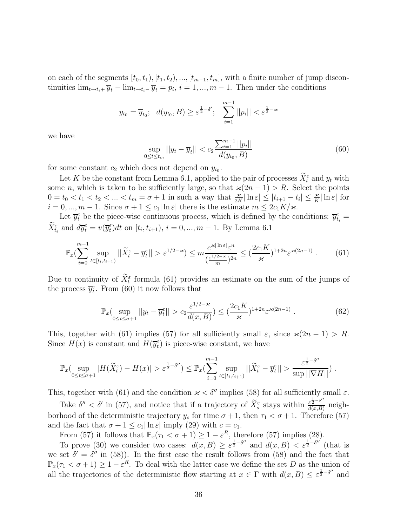on each of the segments  $[t_0, t_1), [t_1, t_2), ..., [t_{m-1}, t_m]$ , with a finite number of jump discontinuities  $\lim_{t \to t_i+} \overline{y}_t - \lim_{t \to t_i-} \overline{y}_t = p_i$ ,  $i = 1, ..., m-1$ . Then under the conditions

$$
y_{t_0} = \overline{y}_{t_0}; \quad d(y_{t_0}, B) \ge \varepsilon^{\frac{1}{2} - \delta'}; \quad \sum_{i=1}^{m-1} ||p_i|| < \varepsilon^{\frac{1}{2} - \varkappa}
$$

we have

$$
\sup_{0 \le t \le t_m} ||y_t - \overline{y}_t|| < c_2 \frac{\sum_{i=1}^{m-1} ||p_i||}{d(y_{t_0}, B)}
$$
(60)

for some constant  $c_2$  which does not depend on  $y_{t_0}$ .

Let K be the constant from Lemma 6.1, applied to the pair of processes  $X_t^{\varepsilon}$  and  $y_t$  with some n, which is taken to be sufficiently large, so that  $\varkappa(2n-1) > R$ . Select the points  $0 = t_0 < t_1 < t_2 < \ldots < t_m = \sigma + 1$  in such a way that  $\frac{\varkappa}{2K} |\ln \varepsilon| \leq |t_{i+1} - t_i| \leq \frac{\varkappa}{K} |\ln \varepsilon|$  for  $i = 0, ..., m - 1$ . Since  $\sigma + 1 \leq c_1 |\ln \varepsilon|$  there is the estimate  $m \leq 2c_1K/\varkappa$ .

Let  $\overline{y}_t^{\varepsilon}$  be the piece-wise continuous process, which is defined by the conditions:  $\overline{y}_{t_i}^{\varepsilon}$  =  $\overline{X}_{t_i}^{\varepsilon}$  and  $d\overline{y}_{t}^{\varepsilon} = v(\overline{y}_{t}^{\varepsilon})dt$  on  $[t_i, t_{i+1}), i = 0, ..., m - 1$ . By Lemma 6.1

$$
\mathbb{P}_x(\sum_{i=0}^{m-1} \sup_{t \in [t_i, t_{i+1})} ||\widetilde{X}_t^{\varepsilon} - \overline{y}_t^{\varepsilon}|| > \varepsilon^{1/2 - \varkappa}) \le m \frac{e^{\varkappa |\ln \varepsilon|} \varepsilon^n}{(\frac{\varepsilon^{1/2 - \varkappa}}{m})^{2n}} \le (\frac{2c_1 K}{\varkappa})^{1 + 2n} \varepsilon^{\varkappa (2n - 1)} . \tag{61}
$$

Due to continuity of  $\bar{X}_t^{\varepsilon}$  formula (61) provides an estimate on the sum of the jumps of the process  $\overline{y_t^{\epsilon}}$ . From (60) it now follows that

$$
\mathbb{P}_x\left(\sup_{0\leq t\leq \sigma+1}||y_t - \overline{y}_t^{\varepsilon}|| > c_2 \frac{\varepsilon^{1/2-\varkappa}}{d(x,B)} \right) \leq \left(\frac{2c_1 K}{\varkappa}\right)^{1+2n} \varepsilon^{\varkappa(2n-1)} . \tag{62}
$$

This, together with (61) implies (57) for all sufficiently small  $\varepsilon$ , since  $\varkappa(2n-1) > R$ . Since  $H(x)$  is constant and  $H(\overline{y_t^{\varepsilon}})$  is piece-wise constant, we have

$$
\mathbb{P}_x(\sup_{0\leq t\leq \sigma+1}|H(\widetilde{X}_t^{\varepsilon})-H(x)|>\varepsilon^{\frac{1}{2}-\delta''})\leq \mathbb{P}_x(\sum_{i=0}^{m-1}\sup_{t\in[t_i,t_{i+1})}||\widetilde{X}_t^{\varepsilon}-\overline{y}_t^{\varepsilon}||>\frac{\varepsilon^{\frac{1}{2}-\delta''}}{\sup||\nabla H||})
$$

This, together with (61) and the condition  $\varkappa < \delta''$  implies (58) for all sufficiently small  $\varepsilon$ .

Take  $\delta'' < \delta'$  in (57), and notice that if a trajectory of  $\widetilde{X}_{s}^{\epsilon}$  stays within  $\frac{\epsilon^{\frac{1}{2}-\delta''}}{d(x,B)}$  $\frac{\varepsilon^2}{d(x,B)}$  neighborhood of the deterministic trajectory  $y_s$  for time  $\sigma + 1$ , then  $\tau_1 < \sigma + 1$ . Therefore (57) and the fact that  $\sigma + 1 \leq c_1 |\ln \varepsilon|$  imply (29) with  $c = c_1$ .

From (57) it follows that  $\mathbb{P}_x(\tau_1 < \sigma + 1) \geq 1 - \varepsilon^R$ , therefore (57) implies (28).

To prove (30) we consider two cases:  $d(x, B) \geq \varepsilon^{\frac{1}{2} - \delta''}$  and  $d(x, B) < \varepsilon^{\frac{1}{2} - \delta''}$  (that is we set  $\delta' = \delta''$  in (58)). In the first case the result follows from (58) and the fact that  $\mathbb{P}_x(\tau_1 < \sigma + 1) \geq 1 - \varepsilon^R$ . To deal with the latter case we define the set D as the union of all the trajectories of the deterministic flow starting at  $x \in \Gamma$  with  $d(x, B) \leq \varepsilon^{\frac{1}{2} - \delta''}$  and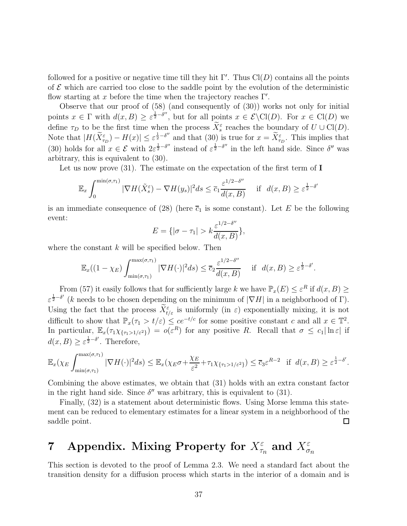followed for a positive or negative time till they hit  $\Gamma'$ . Thus  $Cl(D)$  contains all the points of  $\mathcal E$  which are carried too close to the saddle point by the evolution of the deterministic flow starting at x before the time when the trajectory reaches  $\Gamma'$ .

Observe that our proof of (58) (and consequently of (30)) works not only for initial points  $x \in \Gamma$  with  $d(x, B) \geq \varepsilon^{\frac{1}{2} - \delta''}$ , but for all points  $x \in \mathcal{E} \setminus \text{Cl}(D)$ . For  $x \in \text{Cl}(D)$  we define  $\tau_D$  to be the first time when the process  $\tilde{X}_s^{\varepsilon}$  reaches the boundary of  $U \cup \text{Cl}(D)$ . Note that  $|H(\widetilde{X}_{\tau_D}^{\varepsilon}) - H(x)| \leq \varepsilon^{\frac{1}{2} - \delta''}$  and that (30) is true for  $x = \widetilde{X}_{\tau_D}^{\varepsilon}$ . This implies that (30) holds for all  $x \in \mathcal{E}$  with  $2\varepsilon^{\frac{1}{2}-\delta''}$  instead of  $\varepsilon^{\frac{1}{2}-\delta''}$  in the left hand side. Since  $\delta''$  was arbitrary, this is equivalent to (30).

Let us now prove  $(31)$ . The estimate on the expectation of the first term of **I** 

$$
\mathbb{E}_x \int_0^{\min(\sigma,\tau_1)} |\nabla H(\tilde{X}_s^{\varepsilon}) - \nabla H(y_s)|^2 ds \le \overline{c}_1 \frac{\varepsilon^{1/2 - \delta''}}{d(x,B)} \quad \text{if} \quad d(x,B) \ge \varepsilon^{\frac{1}{2} - \delta'}
$$

is an immediate consequence of (28) (here  $\overline{c}_1$  is some constant). Let E be the following event: ′′

$$
E = \{ |\sigma - \tau_1| > k \frac{\varepsilon^{1/2 - \delta''}}{d(x, B)} \},
$$

where the constant  $k$  will be specified below. Then

$$
\mathbb{E}_x((1-\chi_E)\int_{\min(\sigma,\tau_1)}^{\max(\sigma,\tau_1)} |\nabla H(\cdot)|^2 ds) \le \overline{c}_2 \frac{\varepsilon^{1/2-\delta''}}{d(x,B)} \quad \text{if} \quad d(x,B) \ge \varepsilon^{\frac{1}{2}-\delta'}
$$

.

From (57) it easily follows that for sufficiently large k we have  $\mathbb{P}_x(E) \leq \varepsilon^R$  if  $d(x, B) \geq$  $\varepsilon^{\frac{1}{2}-\delta'}$  (k needs to be chosen depending on the minimum of  $|\nabla H|$  in a neighborhood of  $\Gamma$ ). Using the fact that the process  $\bar{X}_{t/\varepsilon}^{\varepsilon}$  is uniformly (in  $\varepsilon$ ) exponentially mixing, it is not difficult to show that  $\mathbb{P}_x(\tau_1 > t/\varepsilon) \leq ce^{-t/c}$  for some positive constant c and all  $x \in \mathbb{T}^2$ . In particular,  $\mathbb{E}_x(\tau_1 \chi_{\{\tau_1 > 1/\varepsilon^2\}}) = o(\varepsilon^R)$  for any positive R. Recall that  $\sigma \leq c_1 |\ln \varepsilon|$  if  $d(x, B) \geq \varepsilon^{\frac{1}{2} - \delta'}$ . Therefore,

$$
\mathbb{E}_x(\chi_E \int_{\min(\sigma,\tau_1)}^{\max(\sigma,\tau_1)} |\nabla H(\cdot)|^2 ds) \leq \mathbb{E}_x(\chi_E \sigma + \frac{\chi_E}{\varepsilon^2} + \tau_1 \chi_{\{\tau_1 > 1/\varepsilon^2\}}) \leq \overline{c}_3 \varepsilon^{R-2} \quad \text{if} \quad d(x,B) \geq \varepsilon^{\frac{1}{2}-\delta'}.
$$

Combining the above estimates, we obtain that (31) holds with an extra constant factor in the right hand side. Since  $\delta''$  was arbitrary, this is equivalent to (31).

Finally,  $(32)$  is a statement about deterministic flows. Using Morse lemma this statement can be reduced to elementary estimates for a linear system in a neighborhood of the saddle point.  $\Box$ 

# 7 Appendix. Mixing Property for  $X_{\tau_n}^\varepsilon$  and  $X_{\sigma_n}^\varepsilon$

This section is devoted to the proof of Lemma 2.3. We need a standard fact about the transition density for a diffusion process which starts in the interior of a domain and is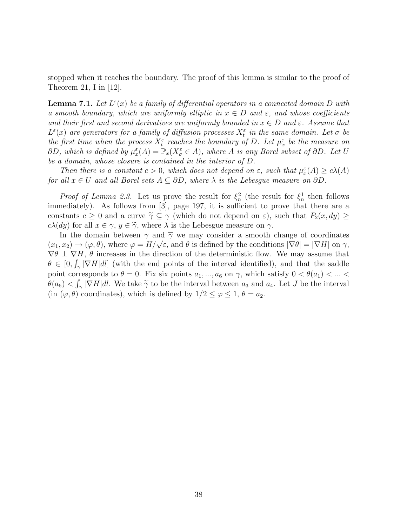stopped when it reaches the boundary. The proof of this lemma is similar to the proof of Theorem 21, I in [12].

**Lemma 7.1.** Let  $L^{\varepsilon}(x)$  be a family of differential operators in a connected domain D with a smooth boundary, which are uniformly elliptic in  $x \in D$  and  $\varepsilon$ , and whose coefficients and their first and second derivatives are uniformly bounded in  $x \in D$  and  $\varepsilon$ . Assume that  $L^{\varepsilon}(x)$  are generators for a family of diffusion processes  $X_t^{\varepsilon}$  in the same domain. Let  $\sigma$  be the first time when the process  $X_t^{\varepsilon}$  reaches the boundary of D. Let  $\mu_x^{\varepsilon}$  be the measure on  $\partial D$ , which is defined by  $\mu_x^{\varepsilon}(A) = \mathbb{P}_x(X^{\varepsilon}_{\sigma} \in A)$ , where A is any Borel subset of  $\partial D$ . Let U be a domain, whose closure is contained in the interior of D.

Then there is a constant  $c > 0$ , which does not depend on  $\varepsilon$ , such that  $\mu_x^{\varepsilon}(A) \ge c\lambda(A)$ for all  $x \in U$  and all Borel sets  $A \subseteq \partial D$ , where  $\lambda$  is the Lebesgue measure on  $\partial D$ .

*Proof of Lemma 2.3.* Let us prove the result for  $\xi_n^2$  (the result for  $\xi_n^1$  then follows immediately). As follows from [3], page 197, it is sufficient to prove that there are a constants  $c \geq 0$  and a curve  $\tilde{\gamma} \subseteq \gamma$  (which do not depend on  $\varepsilon$ ), such that  $P_2(x, dy) \geq$  $c\lambda(dy)$  for all  $x \in \gamma, y \in \widetilde{\gamma}$ , where  $\lambda$  is the Lebesgue measure on  $\gamma$ .

In the domain between  $\gamma$  and  $\overline{\gamma}$  we may consider a smooth change of coordinates  $(x_1, x_2) \rightarrow (\varphi, \theta)$ , where  $\varphi = H/\sqrt{\varepsilon}$ , and  $\theta$  is defined by the conditions  $|\nabla \theta| = |\nabla H|$  on  $\gamma$ ,  $\nabla \theta \perp \nabla H$ ,  $\theta$  increases in the direction of the deterministic flow. We may assume that  $\theta \in [0, \int_{\gamma} |\nabla H|dl]$  (with the end points of the interval identified), and that the saddle point corresponds to  $\theta = 0$ . Fix six points  $a_1, ..., a_6$  on  $\gamma$ , which satisfy  $0 < \theta(a_1) < ... <$  $\theta(a_6) < \int_{\gamma} |\nabla H| dl$ . We take  $\tilde{\gamma}$  to be the interval between  $a_3$  and  $a_4$ . Let J be the interval (in  $(\varphi, \theta)$  coordinates), which is defined by  $1/2 \leq \varphi \leq 1$ ,  $\theta = a_2$ .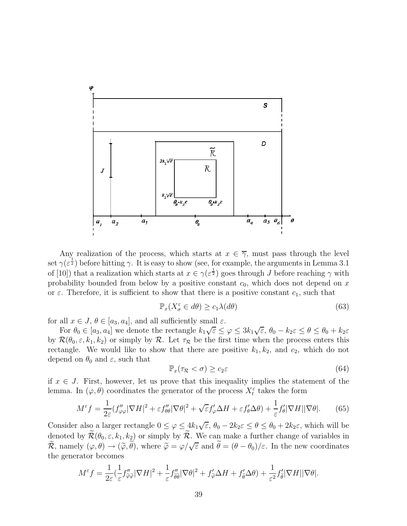

Any realization of the process, which starts at  $x \in \overline{\gamma}$ , must pass through the level set  $\gamma(\varepsilon^{\frac{1}{2}})$  before hitting  $\gamma$ . It is easy to show (see, for example, the arguments in Lemma 3.1 of [10]) that a realization which starts at  $x \in \gamma(\varepsilon^{\frac{1}{2}})$  goes through J before reaching  $\gamma$  with probability bounded from below by a positive constant  $c_0$ , which does not depend on x or  $\varepsilon$ . Therefore, it is sufficient to show that there is a positive constant  $c_1$ , such that

$$
\mathbb{P}_x(X_\sigma^\varepsilon \in d\theta) \ge c_1 \lambda(d\theta) \tag{63}
$$

for all  $x \in J$ ,  $\theta \in [a_3, a_4]$ , and all sufficiently small  $\varepsilon$ .

For  $\theta_0 \in [a_3, a_4]$  we denote the rectangle  $k_1\sqrt{\varepsilon} \leq \varphi \leq 3k_1\sqrt{\varepsilon}$ ,  $\theta_0 - k_2\varepsilon \leq \theta \leq \theta_0 + k_2\varepsilon$ by  $\mathcal{R}(\theta_0, \varepsilon, k_1, k_2)$  or simply by  $\mathcal{R}$ . Let  $\tau_{\mathcal{R}}$  be the first time when the process enters this rectangle. We would like to show that there are positive  $k_1, k_2$ , and  $c_2$ , which do not depend on  $\theta_0$  and  $\varepsilon$ , such that

$$
\mathbb{P}_x(\tau_{\mathcal{R}} < \sigma) \ge c_2 \varepsilon \tag{64}
$$

if  $x \in J$ . First, however, let us prove that this inequality implies the statement of the lemma. In  $(\varphi, \theta)$  coordinates the generator of the process  $X_t^{\varepsilon}$  takes the form

$$
M^{\varepsilon} f = \frac{1}{2\varepsilon} (f''_{\varphi\varphi}|\nabla H|^2 + \varepsilon f''_{\theta\theta}|\nabla \theta|^2 + \sqrt{\varepsilon} f'_{\varphi} \Delta H + \varepsilon f'_{\theta} \Delta \theta) + \frac{1}{\varepsilon} f'_{\theta}|\nabla H||\nabla \theta|.
$$
 (65)

Consider also a larger rectangle  $0 \leq \varphi \leq 4k_1\sqrt{\varepsilon}$ ,  $\theta_0 - 2k_2\varepsilon \leq \theta \leq \theta_0 + 2k_2\varepsilon$ , which will be denoted by  $\widetilde{\mathcal{R}}(\theta_0,\varepsilon, k_1, k_2)$  or simply by  $\widetilde{\mathcal{R}}$ . We can make a further change of variables in  $\widetilde{\mathcal{R}}$ , namely  $(\varphi, \theta) \to (\widetilde{\varphi}, \widetilde{\theta})$ , where  $\widetilde{\varphi} = \varphi/\sqrt{\varepsilon}$  and  $\widetilde{\theta} = (\theta - \theta_0)/\varepsilon$ . In the new coordinates the generator becomes

$$
M^{\varepsilon} f = \frac{1}{2\varepsilon} \left( \frac{1}{\varepsilon} f''_{\widetilde{\varphi}\widetilde{\varphi}} |\nabla H|^2 + \frac{1}{\varepsilon} f''_{\widetilde{\theta}\widetilde{\theta}} |\nabla \theta|^2 + f'_{\widetilde{\varphi}} \Delta H + f'_{\widetilde{\theta}} \Delta \theta \right) + \frac{1}{\varepsilon^2} f'_{\widetilde{\theta}} |\nabla H| |\nabla \theta|.
$$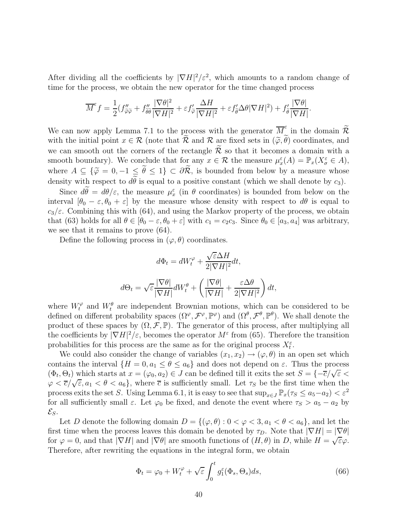After dividing all the coefficients by  $|\nabla H|^2 / \varepsilon^2$ , which amounts to a random change of time for the process, we obtain the new operator for the time changed process

$$
\overline{M}^{\varepsilon} f = \frac{1}{2} (f''_{\widetilde{\varphi}\widetilde{\varphi}} + f''_{\widetilde{\theta\theta}} \frac{|\nabla\theta|^2}{|\nabla H|^2} + \varepsilon f'_{\widetilde{\varphi}} \frac{\Delta H}{|\nabla H|^2} + \varepsilon f'_{\widetilde{\theta}} \Delta\theta |\nabla H|^2) + f'_{\widetilde{\theta}} \frac{|\nabla\theta|}{|\nabla H|}.
$$

We can now apply Lemma 7.1 to the process with the generator  $\overline{M}_{\tilde{e}}^{\varepsilon}$  in the domain  $\widetilde{\mathcal{R}}$ with the initial point  $x \in \mathcal{R}$  (note that  $\widetilde{\mathcal{R}}$  and  $\mathcal{R}$  are fixed sets in  $(\widetilde{\varphi}, \widetilde{\theta})$  coordinates, and we can smooth out the corners of the rectangle  $\mathcal R$  so that it becomes a domain with a smooth boundary). We conclude that for any  $x \in \mathcal{R}$  the measure  $\mu_x^{\varepsilon}(A) = \mathbb{P}_x(X^{\varepsilon}_{\sigma} \in A)$ , where  $A \subseteq {\{\widetilde{\varphi} = 0, -1 \le \widetilde{\theta} \le 1\}} \subset \partial \widetilde{\mathcal{R}}$ , is bounded from below by a measure whose density with respect to  $d\tilde{\theta}$  is equal to a positive constant (which we shall denote by  $c_3$ ).

Since  $d\theta = d\theta/\varepsilon$ , the measure  $\mu_x^{\varepsilon}$  (in  $\theta$  coordinates) is bounded from below on the interval  $[\theta_0 - \varepsilon, \theta_0 + \varepsilon]$  by the measure whose density with respect to  $d\theta$  is equal to  $c_3/\varepsilon$ . Combining this with (64), and using the Markov property of the process, we obtain that (63) holds for all  $\theta \in [\theta_0 - \varepsilon, \theta_0 + \varepsilon]$  with  $c_1 = c_2c_3$ . Since  $\theta_0 \in [a_3, a_4]$  was arbitrary, we see that it remains to prove (64).

Define the following process in  $(\varphi, \theta)$  coordinates.

$$
d\Phi_t = dW_t^{\varphi} + \frac{\sqrt{\varepsilon}\Delta H}{2|\nabla H|^2}dt,
$$
  

$$
d\Theta_t = \sqrt{\varepsilon}\frac{|\nabla \theta|}{|\nabla H|}dW_t^{\theta} + \left(\frac{|\nabla \theta|}{|\nabla H|} + \frac{\varepsilon \Delta \theta}{2|\nabla H|^2}\right)dt,
$$

where  $W_t^{\varphi}$  and  $W_t^{\theta}$  are independent Brownian motions, which can be considered to be defined on different probability spaces  $(\Omega^{\varphi}, \mathcal{F}^{\varphi}, \mathbb{P}^{\varphi})$  and  $(\Omega^{\theta}, \mathcal{F}^{\theta}, \mathbb{P}^{\theta})$ . We shall denote the product of these spaces by  $(\Omega, \mathcal{F}, \mathbb{P})$ . The generator of this process, after multiplying all the coefficients by  $|\nabla H|^2/\varepsilon$ , becomes the operator  $M^{\varepsilon}$  from (65). Therefore the transition probabilities for this process are the same as for the original process  $X_t^{\varepsilon}$ .

We could also consider the change of variables  $(x_1, x_2) \rightarrow (\varphi, \theta)$  in an open set which contains the interval  $\{H = 0, a_1 \leq \theta \leq a_6\}$  and does not depend on  $\varepsilon$ . Thus the process  $(\Phi_t, \Theta_t)$  which starts at  $x = (\varphi_0, a_2) \in J$  can be defined till it exits the set  $S = \{-\overline{c}/\sqrt{\varepsilon} < \overline{c}\}$  $\varphi < \overline{c}/\sqrt{\varepsilon}, a_1 < \theta < a_6$ , where  $\overline{c}$  is sufficiently small. Let  $\tau_s$  be the first time when the process exits the set S. Using Lemma 6.1, it is easy to see that  $\sup_{x \in J} \mathbb{P}_x(\tau_s \le a_5 - a_2) < \varepsilon^2$ for all sufficiently small  $\varepsilon$ . Let  $\varphi_0$  be fixed, and denote the event where  $\tau_s > a_5 - a_2$  by  $\mathcal{E}_S$ .

Let D denote the following domain  $D = \{(\varphi, \theta) : 0 < \varphi < 3, a_1 < \theta < a_6\}$ , and let the first time when the process leaves this domain be denoted by  $\tau_D$ . Note that  $|\nabla H| = |\nabla \theta|$ for  $\varphi = 0$ , and that  $|\nabla H|$  and  $|\nabla \theta|$  are smooth functions of  $(H, \theta)$  in D, while  $H = \sqrt{\varepsilon \varphi}$ . Therefore, after rewriting the equations in the integral form, we obtain

$$
\Phi_t = \varphi_0 + W_t^{\varphi} + \sqrt{\varepsilon} \int_0^t g_1^{\varepsilon}(\Phi_s, \Theta_s) ds, \tag{66}
$$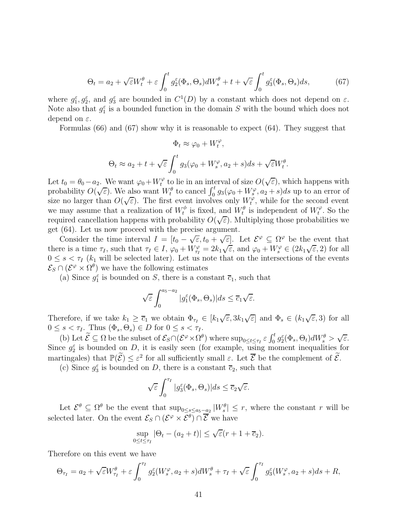$$
\Theta_t = a_2 + \sqrt{\varepsilon} W_t^{\theta} + \varepsilon \int_0^t g_2^{\varepsilon}(\Phi_s, \Theta_s) dW_s^{\theta} + t + \sqrt{\varepsilon} \int_0^t g_3^{\varepsilon}(\Phi_s, \Theta_s) ds, \tag{67}
$$

where  $g_1^{\varepsilon}, g_2^{\varepsilon}$ , and  $g_3^{\varepsilon}$  are bounded in  $C^1(D)$  by a constant which does not depend on  $\varepsilon$ . Note also that  $g_1^{\varepsilon}$  is a bounded function in the domain S with the bound which does not depend on  $\varepsilon$ .

Formulas (66) and (67) show why it is reasonable to expect (64). They suggest that

$$
\Phi_t \approx \varphi_0 + W_t^{\varphi},
$$
  
\n
$$
\Theta_t \approx a_2 + t + \sqrt{\varepsilon} \int_0^t g_3(\varphi_0 + W_s^{\varphi}, a_2 + s) ds + \sqrt{\varepsilon} W_t^{\theta}.
$$

Let  $t_0 = \theta_0 - a_2$ . We want  $\varphi_0 + W_t^{\varphi}$  $t_t^{\varphi}$  to lie in an interval of size  $O(\sqrt{\varepsilon})$ , which happens with probability  $O(\sqrt{\varepsilon})$ . We also want  $W_t^{\theta}$  to cancel  $\int_0^t g_3(\varphi_0 + W_s^{\varphi}, a_2 + s)ds$  up to an error of size no larger than  $O(\sqrt{\varepsilon})$ . The first event involves only  $W_t^{\phi}$  $t^{\varphi}$ , while for the second event we may assume that a realization of  $W_t^{\phi}$  $t_t^{\phi}$  is fixed, and  $W_t^{\theta}$  is independent of  $W_t^{\varphi}$  $t^{\varphi}$ . So the required cancellation happens with probability  $O(\sqrt{\varepsilon})$ . Multiplying those probabilities we get (64). Let us now proceed with the precise argument.

Consider the time interval  $I = [t_0 - \sqrt{\varepsilon}, t_0 + \sqrt{\varepsilon}]$ . Let  $\mathcal{E}^{\varphi} \subseteq \Omega^{\varphi}$  be the event that there is a time  $\tau_I$ , such that  $\tau_I \in I$ ,  $\varphi_0 + W_{\tau_I}^{\varphi} = 2k_1 \sqrt{\varepsilon}$ , and  $\varphi_0 + W_s^{\varphi} \in (2k_1 \sqrt{\varepsilon}, 2)$  for all  $0 \leq s < \tau_I$  (k<sub>1</sub> will be selected later). Let us note that on the intersections of the events  $\mathcal{E}_S \cap (\mathcal{E}^{\varphi} \times \Omega^{\theta})$  we have the following estimates

(a) Since  $g_1^{\varepsilon}$  is bounded on S, there is a constant  $\overline{c}_1$ , such that

$$
\sqrt{\varepsilon} \int_0^{a_5 - a_2} |g_1^{\varepsilon}(\Phi_s, \Theta_s)| ds \le \overline{c}_1 \sqrt{\varepsilon}.
$$

Therefore, if we take  $k_1 \geq \overline{c}_1$  we obtain  $\Phi_{\tau_I} \in [k_1\sqrt{\varepsilon}, 3k_1\sqrt{\varepsilon}]$  and  $\Phi_s \in (k_1\sqrt{\varepsilon}, 3)$  for all  $0 \leq s < \tau_I$ . Thus  $(\Phi_s, \Theta_s) \in D$  for  $0 \leq s < \tau_I$ .

(b) Let  $\widetilde{\mathcal{E}} \subseteq \Omega$  be the subset of  $\mathcal{E}_{S} \cap (\mathcal{E}^{\varphi} \times \Omega^{\theta})$  where  $\sup_{0 \leq t \leq \tau_I} \varepsilon \int_0^t g_2^{\varepsilon}(\Phi_s, \Theta_t) dW_s^{\theta} > \sqrt{\varepsilon}$ . Since  $g_2^{\varepsilon}$  is bounded on D, it is easily seen (for example, using moment inequalities for martingales) that  $\mathbb{P}(\widetilde{\mathcal{E}}) \leq \varepsilon^2$  for all sufficiently small  $\varepsilon$ . Let  $\overline{\mathcal{E}}$  be the complement of  $\widetilde{\mathcal{E}}$ .

(c) Since  $g_3^{\varepsilon}$  is bounded on D, there is a constant  $\overline{c}_2$ , such that

$$
\sqrt{\varepsilon} \int_0^{\tau_I} |g_3^{\varepsilon}(\Phi_s, \Theta_s)| ds \le \overline{c}_2 \sqrt{\varepsilon}.
$$

Let  $\mathcal{E}^{\theta} \subseteq \Omega^{\theta}$  be the event that  $\sup_{0 \leq s \leq a_5 - a_2} |W_s^{\theta}| \leq r$ , where the constant r will be selected later. On the event  $\mathcal{E}_S \cap (\mathcal{E}^{\varphi} \times \mathcal{E}^{\theta}) \cap \overline{\mathcal{E}}$  we have

$$
\sup_{0 \le t \le \tau_I} |\Theta_t - (a_2 + t)| \le \sqrt{\varepsilon} (r + 1 + \overline{c}_2).
$$

Therefore on this event we have

$$
\Theta_{\tau_I} = a_2 + \sqrt{\varepsilon} W_{\tau_I}^{\theta} + \varepsilon \int_0^{\tau_I} g_2^{\varepsilon} (W_s^{\varphi}, a_2 + s) dW_s^{\theta} + \tau_I + \sqrt{\varepsilon} \int_0^{\tau_I} g_3^{\varepsilon} (W_s^{\varphi}, a_2 + s) ds + R,
$$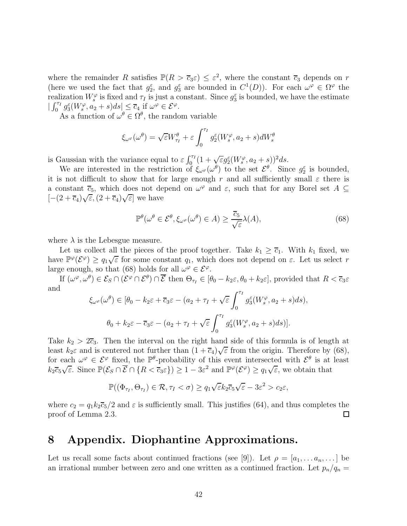where the remainder R satisfies  $\mathbb{P}(R > \overline{c}_3 \varepsilon) \leq \varepsilon^2$ , where the constant  $\overline{c}_3$  depends on r (here we used the fact that  $g_2^{\varepsilon}$ , and  $g_3^{\varepsilon}$  are bounded in  $C^1(D)$ ). For each  $\omega^{\varphi} \in \Omega^{\varphi}$  the realization  $W_s^{\varphi}$  is fixed and  $\tau_I$  is just a constant. Since  $g_3^{\varepsilon}$  is bounded, we have the estimate  $|\int_0^{\tau_I} g_3^{\varepsilon}(W_s^{\varphi},a_2+s)ds| \leq \overline{c}_4 \text{ if } \omega^{\varphi} \in \mathcal{E}^{\varphi}.$ 

As a function of  $\omega^{\theta} \in \Omega^{\theta}$ , the random variable

$$
\xi_{\omega^{\varphi}}(\omega^{\theta}) = \sqrt{\varepsilon}W^{\theta}_{\tau_I} + \varepsilon \int_0^{\tau_I} g_2^{\varepsilon}(W_s^{\varphi}, a_2 + s) dW_s^{\theta}
$$

is Gaussian with the variance equal to  $\varepsilon \int_0^{\tau_I} (1 + \sqrt{\varepsilon} g_2^{\varepsilon} (W_s^{\varphi}, a_2 + s))^2 ds$ .

We are interested in the restriction of  $\xi_{\omega^{\varphi}}(\omega^{\theta})$  to the set  $\mathcal{E}^{\theta}$ . Since  $g_2^{\varepsilon}$  is bounded, it is not difficult to show that for large enough r and all sufficiently small  $\varepsilon$  there is a constant  $\overline{c}_5$ , which does not depend on  $\omega^{\varphi}$  and  $\varepsilon$ , such that for any Borel set  $A \subseteq$  $[-(2 + \overline{c}_4)\sqrt{\varepsilon}, (2 + \overline{c}_4)\sqrt{\varepsilon}]$  we have

$$
\mathbb{P}^{\theta}(\omega^{\theta} \in \mathcal{E}^{\theta}, \xi_{\omega^{\varphi}}(\omega^{\theta}) \in A) \ge \frac{\overline{c}_5}{\sqrt{\varepsilon}}\lambda(A),\tag{68}
$$

where  $\lambda$  is the Lebesgue measure.

Let us collect all the pieces of the proof together. Take  $k_1 \geq \overline{c}_1$ . With  $k_1$  fixed, we have  $\mathbb{P}^{\varphi}(\mathcal{E}^{\varphi}) \geq q_1 \sqrt{\varepsilon}$  for some constant  $q_1$ , which does not depend on  $\varepsilon$ . Let us select r large enough, so that (68) holds for all  $\omega^{\varphi} \in \mathcal{E}^{\varphi}$ .

If  $(\omega^\varphi, \omega^\theta) \in \mathcal{E}_S \cap (\mathcal{E}^\varphi \cap \mathcal{E}^\theta) \cap \overline{\mathcal{E}}$  then  $\Theta_{\tau_I} \in [\theta_0 - k_2 \varepsilon, \theta_0 + k_2 \varepsilon]$ , provided that  $R < \overline{c}_3 \varepsilon$ and

$$
\xi_{\omega^{\varphi}}(\omega^{\theta}) \in [\theta_0 - k_2 \varepsilon + \overline{c}_3 \varepsilon - (a_2 + \tau_I + \sqrt{\varepsilon} \int_0^{\tau_I} g_3^{\varepsilon}(W_s^{\varphi}, a_2 + s) ds),
$$
  

$$
\theta_0 + k_2 \varepsilon - \overline{c}_3 \varepsilon - (a_2 + \tau_I + \sqrt{\varepsilon} \int_0^{\tau_I} g_3^{\varepsilon}(W_s^{\varphi}, a_2 + s) ds)].
$$

Take  $k_2 > 2\overline{c}_3$ . Then the interval on the right hand side of this formula is of length at least  $k_2\varepsilon$  and is centered not further than  $(1+\overline{c}_4)\sqrt{\varepsilon}$  from the origin. Therefore by (68), for each  $\omega^{\varphi} \in \mathcal{E}^{\varphi}$  fixed, the  $\mathbb{P}^{\theta}$ -probability of this event intersected with  $\mathcal{E}^{\theta}$  is at least  $k_2\overline{c}_5\sqrt{\varepsilon}$ . Since  $\mathbb{P}(\mathcal{E}_S \cap \overline{\mathcal{E}} \cap \{R < \overline{c}_3\varepsilon\}) \geq 1 - 3\varepsilon^2$  and  $\mathbb{P}^{\varphi}(\mathcal{E}^{\varphi}) \geq q_1\sqrt{\varepsilon}$ , we obtain that

$$
\mathbb{P}((\Phi_{\tau_I}, \Theta_{\tau_I}) \in \mathcal{R}, \tau_I < \sigma) \ge q_1 \sqrt{\varepsilon} k_2 \overline{c}_5 \sqrt{\varepsilon} - 3\varepsilon^2 > c_2 \varepsilon,
$$

where  $c_2 = q_1 k_2 \overline{c}_5/2$  and  $\varepsilon$  is sufficiently small. This justifies (64), and thus completes the proof of Lemma 2.3. □

### 8 Appendix. Diophantine Approximations.

Let us recall some facts about continued fractions (see [9]). Let  $\rho = [a_1, \ldots a_n, \ldots]$  be an irrational number between zero and one written as a continued fraction. Let  $p_n/q_n =$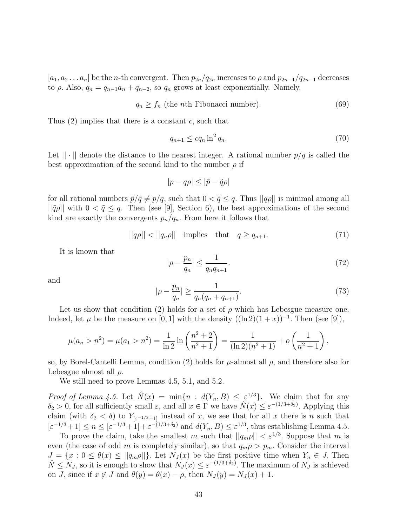$[a_1, a_2 \ldots a_n]$  be the *n*-th convergent. Then  $p_{2n}/q_{2n}$  increases to  $\rho$  and  $p_{2n-1}/q_{2n-1}$  decreases to  $\rho$ . Also,  $q_n = q_{n-1}a_n + q_{n-2}$ , so  $q_n$  grows at least exponentially. Namely,

$$
q_n \ge f_n \text{ (the } n \text{th Fibonacci number).} \tag{69}
$$

Thus  $(2)$  implies that there is a constant c, such that

$$
q_{n+1} \leq c q_n \ln^2 q_n. \tag{70}
$$

Let  $|| \cdot ||$  denote the distance to the nearest integer. A rational number  $p/q$  is called the best approximation of the second kind to the number  $\rho$  if

$$
|p - q\rho| \le |\tilde{p} - \tilde{q}\rho|
$$

for all rational numbers  $\tilde{p}/\tilde{q} \neq p/q$ , such that  $0 < \tilde{q} \leq q$ . Thus  $||q\rho||$  is minimal among all  $||\tilde{q}\rho||$  with  $0 < \tilde{q} \leq q$ . Then (see [9], Section 6), the best approximations of the second kind are exactly the convergents  $p_n/q_n$ . From here it follows that

$$
||q\rho|| < ||q_n\rho|| \quad \text{implies} \quad \text{that} \quad q \ge q_{n+1}.\tag{71}
$$

It is known that

$$
|\rho - \frac{p_n}{q_n}| \le \frac{1}{q_n q_{n+1}}.\tag{72}
$$

and

$$
|\rho - \frac{p_n}{q_n}| \ge \frac{1}{q_n(q_n + q_{n+1})}.\tag{73}
$$

Let us show that condition (2) holds for a set of  $\rho$  which has Lebesgue measure one. Indeed, let  $\mu$  be the measure on [0, 1] with the density  $((\ln 2)(1+x))^{-1}$ . Then (see [9]),

$$
\mu(a_n > n^2) = \mu(a_1 > n^2) = \frac{1}{\ln 2} \ln \left( \frac{n^2 + 2}{n^2 + 1} \right) = \frac{1}{(\ln 2)(n^2 + 1)} + o\left( \frac{1}{n^2 + 1} \right),
$$

so, by Borel-Cantelli Lemma, condition (2) holds for  $\mu$ -almost all  $\rho$ , and therefore also for Lebesgue almost all  $\rho$ .

We still need to prove Lemmas 4.5, 5.1, and 5.2.

*Proof of Lemma 4.5.* Let  $\hat{N}(x) = \min\{n : d(Y_n, B) \leq \varepsilon^{1/3}\}\.$  We claim that for any  $\delta_2 > 0$ , for all sufficiently small  $\varepsilon$ , and all  $x \in \Gamma$  we have  $\hat{N}(x) \leq \varepsilon^{-(1/3+\delta_2)}$ . Applying this claim (with  $\delta_2 < \delta$ ) to  $Y_{\lbrack \varepsilon^{-1/3}+1]}$  instead of x, we see that for all x there is n such that  $[\varepsilon^{-1/3}+1] \le n \le [\varepsilon^{-1/3}+1] + \varepsilon^{-(1/3+\delta_2)}$  and  $d(Y_n, B) \le \varepsilon^{1/3}$ , thus establishing Lemma 4.5.

To prove the claim, take the smallest m such that  $||q_m \rho|| < \varepsilon^{1/3}$ . Suppose that m is even (the case of odd m is completely similar), so that  $q_m \rho > p_m$ . Consider the interval  $J = \{x : 0 \leq \theta(x) \leq ||q_m \rho||\}$ . Let  $N_J(x)$  be the first positive time when  $Y_n \in J$ . Then  $\hat{N} \leq N_J$ , so it is enough to show that  $N_J(x) \leq \varepsilon^{-(1/3+\delta_2)}$ . The maximum of  $N_J$  is achieved on J, since if  $x \notin J$  and  $\theta(y) = \theta(x) - \rho$ , then  $N_J(y) = N_J(x) + 1$ .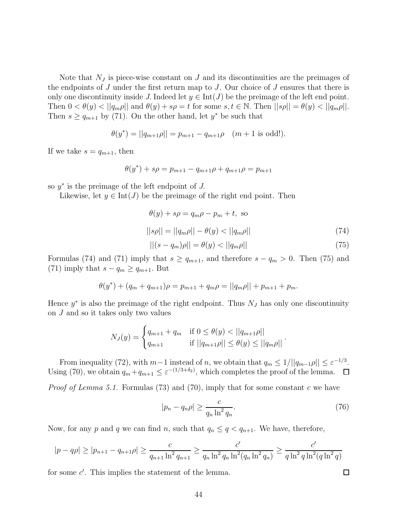Note that  $N_J$  is piece-wise constant on  $J$  and its discontinuities are the preimages of the endpoints of  $J$  under the first return map to  $J$ . Our choice of  $J$  ensures that there is only one discontinuity inside J. Indeed let  $y \in Int(J)$  be the preimage of the left end point. Then  $0 < \theta(y) < ||q_m \rho||$  and  $\theta(y) + s\rho = t$  for some  $s, t \in \mathbb{N}$ . Then  $||s\rho|| = \theta(y) < ||q_m \rho||$ . Then  $s \ge q_{m+1}$  by (71). On the other hand, let  $y^*$  be such that

$$
\theta(y^*) = ||q_{m+1}\rho|| = p_{m+1} - q_{m+1}\rho \quad (m+1 \text{ is odd}!).
$$

If we take  $s = q_{m+1}$ , then

$$
\theta(y^*) + s\rho = p_{m+1} - q_{m+1}\rho + q_{m+1}\rho = p_{m+1}
$$

so  $y^*$  is the preimage of the left endpoint of  $J$ .

Likewise, let  $y \in \text{Int}(J)$  be the preimage of the right end point. Then

$$
\theta(y) + s\rho = q_m \rho - p_m + t, \text{ so}
$$

$$
||s\rho|| = ||q_m \rho|| - \theta(y) < ||q_m \rho|| \tag{74}
$$

$$
||(s - q_m)\rho|| = \theta(y) < ||q_m\rho||\tag{75}
$$

Formulas (74) and (71) imply that  $s \ge q_{m+1}$ , and therefore  $s - q_m > 0$ . Then (75) and (71) imply that  $s - q_m \geq q_{m+1}$ . But

$$
\theta(y^*) + (q_m + q_{m+1})\rho = p_{m+1} + q_m \rho = ||q_m \rho|| + p_{m+1} + p_m.
$$

Hence  $y^*$  is also the preimage of the right endpoint. Thus  $N_J$  has only one discontinuity on J and so it takes only two values

$$
N_J(y) = \begin{cases} q_{m+1} + q_m & \text{if } 0 \le \theta(y) < ||q_{m+1}\rho|| \\ q_{m+1} & \text{if } ||q_{m+1}\rho|| \le \theta(y) \le ||q_m\rho|| \end{cases}
$$

From inequality (72), with  $m-1$  instead of n, we obtain that  $q_m \leq 1/||q_{m-1}\rho|| \leq \varepsilon^{-1/3}$ . Using (70), we obtain  $q_m + q_{m+1} \leq \varepsilon^{-(1/3+\delta_2)}$ , which completes the proof of the lemma.

*Proof of Lemma 5.1.* Formulas (73) and (70), imply that for some constant c we have

$$
|p_n - q_n \rho| \ge \frac{c}{q_n \ln^2 q_n}.\tag{76}
$$

.

Now, for any p and q we can find n, such that  $q_n \leq q < q_{n+1}$ . We have, therefore,

$$
|p - q\rho| \ge |p_{n+1} - q_{n+1}\rho| \ge \frac{c}{q_{n+1} \ln^2 q_{n+1}} \ge \frac{c'}{q_n \ln^2 q_n \ln^2(q_n \ln^2 q_n)} \ge \frac{c'}{q \ln^2 q \ln^2(q \ln^2 q)}
$$

for some  $c'$ . This implies the statement of the lemma.

 $\Box$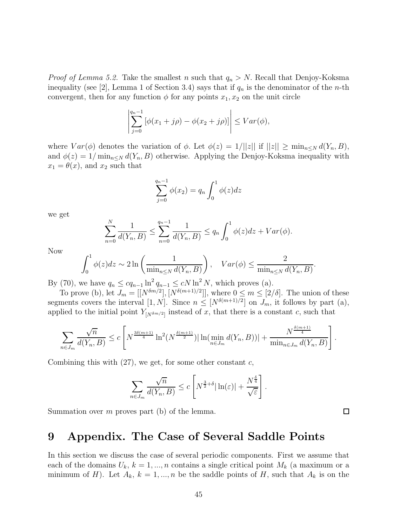*Proof of Lemma 5.2.* Take the smallest n such that  $q_n > N$ . Recall that Denjoy-Koksma inequality (see [2], Lemma 1 of Section 3.4) says that if  $q_n$  is the denominator of the *n*-th convergent, then for any function  $\phi$  for any points  $x_1, x_2$  on the unit circle

$$
\left| \sum_{j=0}^{q_n-1} [\phi(x_1+j\rho) - \phi(x_2+j\rho)] \right| \leq Var(\phi),
$$

where  $Var(\phi)$  denotes the variation of  $\phi$ . Let  $\phi(z) = 1/||z||$  if  $||z|| \ge \min_{n \le N} d(Y_n, B)$ , and  $\phi(z) = 1/\min_{n \leq N} d(Y_n, B)$  otherwise. Applying the Denjoy-Koksma inequality with  $x_1 = \theta(x)$ , and  $x_2$  such that

$$
\sum_{j=0}^{q_n-1} \phi(x_2) = q_n \int_0^1 \phi(z) dz
$$

we get

$$
\sum_{n=0}^{N} \frac{1}{d(Y_n, B)} \le \sum_{n=0}^{q_n - 1} \frac{1}{d(Y_n, B)} \le q_n \int_0^1 \phi(z) dz + Var(\phi).
$$

Now

$$
\int_0^1 \phi(z)dz \sim 2\ln\left(\frac{1}{\min_{n\leq N} d(Y_n, B)}\right), \quad Var(\phi) \leq \frac{2}{\min_{n\leq N} d(Y_n, B)}.
$$

By (70), we have  $q_n \n\t\leq c q_{n-1} \ln^2 q_{n-1} \leq c N \ln^2 N$ , which proves (a).

To prove (b), let  $J_m = [[N^{\delta m/2}], [N^{\delta(m+1)/2}]],$  where  $0 \le m \le [2/\delta]$ . The union of these segments covers the interval  $[1, N]$ . Since  $n \leq [N^{\delta(m+1)/2}]$  on  $J_m$ , it follows by part (a), applied to the initial point  $Y_{[N^{\delta_m/2}]}$  instead of x, that there is a constant c, such that

$$
\sum_{n \in J_m} \frac{\sqrt{n}}{d(Y_n, B)} \le c \left[ N^{\frac{3\delta(m+1)}{4}} \ln^2(N^{\frac{\delta(m+1)}{2}}) |\ln(\min_{n \in J_m} d(Y_n, B))| + \frac{N^{\frac{\delta(m+1)}{4}}}{\min_{n \in J_m} d(Y_n, B)} \right]
$$

Combining this with  $(27)$ , we get, for some other constant c,

$$
\sum_{n\in J_m} \frac{\sqrt{n}}{d(Y_n, B)} \le c \left[ N^{\frac{3}{2}+\delta} |\ln(\varepsilon)| + \frac{N^{\frac{\delta}{4}}}{\sqrt{\varepsilon}} \right].
$$

Summation over  $m$  proves part (b) of the lemma.

#### 9 Appendix. The Case of Several Saddle Points

In this section we discuss the case of several periodic components. First we assume that each of the domains  $U_k$ ,  $k = 1, ..., n$  contains a single critical point  $M_k$  (a maximum or a minimum of H). Let  $A_k$ ,  $k = 1, ..., n$  be the saddle points of H, such that  $A_k$  is on the

 $\Box$ 

.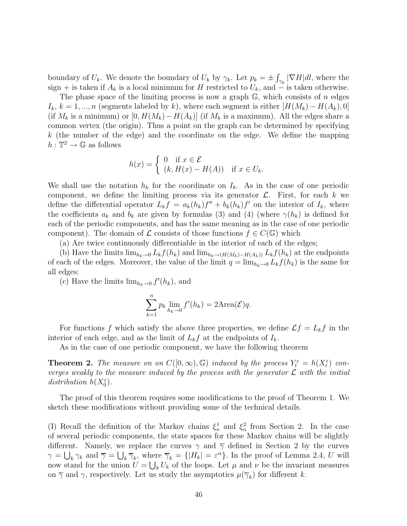boundary of  $U_k$ . We denote the boundary of  $U_k$  by  $\gamma_k$ . Let  $p_k = \pm \int_{\gamma_k} |\nabla H|dl$ , where the sign + is taken if  $A_k$  is a local minimum for H restricted to  $U_k$ , and  $\ddot{\text{ } }$  is taken otherwise.

The phase space of the limiting process is now a graph  $\mathbb{G}$ , which consists of n edges  $I_k, k = 1, ..., n$  (segments labeled by k), where each segment is either  $[H(M_k) - H(A_k), 0]$ (if  $M_k$  is a minimum) or  $[0, H(M_k) - H(A_k)]$  (if  $M_k$  is a maximum). All the edges share a common vertex (the origin). Thus a point on the graph can be determined by specifying k (the number of the edge) and the coordinate on the edge. We define the mapping  $h: \mathbb{T}^2 \to \mathbb{G}$  as follows

$$
h(x) = \begin{cases} 0 & \text{if } x \in \mathcal{E} \\ (k, H(x) - H(A)) & \text{if } x \in U_k. \end{cases}
$$

We shall use the notation  $h_k$  for the coordinate on  $I_k$ . As in the case of one periodic component, we define the limiting process via its generator  $\mathcal{L}$ . First, for each k we define the differential operator  $L_k f = a_k(h_k)f'' + b_k(h_k)f'$  on the interior of  $I_k$ , where the coefficients  $a_k$  and  $b_k$  are given by formulas (3) and (4) (where  $\gamma(h_k)$  is defined for each of the periodic components, and has the same meaning as in the case of one periodic component). The domain of  $\mathcal L$  consists of those functions  $f \in C(\mathbb G)$  which

(a) Are twice continuously differentiable in the interior of each of the edges;

(b) Have the limits  $\lim_{h_k\to 0} L_k f(h_k)$  and  $\lim_{h_k\to (H(M_k)-H(A_k))} L_k f(h_k)$  at the endpoints of each of the edges. Moreover, the value of the limit  $q = \lim_{h_k \to 0} L_k f(h_k)$  is the same for all edges;

(c) Have the limits  $\lim_{h_k \to 0} f'(h_k)$ , and

$$
\sum_{k=1}^{n} p_k \lim_{h_k \to 0} f'(h_k) = 2 \text{Area}(\mathcal{E}) q.
$$

For functions f which satisfy the above three properties, we define  $\mathcal{L}f = L_kf$  in the interior of each edge, and as the limit of  $L_k f$  at the endpoints of  $I_k$ .

As in the case of one periodic component, we have the following theorem

**Theorem 2.** The measure on on  $C([0,\infty),\mathbb{G})$  induced by the process  $Y_t^{\varepsilon} = h(X_t^{\varepsilon})$  converges weakly to the measure induced by the process with the generator  $\mathcal L$  with the initial distribution  $h(X_0^{\varepsilon})$ .

The proof of this theorem requires some modifications to the proof of Theorem 1. We sketch these modifications without providing some of the technical details.

(I) Recall the definition of the Markov chains  $\xi_n^1$  and  $\xi_n^2$  from Section 2. In the case of several periodic components, the state spaces for these Markov chains will be slightly different. Namely, we replace the curves  $\gamma$  and  $\overline{\gamma}$  defined in Section 2 by the curves  $\gamma = \bigcup_k \gamma_k$  and  $\overline{\gamma} = \bigcup_k \overline{\gamma}_k$ , where  $\overline{\gamma}_k = \{|H_k| = \varepsilon^{\alpha}\}\$ . In the proof of Lemma 2.4, U will now stand for the union  $\hat{U} = \bigcup_k U_k$  of the loops. Let  $\mu$  and  $\nu$  be the invariant measures on  $\overline{\gamma}$  and  $\gamma$ , respectively. Let us study the asymptotics  $\mu(\overline{\gamma}_k)$  for different k.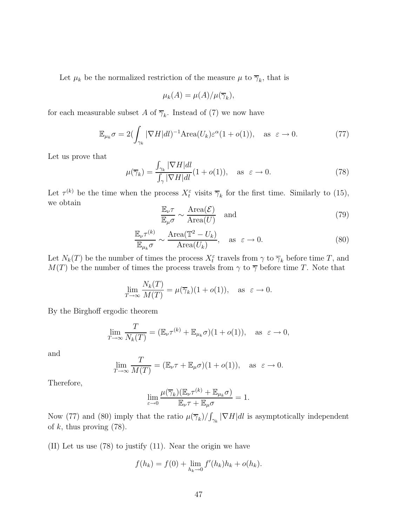Let  $\mu_k$  be the normalized restriction of the measure  $\mu$  to  $\overline{\gamma}_k$ , that is

$$
\mu_k(A) = \mu(A)/\mu(\overline{\gamma}_k),
$$

for each measurable subset A of  $\overline{\gamma}_k$ . Instead of (7) we now have

$$
\mathbb{E}_{\mu_k} \sigma = 2 \left( \int_{\gamma_k} |\nabla H| dl \right)^{-1} \text{Area}(U_k) \varepsilon^{\alpha} (1 + o(1)), \quad \text{as } \varepsilon \to 0. \tag{77}
$$

Let us prove that

$$
\mu(\overline{\gamma}_k) = \frac{\int_{\gamma_k} |\nabla H| dl}{\int_{\gamma} |\nabla H| dl} (1 + o(1)), \quad \text{as } \varepsilon \to 0.
$$
\n(78)

Let  $\tau^{(k)}$  be the time when the process  $X_t^{\varepsilon}$  visits  $\overline{\gamma}_k$  for the first time. Similarly to (15), we obtain

$$
\frac{\mathbb{E}_{\nu}\tau}{\mathbb{E}_{\mu}\sigma} \sim \frac{\text{Area}(\mathcal{E})}{\text{Area}(U)} \quad \text{and} \tag{79}
$$

$$
\frac{\mathbb{E}_{\nu}\tau^{(k)}}{\mathbb{E}_{\mu_k}\sigma} \sim \frac{\text{Area}(\mathbb{T}^2 - U_k)}{\text{Area}(U_k)}, \quad \text{as } \varepsilon \to 0.
$$
\n(80)

Let  $N_k(T)$  be the number of times the process  $X_t^{\varepsilon}$  travels from  $\gamma$  to  $\overline{\gamma}_k$  before time T, and  $M(T)$  be the number of times the process travels from  $\gamma$  to  $\overline{\gamma}$  before time T. Note that

$$
\lim_{T \to \infty} \frac{N_k(T)}{M(T)} = \mu(\overline{\gamma}_k)(1 + o(1)), \text{ as } \varepsilon \to 0.
$$

By the Birghoff ergodic theorem

$$
\lim_{T \to \infty} \frac{T}{N_k(T)} = (\mathbb{E}_{\nu} \tau^{(k)} + \mathbb{E}_{\mu_k} \sigma)(1 + o(1)), \text{ as } \varepsilon \to 0,
$$

and

$$
\lim_{T \to \infty} \frac{T}{M(T)} = (\mathbb{E}_{\nu} \tau + \mathbb{E}_{\mu} \sigma)(1 + o(1)), \text{ as } \varepsilon \to 0.
$$

Therefore,

$$
\lim_{\varepsilon \to 0} \frac{\mu(\overline{\gamma}_k)(\mathbb{E}_{\nu} \tau^{(k)} + \mathbb{E}_{\mu_k} \sigma)}{\mathbb{E}_{\nu} \tau + \mathbb{E}_{\mu} \sigma} = 1.
$$

Now (77) and (80) imply that the ratio  $\mu(\overline{\gamma}_k)/\int_{\gamma_k} |\nabla H|dl$  is asymptotically independent of  $k$ , thus proving  $(78)$ .

(II) Let us use (78) to justify (11). Near the origin we have

$$
f(h_k) = f(0) + \lim_{h_k \to 0} f'(h_k)h_k + o(h_k).
$$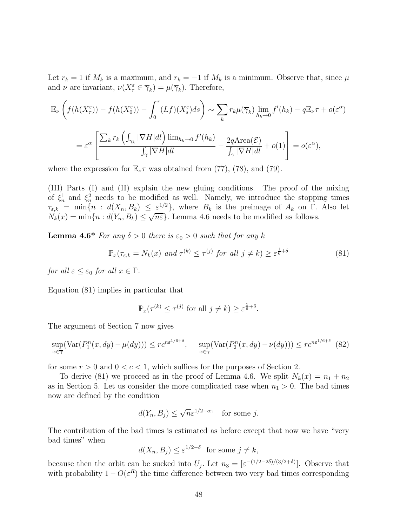Let  $r_k = 1$  if  $M_k$  is a maximum, and  $r_k = -1$  if  $M_k$  is a minimum. Observe that, since  $\mu$ and  $\nu$  are invariant,  $\nu(X_{\tau}^{\varepsilon} \in \overline{\gamma}_k) = \mu(\overline{\gamma}_k)$ . Therefore,

$$
\mathbb{E}_{\nu}\left(f(h(X_{\tau}^{\varepsilon})) - f(h(X_{0}^{\varepsilon})) - \int_{0}^{\tau} (Lf)(X_{s}^{\varepsilon})ds\right) \sim \sum_{k} r_{k}\mu(\overline{\gamma}_{k}) \lim_{h_{k} \to 0} f'(h_{k}) - q\mathbb{E}_{\nu}\tau + o(\varepsilon^{\alpha})
$$

$$
= \varepsilon^{\alpha} \left[ \frac{\sum_{k} r_{k} \left(\int_{\gamma_{k}} |\nabla H|dl\right) \lim_{h_{k} \to 0} f'(h_{k})}{\int_{\gamma} |\nabla H|dl} - \frac{2q \text{Area}(\mathcal{E})}{\int_{\gamma} |\nabla H|dl} + o(1) \right] = o(\varepsilon^{\alpha}),
$$

where the expression for  $\mathbb{E}_{\nu} \tau$  was obtained from (77), (78), and (79).

(III) Parts (I) and (II) explain the new gluing conditions. The proof of the mixing of  $\xi_n^1$  and  $\xi_n^2$  needs to be modified as well. Namely, we introduce the stopping times  $\tau_{\varepsilon,k} = \min\{n : d(X_n, B_k) \leq \varepsilon^{1/2}\}\$ , where  $B_k$  is the preimage of  $A_k$  on  $\Gamma$ . Also let  $N_k(x) = \min\{n : d(Y_n, B_k) \leq \sqrt{n\varepsilon}\}\.$  Lemma 4.6 needs to be modified as follows.

**Lemma 4.6\*** For any  $\delta > 0$  there is  $\varepsilon_0 > 0$  such that for any k

$$
\mathbb{P}_x(\tau_{\varepsilon,k} = N_k(x) \text{ and } \tau^{(k)} \le \tau^{(j)} \text{ for all } j \ne k) \ge \varepsilon^{\frac{1}{6} + \delta} \tag{81}
$$

for all  $\varepsilon < \varepsilon_0$  for all  $x \in \Gamma$ .

Equation (81) implies in particular that

$$
\mathbb{P}_x(\tau^{(k)} \le \tau^{(j)} \text{ for all } j \ne k) \ge \varepsilon^{\frac{1}{6}+\delta}.
$$

The argument of Section 7 now gives

$$
\sup_{x \in \overline{\gamma}} (\text{Var}(P_1^n(x, dy) - \mu(dy))) \le r c^{n\varepsilon^{1/6 + \delta}}, \quad \sup_{x \in \gamma} (\text{Var}(P_2^n(x, dy) - \nu(dy))) \le r c^{n\varepsilon^{1/6 + \delta}} \tag{82}
$$

for some  $r > 0$  and  $0 < c < 1$ , which suffices for the purposes of Section 2.

To derive (81) we proceed as in the proof of Lemma 4.6. We split  $N_k(x) = n_1 + n_2$ as in Section 5. Let us consider the more complicated case when  $n_1 > 0$ . The bad times now are defined by the condition

$$
d(Y_n, B_j) \le \sqrt{n} \varepsilon^{1/2 - \alpha_1}
$$
 for some j.

The contribution of the bad times is estimated as before except that now we have "very bad times" when

$$
d(X_n, B_j) \le \varepsilon^{1/2 - \delta} \text{ for some } j \ne k,
$$

because then the orbit can be sucked into  $U_j$ . Let  $n_3 = \left[\varepsilon^{-(1/2-2\delta)/(3/2+\delta)}\right]$ . Observe that with probability  $1 - O(\varepsilon^R)$  the time difference between two very bad times corresponding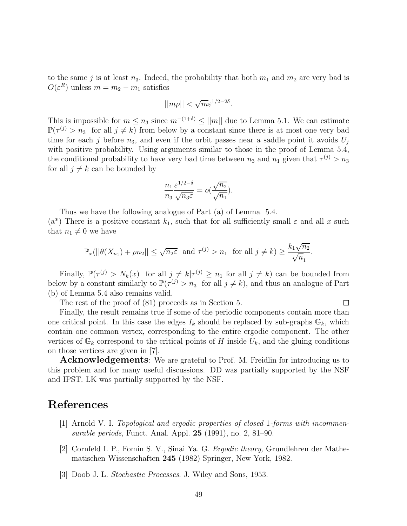to the same j is at least  $n_3$ . Indeed, the probability that both  $m_1$  and  $m_2$  are very bad is  $O(\varepsilon^R)$  unless  $m = m_2 - m_1$  satisfies

$$
||m\rho|| < \sqrt{m} \varepsilon^{1/2-2\delta}.
$$

This is impossible for  $m \leq n_3$  since  $m^{-(1+\delta)} \leq ||m||$  due to Lemma 5.1. We can estimate  $\mathbb{P}(\tau^{(j)} > n_3$  for all  $j \neq k$ ) from below by a constant since there is at most one very bad time for each j before  $n_3$ , and even if the orbit passes near a saddle point it avoids  $U_j$ with positive probability. Using arguments similar to those in the proof of Lemma 5.4, the conditional probability to have very bad time between  $n_3$  and  $n_1$  given that  $\tau^{(j)} > n_3$ for all  $j \neq k$  can be bounded by

$$
\frac{n_1}{n_3} \frac{\varepsilon^{1/2-\delta}}{\sqrt{n_3 \varepsilon}} = o(\frac{\sqrt{n_2}}{\sqrt{n_1}}).
$$

Thus we have the following analogue of Part (a) of Lemma 5.4. (a<sup>\*</sup>) There is a positive constant  $k_1$ , such that for all sufficiently small  $\varepsilon$  and all x such that  $n_1 \neq 0$  we have

$$
\mathbb{P}_x(||\theta(X_{n_1}) + \rho n_2|| \leq \sqrt{n_2 \varepsilon} \text{ and } \tau^{(j)} > n_1 \text{ for all } j \neq k) \geq \frac{k_1 \sqrt{n_2}}{\sqrt{n_1}}.
$$

Finally,  $\mathbb{P}(\tau^{(j)} > N_k(x) \text{ for all } j \neq k | \tau^{(j)} \geq n_1 \text{ for all } j \neq k)$  can be bounded from below by a constant similarly to  $\mathbb{P}(\tau^{(j)} > n_3$  for all  $j \neq k$ ), and thus an analogue of Part (b) of Lemma 5.4 also remains valid.

The rest of the proof of (81) proceeds as in Section 5.

## $\Box$

Finally, the result remains true if some of the periodic components contain more than one critical point. In this case the edges  $I_k$  should be replaced by sub-graphs  $\mathbb{G}_k$ , which contain one common vertex, corresponding to the entire ergodic component. The other vertices of  $\mathbb{G}_k$  correspond to the critical points of H inside  $U_k$ , and the gluing conditions on those vertices are given in [7].

**Acknowledgements**: We are grateful to Prof. M. Freidlin for introducing us to this problem and for many useful discussions. DD was partially supported by the NSF and IPST. LK was partially supported by the NSF.

#### References

- [1] Arnold V. I. Topological and ergodic properties of closed 1-forms with incommensurable periods, Funct. Anal. Appl. 25 (1991), no. 2, 81–90.
- [2] Cornfeld I. P., Fomin S. V., Sinai Ya. G. Ergodic theory, Grundlehren der Mathematischen Wissenschaften 245 (1982) Springer, New York, 1982.
- [3] Doob J. L. Stochastic Processes. J. Wiley and Sons, 1953.